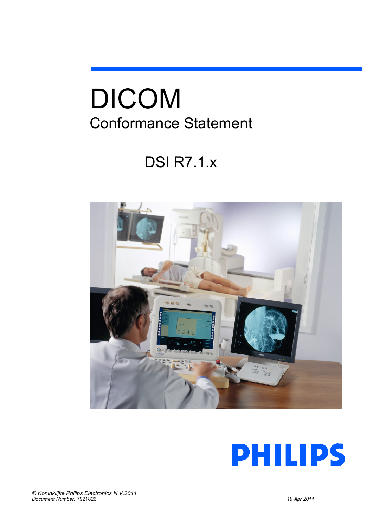# DICOM Conformance Statement

# DSI R7.1.x



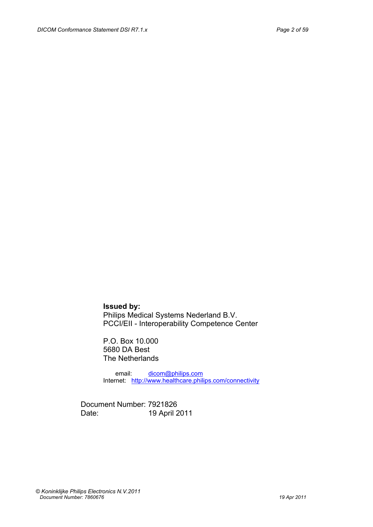**Issued by:** Philips Medical Systems Nederland B.V. PCCI/EII - Interoperability Competence Center

P.O. Box 10.000 5680 DA Best The Netherlands

 email: [dicom@philips.com](mailto:dicom@philips.com) Internet: <http://www.healthcare.philips.com/connectivity>

Document Number: 7921826 Date: 19 April 2011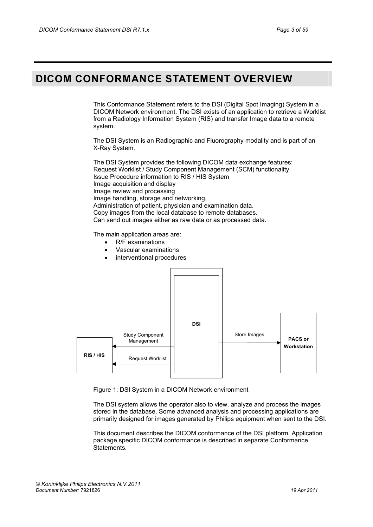## <span id="page-2-0"></span>**DICOM CONFORMANCE STATEMENT OVERVIEW**

This Conformance Statement refers to the DSI (Digital Spot Imaging) System in a DICOM Network environment. The DSI exists of an application to retrieve a Worklist from a Radiology Information System (RIS) and transfer Image data to a remote system.

The DSI System is an Radiographic and Fluorography modality and is part of an X-Ray System.

The DSI System provides the following DICOM data exchange features: Request Worklist / Study Component Management (SCM) functionality Issue Procedure information to RIS / HIS System Image acquisition and display Image review and processing Image handling, storage and networking, Administration of patient, physician and examination data. Copy images from the local database to remote databases. Can send out images either as raw data or as processed data.

The main application areas are:

- R/F examinations
- Vascular examinations
- interventional procedures



Figure 1: DSI System in a DICOM Network environment

The DSI system allows the operator also to view, analyze and process the images stored in the database. Some advanced analysis and processing applications are primarily designed for images generated by Philips equipment when sent to the DSI.

This document describes the DICOM conformance of the DSI platform. Application package specific DICOM conformance is described in separate Conformance Statements.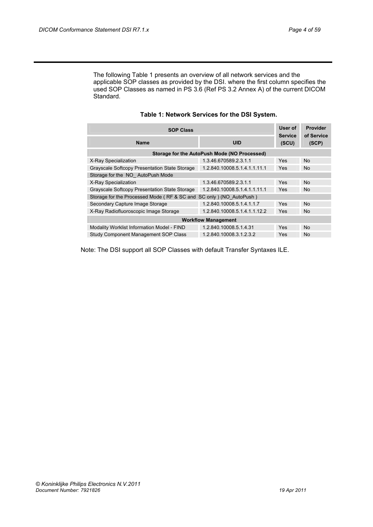The following [Table 1](#page-3-0) presents an overview of all network services and the applicable SOP classes as provided by the DSI. where the first column specifies the used SOP Classes as named in PS 3.6 (Ref PS 3.2 Annex A) of the current DICOM Standard.

<span id="page-3-0"></span>

| <b>SOP Class</b>                                                   |                                              |                         | <b>Provider</b><br>of Service |  |  |
|--------------------------------------------------------------------|----------------------------------------------|-------------------------|-------------------------------|--|--|
| <b>Name</b>                                                        | <b>UID</b>                                   | <b>Service</b><br>(SCU) | (SCP)                         |  |  |
|                                                                    | Storage for the AutoPush Mode (NO Processed) |                         |                               |  |  |
| X-Ray Specialization                                               | 1.3.46.670589.2.3.1.1                        | Yes                     | <b>No</b>                     |  |  |
| Grayscale Softcopy Presentation State Storage                      | 1.2.840.10008.5.1.4.1.1.11.1                 | Yes                     | No.                           |  |  |
| Storage for the NO AutoPush Mode                                   |                                              |                         |                               |  |  |
| X-Ray Specialization                                               | 1.3.46.670589.2.3.1.1                        | Yes                     | <b>No</b>                     |  |  |
| Grayscale Softcopy Presentation State Storage                      | 1.2.840.10008.5.1.4.1.1.11.1                 | Yes                     | <b>No</b>                     |  |  |
| Storage for the Processed Mode (RF & SC and SC only) (NO AutoPush) |                                              |                         |                               |  |  |
| Secondary Capture Image Storage                                    | 1.2.840.10008.5.1.4.1.1.7                    | Yes                     | <b>No</b>                     |  |  |
| X-Ray Radiofluoroscopic Image Storage                              | 1.2.840.10008.5.1.4.1.1.12.2                 | Yes                     | No.                           |  |  |
| <b>Workflow Management</b>                                         |                                              |                         |                               |  |  |
| Modality Worklist Information Model - FIND                         | 1.2.840.10008.5.1.4.31                       | Yes                     | <b>No</b>                     |  |  |
| Study Component Management SOP Class                               | 1.2.840.10008.3.1.2.3.2                      | Yes                     | <b>No</b>                     |  |  |

## **Table 1: Network Services for the DSI System.**

Note: The DSI support all SOP Classes with default Transfer Syntaxes ILE.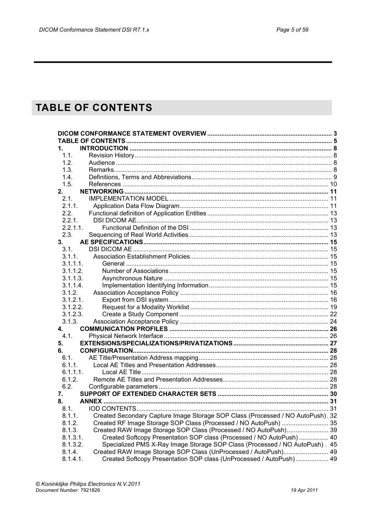## <span id="page-4-0"></span>**TABLE OF CONTENTS**

| 1.             |                                                                                 |  |
|----------------|---------------------------------------------------------------------------------|--|
| 1.1.           |                                                                                 |  |
| 1.2.           |                                                                                 |  |
| 1.3.           |                                                                                 |  |
| 1.4.           |                                                                                 |  |
| 1.5.           |                                                                                 |  |
| 2.             |                                                                                 |  |
| 2.1.           |                                                                                 |  |
| 2.1.1.         |                                                                                 |  |
| 2.2.           |                                                                                 |  |
| 2.2.1.         |                                                                                 |  |
| $2.2.1.1$ .    |                                                                                 |  |
| 2.3.           |                                                                                 |  |
| 3.             |                                                                                 |  |
| 3.1.           |                                                                                 |  |
| 3.1.1.         |                                                                                 |  |
| 3.1.1.1.       |                                                                                 |  |
| 3.1.1.2.       |                                                                                 |  |
| 3.1.1.3.       |                                                                                 |  |
| 3.1.1.4.       |                                                                                 |  |
| 3.1.2.         |                                                                                 |  |
| 3.1.2.1.       |                                                                                 |  |
| 3.1.2.2.       |                                                                                 |  |
| 3.1.2.3.       |                                                                                 |  |
| 3.1.3.         |                                                                                 |  |
| $\mathbf{4}$ . |                                                                                 |  |
| 4.1.           |                                                                                 |  |
| 5.             |                                                                                 |  |
| 6.             |                                                                                 |  |
| 6.1.           |                                                                                 |  |
| 6.1.1.         |                                                                                 |  |
| 6.1.1.1.       |                                                                                 |  |
| 6.1.2.         |                                                                                 |  |
| 6.2.           |                                                                                 |  |
| 7.             |                                                                                 |  |
| 8.             |                                                                                 |  |
| 8.1.           |                                                                                 |  |
| 8.1.1.         | Created Secondary Capture Image Storage SOP Class (Processed / NO AutoPush). 32 |  |
| 8.1.2.         | Created RF Image Storage SOP Class (Processed / NO AutoPush)  35                |  |
| 8.1.3.         | Created RAW Image Storage SOP Class (Processed / NO AutoPush) 39                |  |
| 8.1.3.1.       | Created Softcopy Presentation SOP class (Processed / NO AutoPush)  40           |  |
| 8.1.3.2.       | Specialized PMS X-Ray Image Storage SOP Class (Processed / NO AutoPush). 45     |  |
| 8.1.4.         | Created RAW Image Storage SOP Class (UnProcessed / AutoPush) 49                 |  |
| 8.1.4.1.       | Created Softcopy Presentation SOP class (UnProcessed / AutoPush) 49             |  |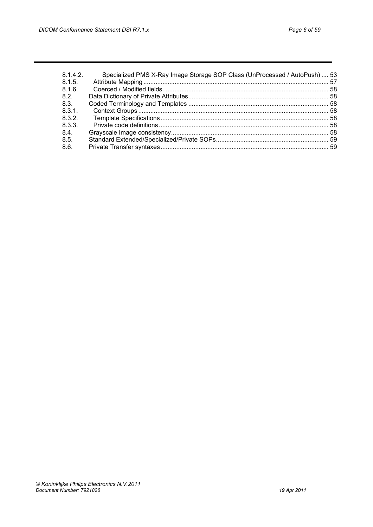| 8.1.4.2<br>8.1.5. | Specialized PMS X-Ray Image Storage SOP Class (UnProcessed / AutoPush)  53 |  |
|-------------------|----------------------------------------------------------------------------|--|
| 8.1.6             |                                                                            |  |
| 8.2.              |                                                                            |  |
| 8.3.              |                                                                            |  |
| 8.3.1.            |                                                                            |  |
| 8.3.2             |                                                                            |  |
| 8.3.3.            |                                                                            |  |
| 8.4.              |                                                                            |  |
| 8.5.              |                                                                            |  |
| 8.6.              |                                                                            |  |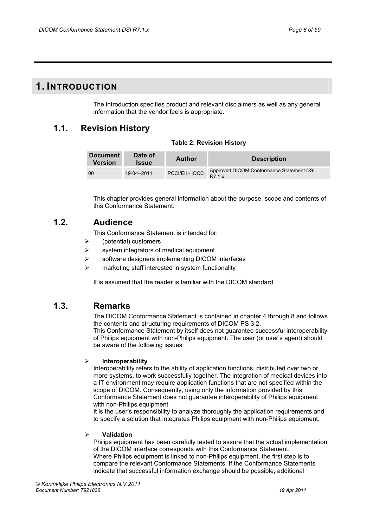## <span id="page-7-0"></span>**1. INTRODUCTION**

The introduction specifies product and relevant disclaimers as well as any general information that the vendor feels is appropriate.

## <span id="page-7-1"></span>**1.1. Revision History**

|  | <b>Table 2: Revision History</b> |  |
|--|----------------------------------|--|
|  |                                  |  |

| <b>Document</b><br><b>Version</b> | Date of<br><b>Issue</b> | <b>Author</b>   | <b>Description</b>                                 |
|-----------------------------------|-------------------------|-----------------|----------------------------------------------------|
| 00                                | 19-04--2011             | PCCI/EII - IOCC | Approved DICOM Conformance Statement DSI<br>R7 1 x |

This chapter provides general information about the purpose, scope and contents of this Conformance Statement.

## <span id="page-7-2"></span>**1.2. Audience**

This Conformance Statement is intended for:

- $\triangleright$  (potential) customers
- $\triangleright$  system integrators of medical equipment
- $\triangleright$  software designers implementing DICOM interfaces
- marketing staff interested in system functionality

It is assumed that the reader is familiar with the DICOM standard.

## <span id="page-7-3"></span>**1.3. Remarks**

The DICOM Conformance Statement is contained in chapter 4 through 8 and follows the contents and structuring requirements of DICOM PS 3.2.

This Conformance Statement by itself does not guarantee successful interoperability of Philips equipment with non-Philips equipment. The user (or user's agent) should be aware of the following issues:

## ¾ **Interoperability**

Interoperability refers to the ability of application functions, distributed over two or more systems, to work successfully together. The integration of medical devices into a IT environment may require application functions that are not specified within the scope of DICOM. Consequently, using only the information provided by this Conformance Statement does not guarantee interoperability of Philips equipment with non-Philips equipment.

It is the user's responsibility to analyze thoroughly the application requirements and to specify a solution that integrates Philips equipment with non-Philips equipment.

## ¾ **Validation**

Philips equipment has been carefully tested to assure that the actual implementation of the DICOM interface corresponds with this Conformance Statement. Where Philips equipment is linked to non-Philips equipment, the first step is to compare the relevant Conformance Statements. If the Conformance Statements indicate that successful information exchange should be possible, additional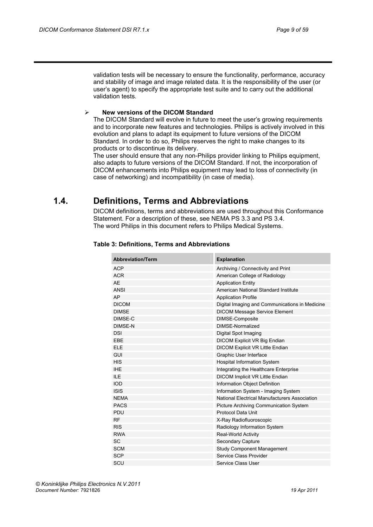validation tests will be necessary to ensure the functionality, performance, accuracy and stability of image and image related data. It is the responsibility of the user (or user's agent) to specify the appropriate test suite and to carry out the additional validation tests.

## ¾ **New versions of the DICOM Standard**

The DICOM Standard will evolve in future to meet the user's growing requirements and to incorporate new features and technologies. Philips is actively involved in this evolution and plans to adapt its equipment to future versions of the DICOM Standard. In order to do so, Philips reserves the right to make changes to its products or to discontinue its delivery.

The user should ensure that any non-Philips provider linking to Philips equipment, also adapts to future versions of the DICOM Standard. If not, the incorporation of DICOM enhancements into Philips equipment may lead to loss of connectivity (in case of networking) and incompatibility (in case of media).

## <span id="page-8-0"></span>**1.4. Definitions, Terms and Abbreviations**

DICOM definitions, terms and abbreviations are used throughout this Conformance Statement. For a description of these, see NEMA PS 3.3 and PS 3.4. The word Philips in this document refers to Philips Medical Systems.

| <b>Abbreviation/Term</b> | <b>Explanation</b>                             |
|--------------------------|------------------------------------------------|
| <b>ACP</b>               | Archiving / Connectivity and Print             |
| <b>ACR</b>               | American College of Radiology                  |
| <b>AE</b>                | <b>Application Entity</b>                      |
| <b>ANSI</b>              | American National Standard Institute           |
| AP                       | <b>Application Profile</b>                     |
| <b>DICOM</b>             | Digital Imaging and Communications in Medicine |
| <b>DIMSE</b>             | <b>DICOM Message Service Element</b>           |
| DIMSE-C                  | DIMSE-Composite                                |
| <b>DIMSE-N</b>           | DIMSE-Normalized                               |
| <b>DSI</b>               | Digital Spot Imaging                           |
| EBE                      | DICOM Explicit VR Big Endian                   |
| <b>ELE</b>               | <b>DICOM Explicit VR Little Endian</b>         |
| GUI                      | Graphic User Interface                         |
| <b>HIS</b>               | <b>Hospital Information System</b>             |
| <b>IHE</b>               | Integrating the Healthcare Enterprise          |
| ILE                      | DICOM Implicit VR Little Endian                |
| <b>IOD</b>               | Information Object Definition                  |
| <b>ISIS</b>              | Information System - Imaging System            |
| <b>NEMA</b>              | National Electrical Manufacturers Association  |
| <b>PACS</b>              | Picture Archiving Communication System         |
| <b>PDU</b>               | Protocol Data Unit                             |
| <b>RF</b>                | X-Ray Radiofluoroscopic                        |
| <b>RIS</b>               | Radiology Information System                   |
| <b>RWA</b>               | <b>Real-World Activity</b>                     |
| <b>SC</b>                | Secondary Capture                              |
| <b>SCM</b>               | <b>Study Component Management</b>              |
| <b>SCP</b>               | Service Class Provider                         |
| SCU                      | Service Class User                             |

## **Table 3: Definitions, Terms and Abbreviations**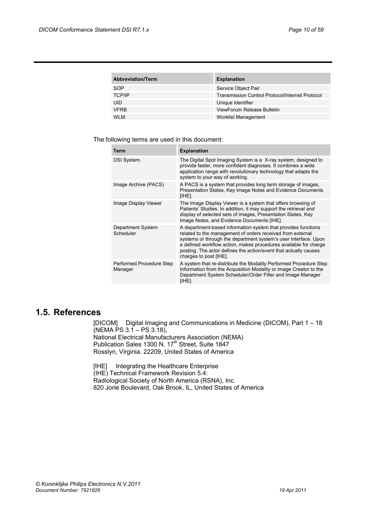| <b>Abbreviation/Term</b> | <b>Explanation</b>                                     |
|--------------------------|--------------------------------------------------------|
| <b>SOP</b>               | Service Object Pair                                    |
| <b>TCP/IP</b>            | <b>Transmission Control Protocol/Internet Protocol</b> |
| <b>UID</b>               | Unique Identifier                                      |
| <b>VFRB</b>              | ViewForum Release Bulletin                             |
| <b>WLM</b>               | <b>Worklist Management</b>                             |

The following terms are used in this document:

| Term                                | <b>Explanation</b>                                                                                                                                                                                                                                                                                                                                               |
|-------------------------------------|------------------------------------------------------------------------------------------------------------------------------------------------------------------------------------------------------------------------------------------------------------------------------------------------------------------------------------------------------------------|
| DSI System.                         | The Digital Spot Imaging System is a X-ray system, designed to<br>provide faster, more confident diagnoses. It combines a wide<br>application range with revolutionary technology that adapts the<br>system to your way of working.                                                                                                                              |
| Image Archive (PACS)                | A PACS is a system that provides long term storage of images,<br>Presentation States, Key Image Notes and Evidence Documents<br>[IHE].                                                                                                                                                                                                                           |
| Image Display Viewer                | The Image Display Viewer is a system that offers browsing of<br>Patients' Studies. In addition, it may support the retrieval and<br>display of selected sets of images, Presentation States, Key<br>Image Notes, and Evidence Documents [IHE].                                                                                                                   |
| Department System<br>Scheduler      | A department-based information system that provides functions<br>related to the management of orders received from external<br>systems or through the department system's user interface. Upon<br>a defined workflow action, makes procedures available for charge<br>posting. The actor defines the action/event that actually causes<br>charges to post [IHE]. |
| Performed Procedure Step<br>Manager | A system that re-distribute the Modality Performed Procedure Step<br>Information from the Acquisition Modality or image Creator to the<br>Department System Scheduler/Order Filler and Image Manager<br>[IHE].                                                                                                                                                   |

## <span id="page-9-0"></span>**1.5. References**

[DICOM] Digital Imaging and Communications in Medicine (DICOM), Part 1 – 18 (NEMA PS 3.1 – PS 3.18), National Electrical Manufacturers Association (NEMA) Publication Sales 1300 N. 17<sup>th</sup> Street, Suite 1847 Rosslyn, Virginia. 22209, United States of America

[IHE] Integrating the Healthcare Enterprise (IHE) Technical Framework Revision 5.4: Radiological Society of North America (RSNA), Inc. 820 Jorie Boulevard, Oak Brook, IL, United States of America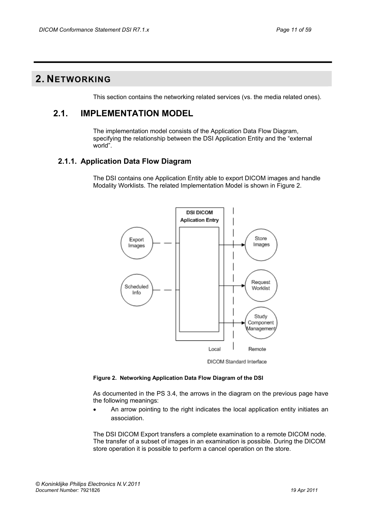## <span id="page-10-1"></span><span id="page-10-0"></span>**2. NETWORKING**

This section contains the networking related services (vs. the media related ones).

## **2.1. IMPLEMENTATION MODEL**

The implementation model consists of the Application Data Flow Diagram, specifying the relationship between the DSI Application Entity and the "external world".

## <span id="page-10-2"></span>**2.1.1. Application Data Flow Diagram**

The DSI contains one Application Entity able to export DICOM images and handle Modality Worklists. The related Implementation Model is shown in Figure 2.

![](_page_10_Figure_8.jpeg)

DICOM Standard Interface

## **Figure 2. Networking Application Data Flow Diagram of the DSI**

As documented in the PS 3.4, the arrows in the diagram on the previous page have the following meanings:

• An arrow pointing to the right indicates the local application entity initiates an association.

The DSI DICOM Export transfers a complete examination to a remote DICOM node. The transfer of a subset of images in an examination is possible. During the DICOM store operation it is possible to perform a cancel operation on the store.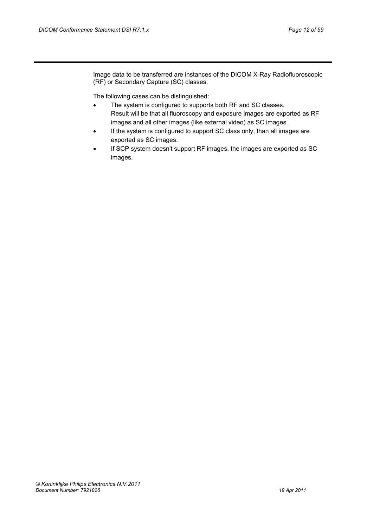Image data to be transferred are instances of the DICOM X-Ray Radiofluoroscopic (RF) or Secondary Capture (SC) classes.

The following cases can be distinguished:

- The system is configured to supports both RF and SC classes. Result will be that all fluoroscopy and exposure images are exported as RF images and all other images (like external video) as SC images.
- If the system is configured to support SC class only, than all images are exported as SC images.
- If SCP system doesn't support RF images, the images are exported as SC images.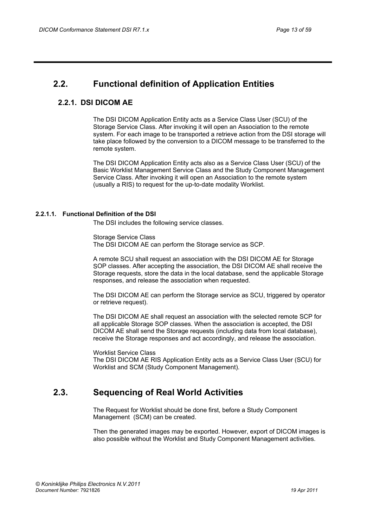## <span id="page-12-1"></span><span id="page-12-0"></span>**2.2. Functional definition of Application Entities**

## **2.2.1. DSI DICOM AE**

The DSI DICOM Application Entity acts as a Service Class User (SCU) of the Storage Service Class. After invoking it will open an Association to the remote system. For each image to be transported a retrieve action from the DSI storage will take place followed by the conversion to a DICOM message to be transferred to the remote system.

The DSI DICOM Application Entity acts also as a Service Class User (SCU) of the Basic Worklist Management Service Class and the Study Component Management Service Class. After invoking it will open an Association to the remote system (usually a RIS) to request for the up-to-date modality Worklist.

## <span id="page-12-2"></span>**2.2.1.1. Functional Definition of the DSI**

The DSI includes the following service classes.

Storage Service Class The DSI DICOM AE can perform the Storage service as SCP.

A remote SCU shall request an association with the DSI DICOM AE for Storage SOP classes. After accepting the association, the DSI DICOM AE shall receive the Storage requests, store the data in the local database, send the applicable Storage responses, and release the association when requested.

The DSI DICOM AE can perform the Storage service as SCU, triggered by operator or retrieve request).

The DSI DICOM AE shall request an association with the selected remote SCP for all applicable Storage SOP classes. When the association is accepted, the DSI DICOM AE shall send the Storage requests (including data from local database), receive the Storage responses and act accordingly, and release the association.

#### Worklist Service Class

The DSI DICOM AE RIS Application Entity acts as a Service Class User (SCU) for Worklist and SCM (Study Component Management).

## <span id="page-12-3"></span>**2.3. Sequencing of Real World Activities**

The Request for Worklist should be done first, before a Study Component Management (SCM) can be created.

Then the generated images may be exported. However, export of DICOM images is also possible without the Worklist and Study Component Management activities.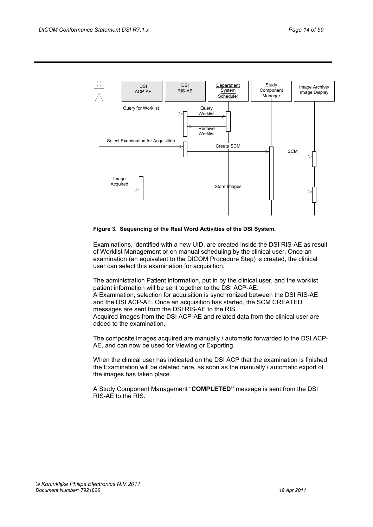![](_page_13_Figure_2.jpeg)

#### **Figure 3. Sequencing of the Real Word Activities of the DSI System.**

Examinations, identified with a new UID, are created inside the DSI RIS-AE as result of Worklist Management or on manual scheduling by the clinical user. Once an examination (an equivalent to the DICOM Procedure Step) is created, the clinical user can select this examination for acquisition.

The administration Patient information, put in by the clinical user, and the worklist patient information will be sent together to the DSI ACP-AE. A Examination, selection for acquisition is synchronized between the DSI RIS-AE and the DSI ACP-AE. Once an acquisition has started, the SCM CREATED messages are sent from the DSI RIS-AE to the RIS. Acquired images from the DSI ACP-AE and related data from the clinical user are added to the examination.

The composite images acquired are manually / automatic forwarded to the DSI ACP-AE, and can now be used for Viewing or Exporting.

When the clinical user has indicated on the DSI ACP that the examination is finished the Examination will be deleted here, as soon as the manually / automatic export of the images has taken place.

A Study Component Management "**COMPLETED"** message is sent from the DSI RIS-AE to the RIS.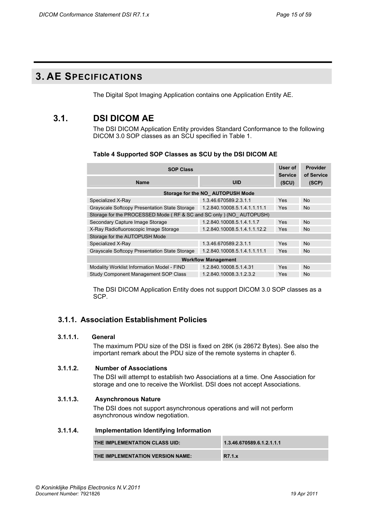## <span id="page-14-0"></span>**3. AE SPECIFICATIONS**

The Digital Spot Imaging Application contains one Application Entity AE.

## <span id="page-14-1"></span>**3.1. DSI DICOM AE**

The DSI DICOM Application Entity provides Standard Conformance to the following DICOM 3.0 SOP classes as an SCU specified in Table 1.

| <b>SOP Class</b>                                                   |                                  |                         | Provider            |  |  |
|--------------------------------------------------------------------|----------------------------------|-------------------------|---------------------|--|--|
| <b>Name</b>                                                        | <b>UID</b>                       | <b>Service</b><br>(SCU) | of Service<br>(SCP) |  |  |
|                                                                    | Storage for the NO AUTOPUSH Mode |                         |                     |  |  |
| Specialized X-Ray                                                  | 1.3.46.670589.2.3.1.1            | <b>Yes</b>              | <b>No</b>           |  |  |
| Grayscale Softcopy Presentation State Storage                      | 1.2.840.10008.5.1.4.1.1.11.1     | <b>Yes</b>              | <b>No</b>           |  |  |
| Storage for the PROCESSED Mode (RF & SC and SC only) (NO AUTOPUSH) |                                  |                         |                     |  |  |
| Secondary Capture Image Storage                                    | 1.2.840.10008.5.1.4.1.1.7        | <b>Yes</b>              | No.                 |  |  |
| X-Ray Radiofluoroscopic Image Storage                              | 1.2.840.10008.5.1.4.1.1.12.2     | <b>Yes</b>              | No.                 |  |  |
| Storage for the AUTOPUSH Mode                                      |                                  |                         |                     |  |  |
| Specialized X-Ray                                                  | 1.3.46.670589.2.3.1.1            | <b>Yes</b>              | No.                 |  |  |
| Grayscale Softcopy Presentation State Storage                      | 1.2.840.10008.5.1.4.1.1.11.1     | Yes                     | No.                 |  |  |
| <b>Workflow Management</b>                                         |                                  |                         |                     |  |  |
| Modality Worklist Information Model - FIND                         | 1.2.840.10008.5.1.4.31           | <b>Yes</b>              | <b>No</b>           |  |  |
| Study Component Management SOP Class                               | 1.2.840.10008.3.1.2.3.2          | <b>Yes</b>              | No.                 |  |  |

The DSI DICOM Application Entity does not support DICOM 3.0 SOP classes as a SCP.

## <span id="page-14-2"></span>**3.1.1. Association Establishment Policies**

## <span id="page-14-3"></span>**3.1.1.1. General**

The maximum PDU size of the DSI is fixed on 28K (is 28672 Bytes). See also the important remark about the PDU size of the remote systems in chapter 6.

## <span id="page-14-4"></span>**3.1.1.2. Number of Associations**

The DSI will attempt to establish two Associations at a time. One Association for storage and one to receive the Worklist. DSI does not accept Associations.

## <span id="page-14-5"></span>**3.1.1.3. Asynchronous Nature**

The DSI does not support asynchronous operations and will not perform asynchronous window negotiation.

## <span id="page-14-6"></span>**3.1.1.4. Implementation Identifying Information**

| THE IMPLEMENTATION CLASS UID:    | 1.3.46.670589.6.1.2.1.1.1 |
|----------------------------------|---------------------------|
| THE IMPLEMENTATION VERSION NAME: | R7.1.x                    |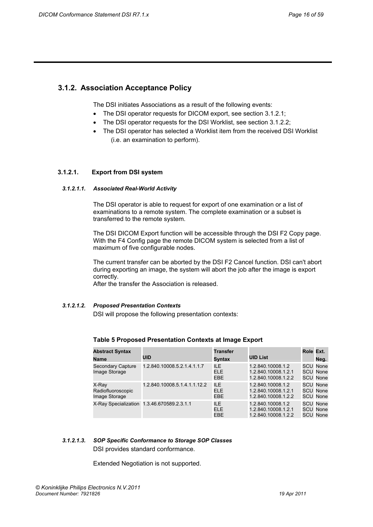## <span id="page-15-0"></span>**3.1.2. Association Acceptance Policy**

The DSI initiates Associations as a result of the following events:

- The DSI operator requests for DICOM export, see section 3.1.2.1;
- The DSI operator requests for the DSI Worklist, see section 3.1.2.2;
- The DSI operator has selected a Worklist item from the received DSI Worklist (i.e. an examination to perform).

## <span id="page-15-1"></span>**3.1.2.1. Export from DSI system**

#### *3.1.2.1.1. Associated Real-World Activity*

The DSI operator is able to request for export of one examination or a list of examinations to a remote system. The complete examination or a subset is transferred to the remote system.

The DSI DICOM Export function will be accessible through the DSI F2 Copy page. With the F4 Config page the remote DICOM system is selected from a list of maximum of five configurable nodes.

The current transfer can be aborted by the DSI F2 Cancel function. DSI can't abort during exporting an image, the system will abort the job after the image is export correctly.

After the transfer the Association is released.

#### *3.1.2.1.2. Proposed Presentation Contexts*

DSI will propose the following presentation contexts:

| <b>Abstract Syntax</b><br><b>Name</b>       | UID                                        | <b>Transfer</b><br><b>Syntax</b> | <b>UID List</b>                                                 | Role Ext. | Neg.                                                  |
|---------------------------------------------|--------------------------------------------|----------------------------------|-----------------------------------------------------------------|-----------|-------------------------------------------------------|
| <b>Secondary Capture</b><br>Image Storage   | 1.2.840.10008.5.2.1.4.1.1.7                | <b>ILE</b><br>ELE.<br>EBE        | 1.2.840.10008.1.2<br>1.2.840.10008.1.2.1<br>1.2.840.10008.1.2.2 |           | <b>SCU None</b><br><b>SCU None</b><br><b>SCU None</b> |
| X-Ray<br>Radiofluoroscopic<br>Image Storage | 1.2.840.10008.5.1.4.1.1.12.2               | <b>ILE</b><br>ELE.<br>EBE.       | 1.2.840.10008.1.2<br>1.2.840.10008.1.2.1<br>1.2.840.10008.1.2.2 |           | <b>SCU None</b><br><b>SCU None</b><br><b>SCU None</b> |
|                                             | X-Ray Specialization 1.3.46.670589.2.3.1.1 | ILE.<br>ELE.<br>EBE              | 1.2.840.10008.1.2<br>1.2.840.10008.1.2.1<br>1.2.840.10008.1.2.2 |           | <b>SCU None</b><br><b>SCU None</b><br><b>SCU None</b> |

## **Table 5 Proposed Presentation Contexts at Image Export**

## *3.1.2.1.3. SOP Specific Conformance to Storage SOP Classes*  DSI provides standard conformance.

Extended Negotiation is not supported.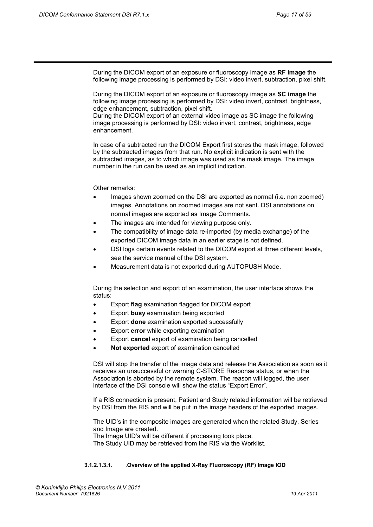During the DICOM export of an exposure or fluoroscopy image as **RF image** the following image processing is performed by DSI: video invert, subtraction, pixel shift.

During the DICOM export of an exposure or fluoroscopy image as **SC image** the following image processing is performed by DSI: video invert, contrast, brightness, edge enhancement, subtraction, pixel shift.

During the DICOM export of an external video image as SC image the following image processing is performed by DSI: video invert, contrast, brightness, edge enhancement.

In case of a subtracted run the DICOM Export first stores the mask image, followed by the subtracted images from that run. No explicit indication is sent with the subtracted images, as to which image was used as the mask image. The image number in the run can be used as an implicit indication.

Other remarks:

- Images shown zoomed on the DSI are exported as normal (i.e. non zoomed) images. Annotations on zoomed images are not sent. DSI annotations on normal images are exported as Image Comments.
- The images are intended for viewing purpose only.
- The compatibility of image data re-imported (by media exchange) of the exported DICOM image data in an earlier stage is not defined.
- DSI logs certain events related to the DICOM export at three different levels, see the service manual of the DSI system.
- Measurement data is not exported during AUTOPUSH Mode.

During the selection and export of an examination, the user interface shows the status:

- Export **flag** examination flagged for DICOM export
- Export **busy** examination being exported
- Export **done** examination exported successfully
- Export **error** while exporting examination
- Export **cancel** export of examination being cancelled
- **Not exported** export of examination cancelled

DSI will stop the transfer of the image data and release the Association as soon as it receives an unsuccessful or warning C-STORE Response status, or when the Association is aborted by the remote system. The reason will logged, the user interface of the DSI console will show the status "Export Error".

If a RIS connection is present, Patient and Study related information will be retrieved by DSI from the RIS and will be put in the image headers of the exported images.

The UID's in the composite images are generated when the related Study, Series and Image are created.

The Image UID's will be different if processing took place.

The Study UID may be retrieved from the RIS via the Worklist.

#### **3.1.2.1.3.1.** .**Overview of the applied X-Ray Fluoroscopy (RF) Image IOD**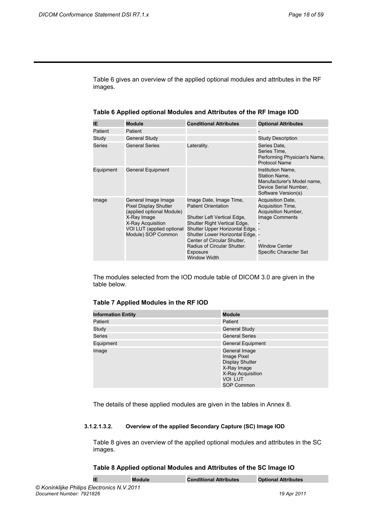Table 6 gives an overview of the applied optional modules and attributes in the RF images.

| IΕ        | <b>Module</b>                                                                                                                                                           | <b>Conditional Attributes</b>                                                                                                                                                                                                                                                                 | <b>Optional Attributes</b>                                                                                                               |
|-----------|-------------------------------------------------------------------------------------------------------------------------------------------------------------------------|-----------------------------------------------------------------------------------------------------------------------------------------------------------------------------------------------------------------------------------------------------------------------------------------------|------------------------------------------------------------------------------------------------------------------------------------------|
| Patient   | Patient                                                                                                                                                                 |                                                                                                                                                                                                                                                                                               |                                                                                                                                          |
| Study     | <b>General Study</b>                                                                                                                                                    |                                                                                                                                                                                                                                                                                               | <b>Study Description</b>                                                                                                                 |
| Series    | <b>General Series</b>                                                                                                                                                   | Laterality.                                                                                                                                                                                                                                                                                   | Series Date,<br>Series Time,<br>Performing Physician's Name,<br>Protocol Name                                                            |
| Equipment | General Equipment                                                                                                                                                       |                                                                                                                                                                                                                                                                                               | Institution Name,<br>Station Name.<br>Manufacturer's Model name,<br>Device Serial Number,<br>Software Version(s)                         |
| Image     | General Image Image<br><b>Pixel Display Shutter</b><br>(applied optional Module)<br>X-Ray Image<br>X-Ray Acquisition<br>VOI LUT (applied optional<br>Module) SOP Common | Image Date, Image Time,<br><b>Patient Orientation</b><br>Shutter Left Vertical Edge,<br>Shutter Right Vertical Edge,<br>Shutter Upper Horizontal Edge, -<br>Shutter Lower Horizontal Edge, -<br>Center of Circular Shutter,<br>Radius of Circular Shutter.<br>Exposure<br><b>Window Width</b> | <b>Acquisition Date,</b><br>Acquisition Time,<br>Acquisition Number,<br>Image Comments<br><b>Window Center</b><br>Specific Character Set |

**Table 6 Applied optional Modules and Attributes of the RF Image IOD** 

The modules selected from the IOD module table of DICOM 3.0 are given in the table below.

## **Table 7 Applied Modules in the RF IOD**

| <b>Information Entity</b> | <b>Module</b>                                                                                                              |
|---------------------------|----------------------------------------------------------------------------------------------------------------------------|
| Patient                   | Patient                                                                                                                    |
| Study                     | <b>General Study</b>                                                                                                       |
| <b>Series</b>             | <b>General Series</b>                                                                                                      |
| Equipment                 | <b>General Equipment</b>                                                                                                   |
| Image                     | General Image<br>Image Pixel<br><b>Display Shutter</b><br>X-Ray Image<br>X-Ray Acquisition<br><b>VOI LUT</b><br>SOP Common |

The details of these applied modules are given in the tables in Annex 8.

### **3.1.2.1.3.2. Overview of the applied Secondary Capture (SC) Image IOD**

Table 8 gives an overview of the applied optional modules and attributes in the SC images.

### **Table 8 Applied optional Modules and Attributes of the SC Image IO**

|                                            | Module | <b>Conditional Attributes</b> | <b>Optional Attributes</b> |
|--------------------------------------------|--------|-------------------------------|----------------------------|
| © Koninklijke Philips Electronics N.V.2011 |        |                               |                            |
| Document Number: 7921826                   |        |                               | 19 Apr 2011                |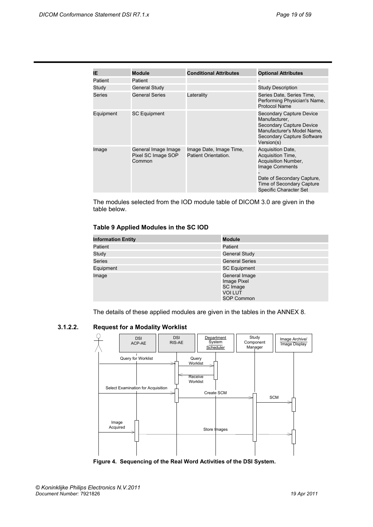| IE.       | <b>Module</b>                                       | <b>Conditional Attributes</b>                   | <b>Optional Attributes</b>                                                                                                                                                  |
|-----------|-----------------------------------------------------|-------------------------------------------------|-----------------------------------------------------------------------------------------------------------------------------------------------------------------------------|
| Patient   | Patient                                             |                                                 |                                                                                                                                                                             |
| Study     | <b>General Study</b>                                |                                                 | <b>Study Description</b>                                                                                                                                                    |
| Series    | <b>General Series</b>                               | Laterality                                      | Series Date, Series Time,<br>Performing Physician's Name,<br>Protocol Name                                                                                                  |
| Equipment | <b>SC Equipment</b>                                 |                                                 | Secondary Capture Device<br>Manufacturer.<br>Secondary Capture Device<br>Manufacturer's Model Name,<br>Secondary Capture Software<br>Version(s)                             |
| Image     | General Image Image<br>Pixel SC Image SOP<br>Common | Image Date, Image Time,<br>Patient Orientation. | Acquisition Date,<br>Acquisition Time,<br>Acquisition Number,<br>Image Comments<br>Date of Secondary Capture,<br><b>Time of Secondary Capture</b><br>Specific Character Set |

The modules selected from the IOD module table of DICOM 3.0 are given in the table below.

## **Table 9 Applied Modules in the SC IOD**

| <b>Information Entity</b> | <b>Module</b>                                                     |
|---------------------------|-------------------------------------------------------------------|
| Patient                   | Patient                                                           |
| Study                     | <b>General Study</b>                                              |
| <b>Series</b>             | <b>General Series</b>                                             |
| Equipment                 | <b>SC Equipment</b>                                               |
| Image                     | General Image<br>Image Pixel<br>SC Image<br>VOI LUT<br>SOP Common |

The details of these applied modules are given in the tables in the ANNEX 8.

<span id="page-18-0"></span>**3.1.2.2. Request for a Modality Worklist** 

![](_page_18_Figure_8.jpeg)

**Figure 4. Sequencing of the Real Word Activities of the DSI System.**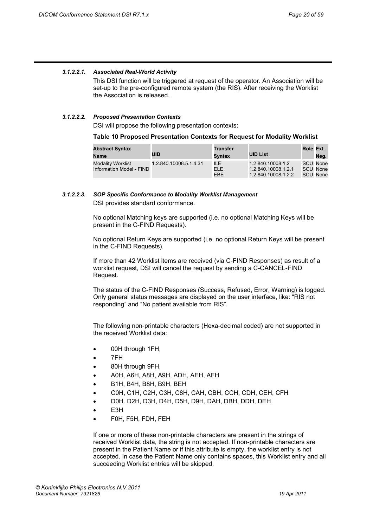## *3.1.2.2.1. Associated Real-World Activity*

This DSI function will be triggered at request of the operator. An Association will be set-up to the pre-configured remote system (the RIS). After receiving the Worklist the Association is released.

#### *3.1.2.2.2. Proposed Presentation Contexts*

DSI will propose the following presentation contexts:

**Table 10 Proposed Presentation Contexts for Request for Modality Worklist** 

| <b>Abstract Syntax</b><br>Name                       | <b>UID</b>             | <b>Transfer</b><br>Svntax | <b>UID List</b>                                                 | Role Ext. | Neg.                             |
|------------------------------------------------------|------------------------|---------------------------|-----------------------------------------------------------------|-----------|----------------------------------|
| <b>Modality Worklist</b><br>Information Model - FIND | 1.2.840.10008.5.1.4.31 | ILE.<br>ELE.<br>EBE       | 1.2.840.10008.1.2<br>1.2.840.10008.1.2.1<br>1.2.840.10008.1.2.2 |           | SCU None<br>SCU None<br>SCU None |

## *3.1.2.2.3. SOP Specific Conformance to Modality Worklist Management*  DSI provides standard conformance.

No optional Matching keys are supported (i.e. no optional Matching Keys will be present in the C-FIND Requests).

No optional Return Keys are supported (i.e. no optional Return Keys will be present in the C-FIND Requests).

If more than 42 Worklist items are received (via C-FIND Responses) as result of a worklist request, DSI will cancel the request by sending a C-CANCEL-FIND Request.

The status of the C-FIND Responses (Success, Refused, Error, Warning) is logged. Only general status messages are displayed on the user interface, like: "RIS not responding" and "No patient available from RIS".

The following non-printable characters (Hexa-decimal coded) are not supported in the received Worklist data:

- 00H through 1FH,
- 7FH
- 80H through 9FH,
- A0H, A6H, A8H, A9H, ADH, AEH, AFH
- B1H, B4H, B8H, B9H, BEH
- C0H, C1H, C2H, C3H, C8H, CAH, CBH, CCH, CDH, CEH, CFH
- D0H. D2H, D3H, D4H, D5H, D9H, DAH, DBH, DDH, DEH
- E<sub>3</sub>H
- F0H, F5H, FDH, FEH

If one or more of these non-printable characters are present in the strings of received Worklist data, the string is not accepted. If non-printable characters are present in the Patient Name or if this attribute is empty, the worklist entry is not accepted. In case the Patient Name only contains spaces, this Worklist entry and all succeeding Worklist entries will be skipped.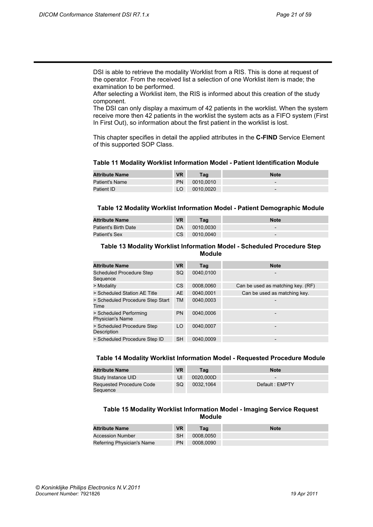DSI is able to retrieve the modality Worklist from a RIS. This is done at request of the operator. From the received list a selection of one Worklist item is made; the examination to be performed.

After selecting a Worklist item, the RIS is informed about this creation of the study component.

The DSI can only display a maximum of 42 patients in the worklist. When the system receive more then 42 patients in the worklist the system acts as a FIFO system (First In First Out), so information about the first patient in the worklist is lost.

This chapter specifies in detail the applied attributes in the **C-FIND** Service Element of this supported SOP Class.

#### **Table 11 Modality Worklist Information Model - Patient Identification Module**

| <b>Attribute Name</b> | <b>VR</b> | Taɑ       | <b>Note</b>              |
|-----------------------|-----------|-----------|--------------------------|
| Patient's Name        | PN        | 0010,0010 | $\overline{\phantom{a}}$ |
| Patient ID            |           | 0010,0020 | $\overline{\phantom{a}}$ |

#### **Table 12 Modality Worklist Information Model - Patient Demographic Module**

| <b>Attribute Name</b> | <b>VR</b> | Taɑ       | <b>Note</b>              |
|-----------------------|-----------|-----------|--------------------------|
| Patient's Birth Date  | DA        | 0010.0030 | $\overline{\phantom{a}}$ |
| <b>Patient's Sex</b>  | CS.       | 0010,0040 | $\overline{\phantom{a}}$ |

#### **Table 13 Modality Worklist Information Model - Scheduled Procedure Step Module**

| <b>Attribute Name</b>                             | <b>VR</b> | Tag       | <b>Note</b>                       |
|---------------------------------------------------|-----------|-----------|-----------------------------------|
| <b>Scheduled Procedure Step</b><br>Sequence       | SQ        | 0040.0100 | $\overline{a}$                    |
| > Modality                                        | <b>CS</b> | 0008,0060 | Can be used as matching key. (RF) |
| > Scheduled Station AE Title                      | <b>AE</b> | 0040.0001 | Can be used as matching key.      |
| > Scheduled Procedure Step Start<br>Time          | <b>TM</b> | 0040.0003 |                                   |
| > Scheduled Performing<br><b>Physician's Name</b> | <b>PN</b> | 0040.0006 |                                   |
| > Scheduled Procedure Step<br>Description         | LO        | 0040.0007 |                                   |
| > Scheduled Procedure Step ID                     | <b>SH</b> | 0040.0009 | -                                 |

#### **Table 14 Modality Worklist Information Model - Requested Procedure Module**

| <b>Attribute Name</b>                | <b>VR</b> | Tag       | <b>Note</b>              |
|--------------------------------------|-----------|-----------|--------------------------|
| Study Instance UID                   | UI        | 0020.000D | $\overline{\phantom{0}}$ |
| Requested Procedure Code<br>Sequence | <b>SQ</b> | 0032.1064 | Default: EMPTY           |

### **Table 15 Modality Worklist Information Model - Imaging Service Request Module**

| <b>Attribute Name</b>      | <b>VR</b> | Tag       | <b>Note</b> |
|----------------------------|-----------|-----------|-------------|
| <b>Accession Number</b>    | <b>SH</b> | 0008.0050 |             |
| Referring Physician's Name | <b>PN</b> | 0008.0090 |             |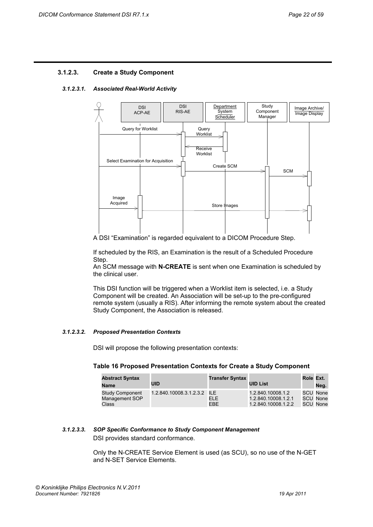## <span id="page-21-0"></span>**3.1.2.3. Create a Study Component**

#### *3.1.2.3.1. Associated Real-World Activity*

![](_page_21_Figure_4.jpeg)

A DSI "Examination" is regarded equivalent to a DICOM Procedure Step.

If scheduled by the RIS, an Examination is the result of a Scheduled Procedure Step.

An SCM message with **N-CREATE** is sent when one Examination is scheduled by the clinical user.

This DSI function will be triggered when a Worklist item is selected, i.e. a Study Component will be created. An Association will be set-up to the pre-configured remote system (usually a RIS). After informing the remote system about the created Study Component, the Association is released.

#### *3.1.2.3.2. Proposed Presentation Contexts*

DSI will propose the following presentation contexts:

#### **Table 16 Proposed Presentation Contexts for Create a Study Component**

| <b>Abstract Syntax</b><br><b>Name</b>             | UID                         | <b>Transfer Syntax</b> | <b>UID List</b>                                                 | Role Ext. | Neg.                                    |
|---------------------------------------------------|-----------------------------|------------------------|-----------------------------------------------------------------|-----------|-----------------------------------------|
| <b>Study Component</b><br>Management SOP<br>Class | 1.2.840.10008.3.1.2.3.2 ILE | ELE.<br>EBE            | 1.2.840.10008.1.2<br>1.2.840.10008.1.2.1<br>1.2.840.10008.1.2.2 |           | SCU None<br>SCU None<br><b>SCU None</b> |

## *3.1.2.3.3. SOP Specific Conformance to Study Component Management*  DSI provides standard conformance.

Only the N-CREATE Service Element is used (as SCU), so no use of the N-GET and N-SET Service Elements.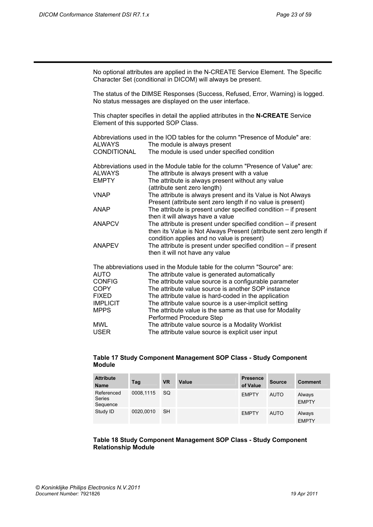No optional attributes are applied in the N-CREATE Service Element. The Specific Character Set (conditional in DICOM) will always be present. The status of the DIMSE Responses (Success, Refused, Error, Warning) is logged. No status messages are displayed on the user interface. This chapter specifies in detail the applied attributes in the **N-CREATE** Service Element of this supported SOP Class. Abbreviations used in the IOD tables for the column "Presence of Module" are: ALWAYS The module is always present CONDITIONAL The module is used under specified condition Abbreviations used in the Module table for the column "Presence of Value" are: ALWAYS The attribute is always present with a value EMPTY The attribute is always present without any value (attribute sent zero length)<br>VNAP The attribute is always pres The attribute is always present and its Value is Not Always Present (attribute sent zero length if no value is present)<br>ANAP The attribute is present under specified condition – if pres The attribute is present under specified condition  $-$  if present then it will always have a value<br>The attribute is present under s The attribute is present under specified condition  $-$  if present then its Value is Not Always Present (attribute sent zero length if condition applies and no value is present) ANAPEV The attribute is present under specified condition – if present then it will not have any value The abbreviations used in the Module table for the column "Source" are: AUTO The attribute value is generated automatically CONFIG The attribute value source is a configurable parameter COPY The attribute value source is another SOP instance FIXED The attribute value is hard-coded in the application IMPLICIT The attribute value source is a user-implicit setting MPPS The attribute value is the same as that use for Modality Performed Procedure Step MWL The attribute value source is a Modality Worklist USER The attribute value source is explicit user input

## **Table 17 Study Component Management SOP Class - Study Component Module**

| <b>Attribute</b><br><b>Name</b>         | Tag       | <b>VR</b> | Value | <b>Presence</b><br>of Value | <b>Source</b> | <b>Comment</b>         |
|-----------------------------------------|-----------|-----------|-------|-----------------------------|---------------|------------------------|
| Referenced<br><b>Series</b><br>Sequence | 0008,1115 | <b>SQ</b> |       | <b>EMPTY</b>                | <b>AUTO</b>   | Always<br><b>EMPTY</b> |
| Study ID                                | 0020,0010 | <b>SH</b> |       | <b>EMPTY</b>                | <b>AUTO</b>   | Always<br><b>EMPTY</b> |

## **Table 18 Study Component Management SOP Class - Study Component Relationship Module**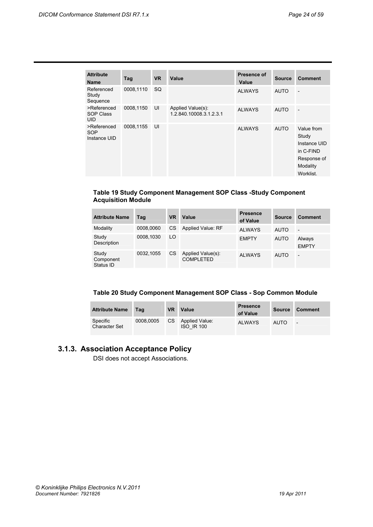| <b>Attribute</b><br><b>Name</b>               | Tag       | <b>VR</b> | Value                                        | Presence of<br>Value | <b>Source</b> | <b>Comment</b>                                                                           |
|-----------------------------------------------|-----------|-----------|----------------------------------------------|----------------------|---------------|------------------------------------------------------------------------------------------|
| Referenced<br>Study<br>Sequence               | 0008,1110 | <b>SQ</b> |                                              | <b>ALWAYS</b>        | <b>AUTO</b>   | $\overline{a}$                                                                           |
| >Referenced<br><b>SOP Class</b><br><b>UID</b> | 0008,1150 | UI        | Applied Value(s):<br>1.2.840.10008.3.1.2.3.1 | <b>ALWAYS</b>        | <b>AUTO</b>   | $\overline{\phantom{a}}$                                                                 |
| >Referenced<br>SOP<br>Instance UID            | 0008,1155 | UI        |                                              | <b>ALWAYS</b>        | <b>AUTO</b>   | Value from<br>Study<br>Instance UID<br>in C-FIND<br>Response of<br>Modality<br>Worklist. |

## **Table 19 Study Component Management SOP Class -Study Component Acquisition Module**

| <b>Attribute Name</b>           | Tag       | <b>VR</b> | Value                                 | <b>Presence</b><br>of Value | <b>Source</b> | <b>Comment</b>           |
|---------------------------------|-----------|-----------|---------------------------------------|-----------------------------|---------------|--------------------------|
| Modality                        | 0008.0060 | СS        | Applied Value: RF                     | <b>ALWAYS</b>               | <b>AUTO</b>   | $\overline{\phantom{a}}$ |
| Study<br>Description            | 0008.1030 | LO        |                                       | <b>EMPTY</b>                | <b>AUTO</b>   | Always<br><b>EMPTY</b>   |
| Study<br>Component<br>Status ID | 0032.1055 | <b>CS</b> | Applied Value(s):<br><b>COMPLETED</b> | <b>ALWAYS</b>               | <b>AUTO</b>   | $\overline{\phantom{a}}$ |

## **Table 20 Study Component Management SOP Class - Sop Common Module**

| <b>Attribute Name</b>            | Tag       | <b>VR</b> | Value                                      | <b>Presence</b><br>of Value | Source      | Comment                  |
|----------------------------------|-----------|-----------|--------------------------------------------|-----------------------------|-------------|--------------------------|
| Specific<br><b>Character Set</b> | 0008.0005 | CS.       | <b>Applied Value:</b><br><b>ISO IR 100</b> | <b>ALWAYS</b>               | <b>AUTO</b> | $\overline{\phantom{a}}$ |

## <span id="page-23-0"></span>**3.1.3. Association Acceptance Policy**

DSI does not accept Associations.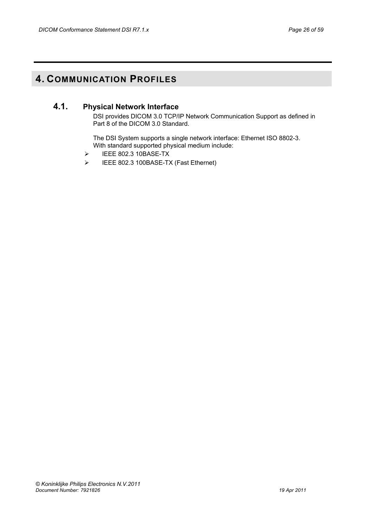## <span id="page-25-1"></span><span id="page-25-0"></span>**4. COMMUNICATION PROFILES**

## **4.1. Physical Network Interface**

DSI provides DICOM 3.0 TCP/IP Network Communication Support as defined in Part 8 of the DICOM 3.0 Standard.

The DSI System supports a single network interface: Ethernet ISO 8802-3. With standard supported physical medium include:

- ¾ IEEE 802.3 10BASE-TX
- ¾ IEEE 802.3 100BASE-TX (Fast Ethernet)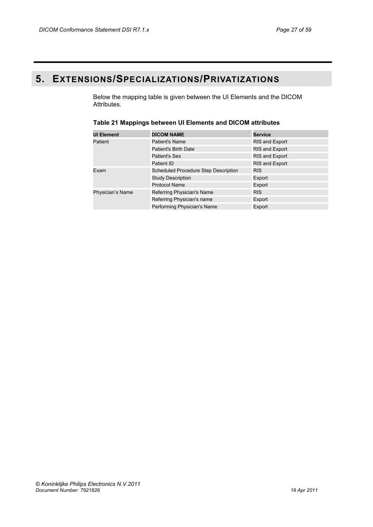## <span id="page-26-0"></span>**5. EXTENSIONS/SPECIALIZATIONS/PRIVATIZATIONS**

Below the mapping table is given between the UI Elements and the DICOM Attributes.

| <b>UI Element</b> | <b>DICOM NAME</b>                    | Service               |
|-------------------|--------------------------------------|-----------------------|
| Patient           | <b>Patient's Name</b>                | <b>RIS and Export</b> |
|                   | <b>Patient's Birth Date</b>          | <b>RIS and Export</b> |
|                   | Patient's Sex                        | <b>RIS and Export</b> |
|                   | Patient ID                           | <b>RIS and Export</b> |
| Exam              | Scheduled Procedure Step Description | <b>RIS</b>            |
|                   | <b>Study Description</b>             | Export                |
|                   | <b>Protocol Name</b>                 | Export                |
| Physician's Name  | Referring Physician's Name           | <b>RIS</b>            |
|                   | Referring Physician's name           | Export                |
|                   | Performing Physician's Name          | Export                |

## **Table 21 Mappings between UI Elements and DICOM attributes**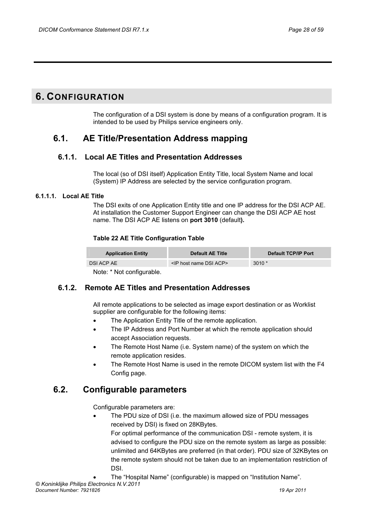## <span id="page-27-0"></span>**6. CONFIGURATION**

The configuration of a DSI system is done by means of a configuration program. It is intended to be used by Philips service engineers only.

## <span id="page-27-1"></span>**6.1. AE Title/Presentation Address mapping**

## **6.1.1. Local AE Titles and Presentation Addresses**

The local (so of DSI itself) Application Entity Title, local System Name and local (System) IP Address are selected by the service configuration program.

## <span id="page-27-3"></span><span id="page-27-2"></span>**6.1.1.1. Local AE Title**

The DSI exits of one Application Entity title and one IP address for the DSI ACP AE. At installation the Customer Support Engineer can change the DSI ACP AE host name. The DSI ACP AE listens on **port 3010** (default**).** 

## **Table 22 AE Title Configuration Table**

| <b>Application Entity</b> | <b>Default AE Title</b>                 | Default TCP/IP Port |  |  |  |
|---------------------------|-----------------------------------------|---------------------|--|--|--|
| DSI ACP AE                | <ip acp="" dsi="" host="" name=""></ip> | $3010*$             |  |  |  |
| .                         |                                         |                     |  |  |  |

Note: \* Not configurable.

## <span id="page-27-4"></span>**6.1.2. Remote AE Titles and Presentation Addresses**

All remote applications to be selected as image export destination or as Worklist supplier are configurable for the following items:

- The Application Entity Title of the remote application.
- The IP Address and Port Number at which the remote application should accept Association requests.
- The Remote Host Name (i.e. System name) of the system on which the remote application resides.
- The Remote Host Name is used in the remote DICOM system list with the F4 Config page.

## <span id="page-27-5"></span>**6.2. Configurable parameters**

Configurable parameters are:

• The PDU size of DSI (i.e. the maximum allowed size of PDU messages received by DSI) is fixed on 28KBytes. For optimal performance of the communication DSI - remote system, it is advised to configure the PDU size on the remote system as large as possible: unlimited and 64KBytes are preferred (in that order). PDU size of 32KBytes on the remote system should not be taken due to an implementation restriction of DSI.

• The "Hospital Name" (configurable) is mapped on "Institution Name".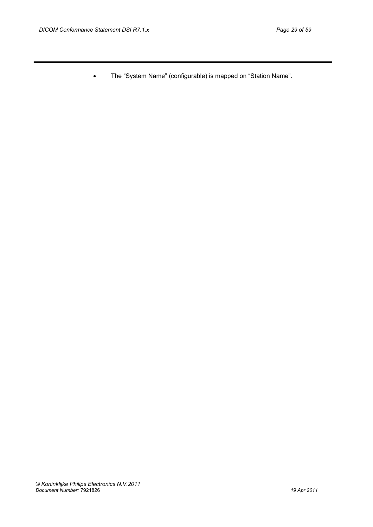• The "System Name" (configurable) is mapped on "Station Name".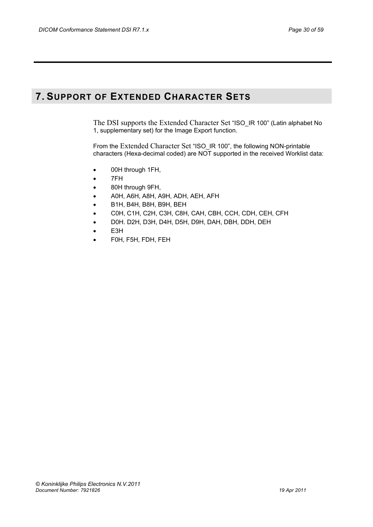## <span id="page-29-0"></span>**7. SUPPORT OF EXTENDED CHARACTER SETS**

The DSI supports the Extended Character Set "ISO\_IR 100" (Latin alphabet No 1, supplementary set) for the Image Export function.

From the Extended Character Set "ISO\_IR 100", the following NON-printable characters (Hexa-decimal coded) are NOT supported in the received Worklist data:

- 00H through 1FH,
- 7FH
- 80H through 9FH,
- A0H, A6H, A8H, A9H, ADH, AEH, AFH
- B1H, B4H, B8H, B9H, BEH
- C0H, C1H, C2H, C3H, C8H, CAH, CBH, CCH, CDH, CEH, CFH
- D0H. D2H, D3H, D4H, D5H, D9H, DAH, DBH, DDH, DEH
- E3H
- F0H, F5H, FDH, FEH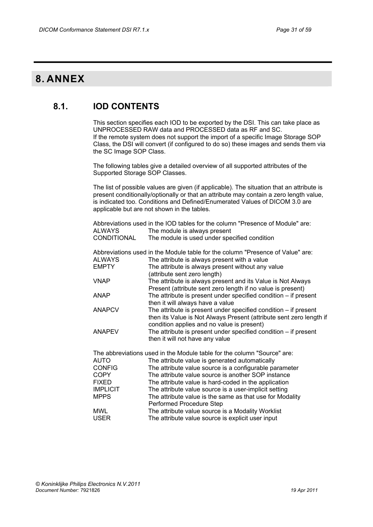## <span id="page-30-1"></span><span id="page-30-0"></span>**8. ANNEX**

## **8.1. IOD CONTENTS**

This section specifies each IOD to be exported by the DSI. This can take place as UNPROCESSED RAW data and PROCESSED data as RF and SC. If the remote system does not support the import of a specific Image Storage SOP Class, the DSI will convert (if configured to do so) these images and sends them via the SC Image SOP Class.

The following tables give a detailed overview of all supported attributes of the Supported Storage SOP Classes.

The list of possible values are given (if applicable). The situation that an attribute is present conditionally/optionally or that an attribute may contain a zero length value, is indicated too. Conditions and Defined/Enumerated Values of DICOM 3.0 are applicable but are not shown in the tables.

|                    | Abbreviations used in the IOD tables for the column "Presence of Module" are: |
|--------------------|-------------------------------------------------------------------------------|
| ALWAYS             | The module is always present                                                  |
| <b>CONDITIONAL</b> | The module is used under specified condition                                  |
|                    |                                                                               |

|               | Abbreviations used in the Module table for the column "Presence of Value" are: |
|---------------|--------------------------------------------------------------------------------|
| <b>ALWAYS</b> | The attribute is always present with a value                                   |
| <b>EMPTY</b>  | The attribute is always present without any value                              |
|               | (attribute sent zero length)                                                   |
| <b>VNAP</b>   | The attribute is always present and its Value is Not Always                    |
|               | Present (attribute sent zero length if no value is present)                    |
| <b>ANAP</b>   | The attribute is present under specified condition $-$ if present              |
|               | then it will always have a value                                               |
| <b>ANAPCV</b> | The attribute is present under specified condition - if present                |
|               | then its Value is Not Always Present (attribute sent zero length if            |
|               | condition applies and no value is present)                                     |
| <b>ANAPEV</b> | The attribute is present under specified condition - if present                |
|               | then it will not have any value                                                |

The abbreviations used in the Module table for the column "Source" are:

| The attribute value source is a configurable parameter   |
|----------------------------------------------------------|
| The attribute value source is another SOP instance       |
| The attribute value is hard-coded in the application     |
| The attribute value source is a user-implicit setting    |
| The attribute value is the same as that use for Modality |
|                                                          |
|                                                          |
|                                                          |
|                                                          |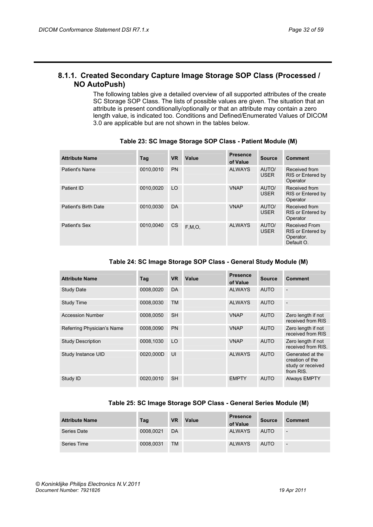## <span id="page-31-0"></span>**8.1.1. Created Secondary Capture Image Storage SOP Class (Processed / NO AutoPush)**

The following tables give a detailed overview of all supported attributes of the create SC Storage SOP Class. The lists of possible values are given. The situation that an attribute is present conditionally/optionally or that an attribute may contain a zero length value, is indicated too. Conditions and Defined/Enumerated Values of DICOM 3.0 are applicable but are not shown in the tables below.

| <b>Attribute Name</b> | Tag       | <b>VR</b> | Value    | <b>Presence</b><br>of Value | <b>Source</b>        | <b>Comment</b>                                                       |
|-----------------------|-----------|-----------|----------|-----------------------------|----------------------|----------------------------------------------------------------------|
| Patient's Name        | 0010,0010 | <b>PN</b> |          | <b>ALWAYS</b>               | AUTO/<br><b>USER</b> | Received from<br>RIS or Entered by<br>Operator                       |
| Patient ID            | 0010.0020 | LO        |          | <b>VNAP</b>                 | AUTO/<br><b>USER</b> | Received from<br>RIS or Entered by<br>Operator                       |
| Patient's Birth Date  | 0010.0030 | <b>DA</b> |          | <b>VNAP</b>                 | AUTO/<br><b>USER</b> | Received from<br>RIS or Entered by<br>Operator                       |
| Patient's Sex         | 0010.0040 | <b>CS</b> | F, M, O, | <b>ALWAYS</b>               | AUTO/<br><b>USER</b> | <b>Received From</b><br>RIS or Entered by<br>Operator.<br>Default O. |

## **Table 23: SC Image Storage SOP Class - Patient Module (M)**

## **Table 24: SC Image Storage SOP Class - General Study Module (M)**

| <b>Attribute Name</b>      | Tag       | <b>VR</b> | Value | <b>Presence</b><br>of Value | <b>Source</b> | <b>Comment</b>                                                        |
|----------------------------|-----------|-----------|-------|-----------------------------|---------------|-----------------------------------------------------------------------|
| <b>Study Date</b>          | 0008,0020 | <b>DA</b> |       | <b>ALWAYS</b>               | <b>AUTO</b>   |                                                                       |
| <b>Study Time</b>          | 0008,0030 | <b>TM</b> |       | <b>ALWAYS</b>               | <b>AUTO</b>   |                                                                       |
| <b>Accession Number</b>    | 0008,0050 | <b>SH</b> |       | <b>VNAP</b>                 | <b>AUTO</b>   | Zero length if not<br>received from RIS                               |
| Referring Physician's Name | 0008.0090 | <b>PN</b> |       | <b>VNAP</b>                 | <b>AUTO</b>   | Zero length if not<br>received from RIS                               |
| <b>Study Description</b>   | 0008.1030 | LO        |       | <b>VNAP</b>                 | <b>AUTO</b>   | Zero length if not<br>received from RIS.                              |
| Study Instance UID         | 0020.000D | UI        |       | <b>ALWAYS</b>               | <b>AUTO</b>   | Generated at the<br>creation of the<br>study or received<br>from RIS. |
| Study ID                   | 0020.0010 | <b>SH</b> |       | <b>EMPTY</b>                | <b>AUTO</b>   | <b>Always EMPTY</b>                                                   |

## **Table 25: SC Image Storage SOP Class - General Series Module (M)**

| <b>Attribute Name</b> | Tag       | <b>VR</b> | Value | <b>Presence</b><br>of Value | <b>Source</b> | Comment                  |
|-----------------------|-----------|-----------|-------|-----------------------------|---------------|--------------------------|
| Series Date           | 0008,0021 | DA        |       | <b>ALWAYS</b>               | <b>AUTO</b>   | $\overline{\phantom{a}}$ |
| Series Time           | 0008,0031 | <b>TM</b> |       | <b>ALWAYS</b>               | <b>AUTO</b>   | $\overline{\phantom{0}}$ |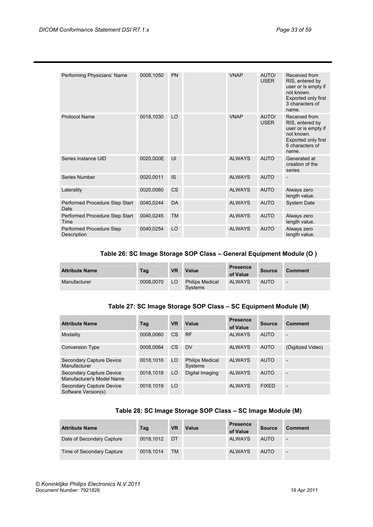| Performing Physicians' Name             | 0008,1050 | PN        | <b>VNAP</b>   | AUTO/<br><b>USER</b> | Received from<br>RIS, entered by<br>user or is empty if<br>not known.<br>Exported only first<br>3 characters of<br>name. |
|-----------------------------------------|-----------|-----------|---------------|----------------------|--------------------------------------------------------------------------------------------------------------------------|
| <b>Protocol Name</b>                    | 0018,1030 | LO        | <b>VNAP</b>   | AUTO/<br><b>USER</b> | Received from<br>RIS, entered by<br>user or is empty if<br>not known.<br>Exported only first<br>6 characters of<br>name. |
| Series Instance UID                     | 0020,000E | UI        | <b>ALWAYS</b> | <b>AUTO</b>          | Generated at<br>creation of the<br>series                                                                                |
| Series Number                           | 0020,0011 | <b>IS</b> | <b>ALWAYS</b> | <b>AUTO</b>          |                                                                                                                          |
| Laterality                              | 0020,0060 | <b>CS</b> | <b>ALWAYS</b> | <b>AUTO</b>          | Always zero<br>length value.                                                                                             |
| Performed Procedure Step Start<br>Date  | 0040,0244 | DA        | <b>ALWAYS</b> | <b>AUTO</b>          | System Date                                                                                                              |
| Performed Procedure Step Start<br>Time  | 0040,0245 | <b>TM</b> | <b>ALWAYS</b> | <b>AUTO</b>          | Always zero<br>length value.                                                                                             |
| Performed Procedure Step<br>Description | 0040,0254 | LO        | <b>ALWAYS</b> | <b>AUTO</b>          | Always zero<br>length value.                                                                                             |

## **Table 26: SC Image Storage SOP Class – General Equipment Module (O )**

| <b>Attribute Name</b> | Tag       | <b>VR</b> | Value                             | <b>Presence</b><br>of Value | <b>Source</b> | Comment |
|-----------------------|-----------|-----------|-----------------------------------|-----------------------------|---------------|---------|
| Manufacturer          | 0008.0070 | LO        | <b>Philips Medical</b><br>Systems | <b>ALWAYS</b>               | <b>AUTO</b>   | ٠       |

## **Table 27: SC Image Storage SOP Class – SC Equipment Module (M)**

| <b>Attribute Name</b>                                 | Tag       | <b>VR</b> | Value                             | <b>Presence</b><br>of Value | <b>Source</b> | <b>Comment</b>           |
|-------------------------------------------------------|-----------|-----------|-----------------------------------|-----------------------------|---------------|--------------------------|
| Modality                                              | 0008.0060 | CS        | <b>RF</b>                         | <b>ALWAYS</b>               | <b>AUTO</b>   |                          |
| <b>Conversion Type</b>                                | 0008.0064 | <b>CS</b> | <b>DV</b>                         | <b>ALWAYS</b>               | <b>AUTO</b>   | (Digitized Video)        |
| Secondary Capture Device<br>Manufacturer              | 0018.1016 | LO        | <b>Philips Medical</b><br>Systems | <b>ALWAYS</b>               | <b>AUTO</b>   |                          |
| Secondary Capture Device<br>Manufacturer's Model Name | 0018.1018 | LO        | Digital Imaging                   | <b>ALWAYS</b>               | <b>AUTO</b>   | ۰                        |
| Secondary Capture Device<br>Software Version(s)       | 0018.1019 | LO        |                                   | <b>ALWAYS</b>               | <b>FIXED</b>  | $\overline{\phantom{0}}$ |

## **Table 28: SC Image Storage SOP Class – SC Image Module (M)**

| <b>Attribute Name</b>     | Tag       | <b>VR</b> | Value | <b>Presence</b><br>of Value | <b>Source</b> | Comment                  |
|---------------------------|-----------|-----------|-------|-----------------------------|---------------|--------------------------|
| Date of Secondary Capture | 0018.1012 | DT        |       | <b>ALWAYS</b>               | <b>AUTO</b>   | $\overline{\phantom{a}}$ |
| Time of Secondary Capture | 0018.1014 | <b>TM</b> |       | <b>ALWAYS</b>               | <b>AUTO</b>   | $\overline{\phantom{a}}$ |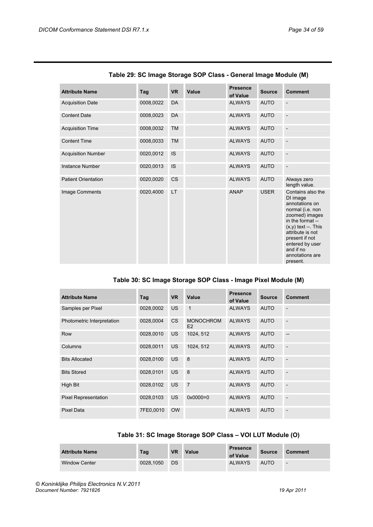| <b>Attribute Name</b>      | Tag       | <b>VR</b> | <b>Value</b> | <b>Presence</b><br>of Value | <b>Source</b> | <b>Comment</b>                                                                                                                                                                                                                          |
|----------------------------|-----------|-----------|--------------|-----------------------------|---------------|-----------------------------------------------------------------------------------------------------------------------------------------------------------------------------------------------------------------------------------------|
| <b>Acquisition Date</b>    | 0008,0022 | <b>DA</b> |              | <b>ALWAYS</b>               | <b>AUTO</b>   | L,                                                                                                                                                                                                                                      |
| <b>Content Date</b>        | 0008,0023 | <b>DA</b> |              | <b>ALWAYS</b>               | <b>AUTO</b>   |                                                                                                                                                                                                                                         |
| <b>Acquisition Time</b>    | 0008,0032 | <b>TM</b> |              | <b>ALWAYS</b>               | <b>AUTO</b>   |                                                                                                                                                                                                                                         |
| <b>Content Time</b>        | 0008,0033 | <b>TM</b> |              | <b>ALWAYS</b>               | <b>AUTO</b>   |                                                                                                                                                                                                                                         |
| <b>Acquisition Number</b>  | 0020,0012 | <b>IS</b> |              | <b>ALWAYS</b>               | <b>AUTO</b>   |                                                                                                                                                                                                                                         |
| <b>Instance Number</b>     | 0020,0013 | <b>IS</b> |              | <b>ALWAYS</b>               | <b>AUTO</b>   |                                                                                                                                                                                                                                         |
| <b>Patient Orientation</b> | 0020,0020 | <b>CS</b> |              | <b>ALWAYS</b>               | <b>AUTO</b>   | Always zero<br>length value.                                                                                                                                                                                                            |
| Image Comments             | 0020,4000 | <b>LT</b> |              | <b>ANAP</b>                 | <b>USER</b>   | Contains also the<br>DI image<br>annotations on<br>normal (i.e. non<br>zoomed) images<br>in the format --<br>$(x,y)$ text --. This<br>attribute is not<br>present if not<br>entered by user<br>and if no<br>annotations are<br>present. |

## **Table 29: SC Image Storage SOP Class - General Image Module (M)**

## **Table 30: SC Image Storage SOP Class - Image Pixel Module (M)**

| <b>Attribute Name</b>       | Tag       | <b>VR</b> | Value                              | <b>Presence</b><br>of Value | <b>Source</b> | <b>Comment</b>           |
|-----------------------------|-----------|-----------|------------------------------------|-----------------------------|---------------|--------------------------|
| Samples per Pixel           | 0028,0002 | <b>US</b> | $\mathbf{1}$                       | <b>ALWAYS</b>               | <b>AUTO</b>   |                          |
| Photometric Interpretation  | 0028,0004 | <b>CS</b> | <b>MONOCHROM</b><br>E <sub>2</sub> | <b>ALWAYS</b>               | <b>AUTO</b>   |                          |
| Row                         | 0028.0010 | <b>US</b> | 1024, 512                          | <b>ALWAYS</b>               | <b>AUTO</b>   | --                       |
| Columns                     | 0028,0011 | US.       | 1024, 512                          | <b>ALWAYS</b>               | <b>AUTO</b>   |                          |
| <b>Bits Allocated</b>       | 0028,0100 | <b>US</b> | 8                                  | <b>ALWAYS</b>               | <b>AUTO</b>   |                          |
| <b>Bits Stored</b>          | 0028,0101 | <b>US</b> | 8                                  | <b>ALWAYS</b>               | <b>AUTO</b>   | L.                       |
| High Bit                    | 0028,0102 | <b>US</b> | $\overline{7}$                     | <b>ALWAYS</b>               | <b>AUTO</b>   |                          |
| <b>Pixel Representation</b> | 0028,0103 | <b>US</b> | $0 \times 0000 = 0$                | <b>ALWAYS</b>               | <b>AUTO</b>   |                          |
| <b>Pixel Data</b>           | 7FE0,0010 | <b>OW</b> |                                    | <b>ALWAYS</b>               | <b>AUTO</b>   | $\overline{\phantom{a}}$ |

## **Table 31: SC Image Storage SOP Class – VOI LUT Module (O)**

| <b>Attribute Name</b> | Tag       | <b>VR</b> | Value | <b>Presence</b><br>of Value | Source      | Comment |
|-----------------------|-----------|-----------|-------|-----------------------------|-------------|---------|
| <b>Window Center</b>  | 0028.1050 | DS        |       | <b>ALWAYS</b>               | <b>AUTO</b> | ÷       |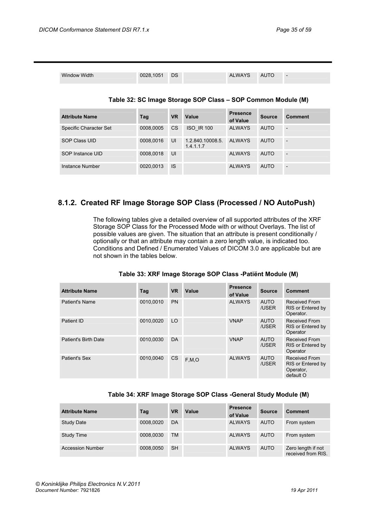| <b>Window Width</b>    | 0028,1051 | DS        |                                                              | <b>ALWAYS</b>               | <b>AUTO</b>   | $\overline{\phantom{a}}$ |
|------------------------|-----------|-----------|--------------------------------------------------------------|-----------------------------|---------------|--------------------------|
|                        |           |           | Table 32: SC Image Storage SOP Class - SOP Common Module (M) |                             |               |                          |
| <b>Attribute Name</b>  | Tag       | <b>VR</b> | Value                                                        | <b>Presence</b><br>of Value | <b>Source</b> | Comment                  |
| Specific Character Set | 0008.0005 | CS        | <b>ISO IR 100</b>                                            | <b>ALWAYS</b>               | <b>AUTO</b>   |                          |
| <b>SOP Class UID</b>   | 0008.0016 | UI        | 1.2.840.10008.5.<br>1.4.1.1.7                                | <b>ALWAYS</b>               | <b>AUTO</b>   |                          |
| SOP Instance UID       | 0008,0018 | UI        |                                                              | <b>ALWAYS</b>               | <b>AUTO</b>   |                          |
| Instance Number        | 0020,0013 | IS        |                                                              | <b>ALWAYS</b>               | <b>AUTO</b>   |                          |

## <span id="page-34-0"></span>**8.1.2. Created RF Image Storage SOP Class (Processed / NO AutoPush)**

The following tables give a detailed overview of all supported attributes of the XRF Storage SOP Class for the Processed Mode with or without Overlays. The list of possible values are given. The situation that an attribute is present conditionally / optionally or that an attribute may contain a zero length value, is indicated too. Conditions and Defined / Enumerated Values of DICOM 3.0 are applicable but are not shown in the tables below.

| <b>Attribute Name</b> | Tag       | <b>VR</b> | Value   | <b>Presence</b><br>of Value | <b>Source</b>        | <b>Comment</b>                                                      |
|-----------------------|-----------|-----------|---------|-----------------------------|----------------------|---------------------------------------------------------------------|
| Patient's Name        | 0010.0010 | <b>PN</b> |         | <b>ALWAYS</b>               | <b>AUTO</b><br>/USER | Received From<br>RIS or Entered by<br>Operator.                     |
| Patient ID            | 0010.0020 | LO        |         | <b>VNAP</b>                 | <b>AUTO</b><br>/USER | <b>Received From</b><br>RIS or Entered by<br>Operator               |
| Patient's Birth Date  | 0010,0030 | <b>DA</b> |         | <b>VNAP</b>                 | <b>AUTO</b><br>/USER | <b>Received From</b><br>RIS or Entered by<br>Operator               |
| Patient's Sex         | 0010.0040 | <b>CS</b> | F, M, O | <b>ALWAYS</b>               | <b>AUTO</b><br>/USER | <b>Received From</b><br>RIS or Entered by<br>Operator,<br>default O |

#### **Table 34: XRF Image Storage SOP Class -General Study Module (M)**

| <b>Attribute Name</b>   | Tag       | <b>VR</b> | Value | <b>Presence</b><br>of Value | <b>Source</b> | <b>Comment</b>                           |
|-------------------------|-----------|-----------|-------|-----------------------------|---------------|------------------------------------------|
| <b>Study Date</b>       | 0008,0020 | DA        |       | <b>ALWAYS</b>               | <b>AUTO</b>   | From system                              |
| Study Time              | 0008,0030 | ТM        |       | <b>ALWAYS</b>               | <b>AUTO</b>   | From system                              |
| <b>Accession Number</b> | 0008,0050 | <b>SH</b> |       | <b>ALWAYS</b>               | <b>AUTO</b>   | Zero length if not<br>received from RIS. |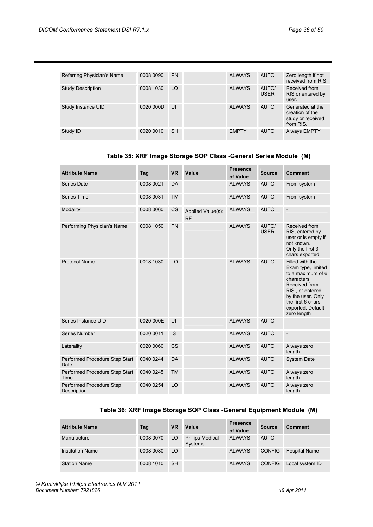| Referring Physician's Name | 0008.0090 | <b>PN</b> | <b>ALWAYS</b> | <b>AUTO</b>          | Zero length if not<br>received from RIS.                              |
|----------------------------|-----------|-----------|---------------|----------------------|-----------------------------------------------------------------------|
| <b>Study Description</b>   | 0008,1030 | LO        | <b>ALWAYS</b> | AUTO/<br><b>USER</b> | Received from<br>RIS or entered by<br>user.                           |
| Study Instance UID         | 0020.000D | UI        | <b>ALWAYS</b> | <b>AUTO</b>          | Generated at the<br>creation of the<br>study or received<br>from RIS. |
| Study ID                   | 0020,0010 | <b>SH</b> | <b>EMPTY</b>  | <b>AUTO</b>          | <b>Always EMPTY</b>                                                   |

## **Table 35: XRF Image Storage SOP Class -General Series Module (M)**

| <b>Attribute Name</b>                   | Tag       | <b>VR</b> | Value                          | <b>Presence</b><br>of Value | <b>Source</b>        | <b>Comment</b>                                                                                                                                                                              |
|-----------------------------------------|-----------|-----------|--------------------------------|-----------------------------|----------------------|---------------------------------------------------------------------------------------------------------------------------------------------------------------------------------------------|
| Series Date                             | 0008,0021 | <b>DA</b> |                                | <b>ALWAYS</b>               | <b>AUTO</b>          | From system                                                                                                                                                                                 |
| Series Time                             | 0008,0031 | <b>TM</b> |                                | <b>ALWAYS</b>               | <b>AUTO</b>          | From system                                                                                                                                                                                 |
| Modality                                | 0008,0060 | <b>CS</b> | Applied Value(s):<br><b>RF</b> | <b>ALWAYS</b>               | <b>AUTO</b>          | $\overline{\phantom{m}}$                                                                                                                                                                    |
| Performing Physician's Name             | 0008,1050 | PN        |                                | <b>ALWAYS</b>               | AUTO/<br><b>USER</b> | Received from<br>RIS, entered by<br>user or is empty if<br>not known.<br>Only the first 3<br>chars exported.                                                                                |
| <b>Protocol Name</b>                    | 0018,1030 | LO        |                                | <b>ALWAYS</b>               | <b>AUTO</b>          | Filled with the<br>Exam type, limited<br>to a maximum of 6<br>characters.<br>Received from<br>RIS, or entered<br>by the user. Only<br>the first 6 chars<br>exported. Default<br>zero length |
| Series Instance UID                     | 0020,000E | UI        |                                | <b>ALWAYS</b>               | <b>AUTO</b>          |                                                                                                                                                                                             |
| Series Number                           | 0020,0011 | <b>IS</b> |                                | <b>ALWAYS</b>               | <b>AUTO</b>          |                                                                                                                                                                                             |
| Laterality                              | 0020,0060 | <b>CS</b> |                                | <b>ALWAYS</b>               | <b>AUTO</b>          | Always zero<br>length.                                                                                                                                                                      |
| Performed Procedure Step Start<br>Date  | 0040,0244 | <b>DA</b> |                                | <b>ALWAYS</b>               | <b>AUTO</b>          | <b>System Date</b>                                                                                                                                                                          |
| Performed Procedure Step Start<br>Time  | 0040,0245 | <b>TM</b> |                                | <b>ALWAYS</b>               | <b>AUTO</b>          | Always zero<br>length.                                                                                                                                                                      |
| Performed Procedure Step<br>Description | 0040,0254 | LO        |                                | <b>ALWAYS</b>               | <b>AUTO</b>          | Always zero<br>length.                                                                                                                                                                      |

## **Table 36: XRF Image Storage SOP Class -General Equipment Module (M)**

| <b>Attribute Name</b>   | Tag       | <b>VR</b> | Value                             | <b>Presence</b><br>of Value | <b>Source</b> | <b>Comment</b>           |
|-------------------------|-----------|-----------|-----------------------------------|-----------------------------|---------------|--------------------------|
| Manufacturer            | 0008,0070 | LO        | <b>Philips Medical</b><br>Systems | <b>ALWAYS</b>               | <b>AUTO</b>   | $\overline{\phantom{0}}$ |
| <b>Institution Name</b> | 0008.0080 | LO        |                                   | <b>ALWAYS</b>               | <b>CONFIG</b> | <b>Hospital Name</b>     |
| <b>Station Name</b>     | 0008.1010 | <b>SH</b> |                                   | <b>ALWAYS</b>               | <b>CONFIG</b> | Local system ID          |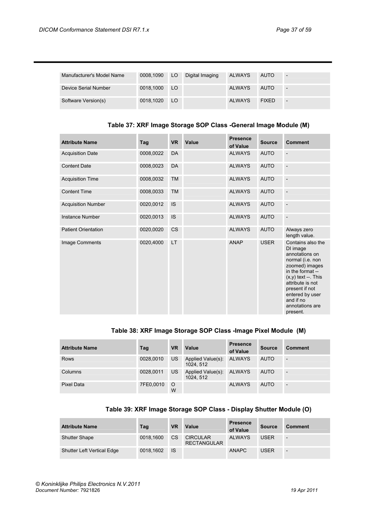| Manufacturer's Model Name | 0008,1090 LO |                 | Digital Imaging | ALWAYS        | <b>AUTO</b>  |                          |
|---------------------------|--------------|-----------------|-----------------|---------------|--------------|--------------------------|
| Device Serial Number      | 0018.1000 LO |                 |                 | <b>ALWAYS</b> | <b>AUTO</b>  | $\overline{\phantom{a}}$ |
| Software Version(s)       | 0018,1020    | LO <sub>1</sub> |                 | <b>ALWAYS</b> | <b>FIXED</b> | $\overline{\phantom{0}}$ |

## **Table 37: XRF Image Storage SOP Class -General Image Module (M)**

| <b>Attribute Name</b>      | Tag       | <b>VR</b> | Value | <b>Presence</b><br>of Value | <b>Source</b> | <b>Comment</b>                                                                                                                                                                                                                            |
|----------------------------|-----------|-----------|-------|-----------------------------|---------------|-------------------------------------------------------------------------------------------------------------------------------------------------------------------------------------------------------------------------------------------|
| <b>Acquisition Date</b>    | 0008,0022 | DA        |       | <b>ALWAYS</b>               | <b>AUTO</b>   |                                                                                                                                                                                                                                           |
| <b>Content Date</b>        | 0008,0023 | <b>DA</b> |       | <b>ALWAYS</b>               | <b>AUTO</b>   |                                                                                                                                                                                                                                           |
| <b>Acquisition Time</b>    | 0008,0032 | <b>TM</b> |       | <b>ALWAYS</b>               | <b>AUTO</b>   |                                                                                                                                                                                                                                           |
| <b>Content Time</b>        | 0008,0033 | <b>TM</b> |       | <b>ALWAYS</b>               | <b>AUTO</b>   |                                                                                                                                                                                                                                           |
| <b>Acquisition Number</b>  | 0020,0012 | <b>IS</b> |       | <b>ALWAYS</b>               | <b>AUTO</b>   |                                                                                                                                                                                                                                           |
| Instance Number            | 0020,0013 | <b>IS</b> |       | <b>ALWAYS</b>               | <b>AUTO</b>   | $\overline{\phantom{a}}$                                                                                                                                                                                                                  |
| <b>Patient Orientation</b> | 0020,0020 | <b>CS</b> |       | <b>ALWAYS</b>               | <b>AUTO</b>   | Always zero<br>length value.                                                                                                                                                                                                              |
| Image Comments             | 0020,4000 | <b>LT</b> |       | <b>ANAP</b>                 | <b>USER</b>   | Contains also the<br>DI image<br>annotations on<br>normal (i.e. non<br>zoomed) images<br>in the format --<br>$(x,y)$ text $-$ . This<br>attribute is not<br>present if not<br>entered by user<br>and if no<br>annotations are<br>present. |

## **Table 38: XRF Image Storage SOP Class -Image Pixel Module (M)**

| <b>Attribute Name</b> | Tag       | <b>VR</b>     | Value                          | <b>Presence</b><br>of Value | <b>Source</b> | <b>Comment</b>           |
|-----------------------|-----------|---------------|--------------------------------|-----------------------------|---------------|--------------------------|
| <b>Rows</b>           | 0028,0010 | US.           | Applied Value(s):<br>1024, 512 | <b>ALWAYS</b>               | <b>AUTO</b>   | $\overline{\phantom{0}}$ |
| Columns               | 0028,0011 | US.           | Applied Value(s):<br>1024.512  | <b>ALWAYS</b>               | <b>AUTO</b>   |                          |
| Pixel Data            | 7FE0.0010 | $\Omega$<br>W |                                | <b>ALWAYS</b>               | <b>AUTO</b>   | $\overline{\phantom{0}}$ |

## **Table 39: XRF Image Storage SOP Class - Display Shutter Module (O)**

| <b>Attribute Name</b>             | Tag       | <b>VR</b> | Value                                 | <b>Presence</b><br>of Value | <b>Source</b> | <b>Comment</b>           |
|-----------------------------------|-----------|-----------|---------------------------------------|-----------------------------|---------------|--------------------------|
| <b>Shutter Shape</b>              | 0018.1600 | <b>CS</b> | <b>CIRCULAR</b><br><b>RECTANGULAR</b> | <b>ALWAYS</b>               | <b>USER</b>   | $\overline{\phantom{0}}$ |
| <b>Shutter Left Vertical Edge</b> | 0018.1602 | <b>IS</b> |                                       | <b>ANAPC</b>                | <b>USER</b>   | ٠                        |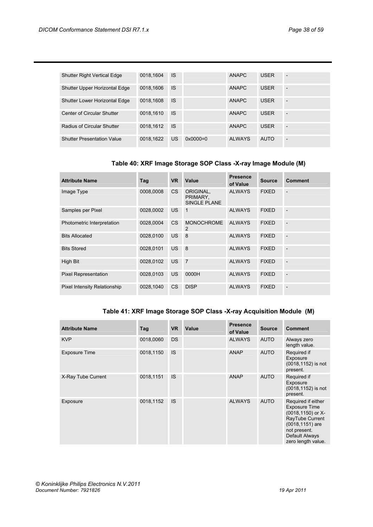| <b>Shutter Right Vertical Edge</b>   | 0018.1604 | <b>IS</b> |                     | <b>ANAPC</b> | <b>USER</b> | $\overline{\phantom{a}}$ |
|--------------------------------------|-----------|-----------|---------------------|--------------|-------------|--------------------------|
| Shutter Upper Horizontal Edge        | 0018.1606 | <b>IS</b> |                     | <b>ANAPC</b> | <b>USER</b> | $\overline{\phantom{a}}$ |
| <b>Shutter Lower Horizontal Edge</b> | 0018.1608 | <b>IS</b> |                     | <b>ANAPC</b> | <b>USER</b> | $\overline{a}$           |
| <b>Center of Circular Shutter</b>    | 0018.1610 | <b>IS</b> |                     | <b>ANAPC</b> | <b>USER</b> | $\overline{a}$           |
| Radius of Circular Shutter           | 0018.1612 | <b>IS</b> |                     | <b>ANAPC</b> | <b>USER</b> | $\overline{\phantom{a}}$ |
| <b>Shutter Presentation Value</b>    | 0018.1622 | <b>US</b> | $0 \times 0000 = 0$ | AI WAYS      | <b>AUTO</b> | ٠                        |

## **Table 40: XRF Image Storage SOP Class -X-ray Image Module (M)**

| <b>Attribute Name</b>        | Tag       | <b>VR</b>      | Value                                        | <b>Presence</b><br>of Value | <b>Source</b> | <b>Comment</b> |
|------------------------------|-----------|----------------|----------------------------------------------|-----------------------------|---------------|----------------|
| Image Type                   | 0008,0008 | C <sub>S</sub> | ORIGINAL,<br>PRIMARY,<br><b>SINGLE PLANE</b> | <b>ALWAYS</b>               | <b>FIXED</b>  |                |
| Samples per Pixel            | 0028,0002 | US.            | 1                                            | <b>ALWAYS</b>               | <b>FIXED</b>  |                |
| Photometric Interpretation   | 0028,0004 | <b>CS</b>      | <b>MONOCHROME</b><br>2                       | <b>ALWAYS</b>               | <b>FIXED</b>  |                |
| <b>Bits Allocated</b>        | 0028,0100 | US.            | 8                                            | <b>ALWAYS</b>               | <b>FIXED</b>  |                |
| <b>Bits Stored</b>           | 0028,0101 | US.            | 8                                            | <b>ALWAYS</b>               | <b>FIXED</b>  |                |
| <b>High Bit</b>              | 0028,0102 | <b>US</b>      | $\overline{7}$                               | <b>ALWAYS</b>               | <b>FIXED</b>  |                |
| <b>Pixel Representation</b>  | 0028,0103 | <b>US</b>      | 0000H                                        | <b>ALWAYS</b>               | <b>FIXED</b>  |                |
| Pixel Intensity Relationship | 0028,1040 | <b>CS</b>      | <b>DISP</b>                                  | <b>ALWAYS</b>               | <b>FIXED</b>  |                |

## **Table 41: XRF Image Storage SOP Class -X-ray Acquisition Module (M)**

| <b>Attribute Name</b> | Tag       | <b>VR</b> | Value | <b>Presence</b><br>of Value | <b>Source</b> | <b>Comment</b>                                                                                                                                                |
|-----------------------|-----------|-----------|-------|-----------------------------|---------------|---------------------------------------------------------------------------------------------------------------------------------------------------------------|
| <b>KVP</b>            | 0018,0060 | <b>DS</b> |       | <b>ALWAYS</b>               | <b>AUTO</b>   | Always zero<br>length value.                                                                                                                                  |
| <b>Exposure Time</b>  | 0018,1150 | <b>IS</b> |       | <b>ANAP</b>                 | <b>AUTO</b>   | Required if<br>Exposure<br>(0018,1152) is not<br>present.                                                                                                     |
| X-Ray Tube Current    | 0018,1151 | <b>IS</b> |       | <b>ANAP</b>                 | <b>AUTO</b>   | Required if<br>Exposure<br>(0018,1152) is not<br>present.                                                                                                     |
| Exposure              | 0018,1152 | <b>IS</b> |       | <b>ALWAYS</b>               | <b>AUTO</b>   | Required if either<br><b>Exposure Time</b><br>(0018,1150) or X-<br>RayTube Current<br>(0018,1151) are<br>not present.<br>Default Always<br>zero length value. |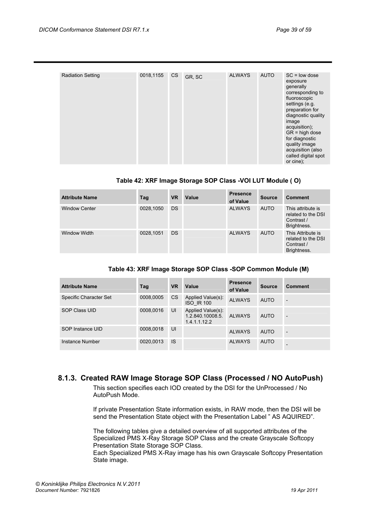| <b>Radiation Setting</b> | 0018,1155 | <b>CS</b> | GR, SC | <b>ALWAYS</b> | <b>AUTO</b> | $SC = low$ dose<br>exposure<br>generally<br>corresponding to<br>fluoroscopic<br>settings (e.g.<br>preparation for<br>diagnostic quality<br>image<br>acquisition);<br>$GR = high dose$<br>for diagnostic<br>quality image<br>acquisition (also<br>called digital spot<br>or cine); |
|--------------------------|-----------|-----------|--------|---------------|-------------|-----------------------------------------------------------------------------------------------------------------------------------------------------------------------------------------------------------------------------------------------------------------------------------|

## **Table 42: XRF Image Storage SOP Class -VOI LUT Module ( O)**

| <b>Attribute Name</b> | Tag       | <b>VR</b> | Value | <b>Presence</b><br>of Value | <b>Source</b> | <b>Comment</b>                                                       |
|-----------------------|-----------|-----------|-------|-----------------------------|---------------|----------------------------------------------------------------------|
| <b>Window Center</b>  | 0028,1050 | <b>DS</b> |       | <b>ALWAYS</b>               | <b>AUTO</b>   | This attribute is<br>related to the DSI<br>Contrast /<br>Brightness. |
| Window Width          | 0028,1051 | <b>DS</b> |       | <b>ALWAYS</b>               | <b>AUTO</b>   | This Attribute is<br>related to the DSI<br>Contrast /<br>Brightness. |

|  | Table 43: XRF Image Storage SOP Class - SOP Common Module (M) |  |  |  |  |
|--|---------------------------------------------------------------|--|--|--|--|
|--|---------------------------------------------------------------|--|--|--|--|

| <b>Attribute Name</b>  | Tag       | <b>VR</b> | Value                                                 | <b>Presence</b><br>of Value | Source      | Comment |
|------------------------|-----------|-----------|-------------------------------------------------------|-----------------------------|-------------|---------|
| Specific Character Set | 0008,0005 | CS.       | Applied Value(s):<br><b>ISO IR 100</b>                | <b>ALWAYS</b>               | <b>AUTO</b> | ٠       |
| <b>SOP Class UID</b>   | 0008.0016 | UI        | Applied Value(s):<br>1.2.840.10008.5.<br>1.4.1.1.12.2 | <b>ALWAYS</b>               | <b>AUTO</b> | ٠       |
| SOP Instance UID       | 0008,0018 | UI        |                                                       | <b>ALWAYS</b>               | <b>AUTO</b> | ٠       |
| Instance Number        | 0020.0013 | <b>IS</b> |                                                       | <b>ALWAYS</b>               | <b>AUTO</b> |         |

## <span id="page-38-0"></span>**8.1.3. Created RAW Image Storage SOP Class (Processed / NO AutoPush)**

This section specifies each IOD created by the DSI for the UnProcessed / No AutoPush Mode.

If private Presentation State information exists, in RAW mode, then the DSI will be send the Presentation State object with the Presentation Label " AS AQUIRED".

The following tables give a detailed overview of all supported attributes of the Specialized PMS X-Ray Storage SOP Class and the create Grayscale Softcopy Presentation State Storage SOP Class.

Each Specialized PMS X-Ray image has his own Grayscale Softcopy Presentation State image.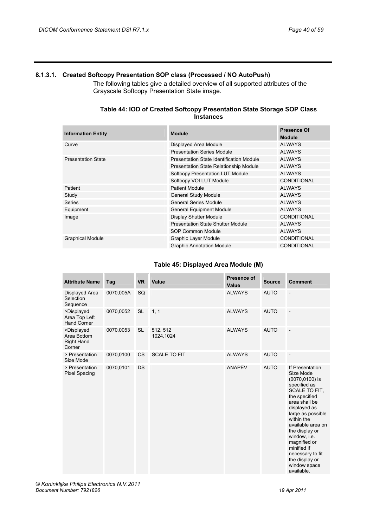## <span id="page-39-0"></span>**8.1.3.1. Created Softcopy Presentation SOP class (Processed / NO AutoPush)**

The following tables give a detailed overview of all supported attributes of the Grayscale Softcopy Presentation State image.

### **Table 44: IOD of Created Softcopy Presentation State Storage SOP Class Instances**

| <b>Information Entity</b> | <b>Module</b>                            | <b>Presence Of</b><br><b>Module</b> |
|---------------------------|------------------------------------------|-------------------------------------|
| Curve                     | Displayed Area Module                    | <b>ALWAYS</b>                       |
|                           | <b>Presentation Series Module</b>        | <b>ALWAYS</b>                       |
| <b>Presentation State</b> | Presentation State Identification Module | <b>ALWAYS</b>                       |
|                           | Presentation State Relationship Module   | <b>ALWAYS</b>                       |
|                           | Softcopy Presentation LUT Module         | <b>ALWAYS</b>                       |
|                           | Softcopy VOI LUT Module                  | <b>CONDITIONAL</b>                  |
| Patient                   | <b>Patient Module</b>                    | <b>ALWAYS</b>                       |
| Study                     | <b>General Study Module</b>              | <b>ALWAYS</b>                       |
| <b>Series</b>             | General Series Module                    | <b>ALWAYS</b>                       |
| Equipment                 | <b>General Equipment Module</b>          | <b>ALWAYS</b>                       |
| Image                     | <b>Display Shutter Module</b>            | <b>CONDITIONAL</b>                  |
|                           | Presentation State Shutter Module        | <b>ALWAYS</b>                       |
|                           | SOP Common Module                        | <b>ALWAYS</b>                       |
| <b>Graphical Module</b>   | <b>Graphic Layer Module</b>              | <b>CONDITIONAL</b>                  |
|                           | <b>Graphic Annotation Module</b>         | <b>CONDITIONAL</b>                  |

## **Table 45: Displayed Area Module (M)**

| <b>Attribute Name</b>                                    | Tag       | <b>VR</b> | <b>Value</b>          | <b>Presence of</b><br>Value | <b>Source</b> | <b>Comment</b>                                                                                                                                                                                                                                                                                                                           |
|----------------------------------------------------------|-----------|-----------|-----------------------|-----------------------------|---------------|------------------------------------------------------------------------------------------------------------------------------------------------------------------------------------------------------------------------------------------------------------------------------------------------------------------------------------------|
| Displayed Area<br>Selection<br>Sequence                  | 0070,005A | SQ        |                       | <b>ALWAYS</b>               | <b>AUTO</b>   | $\overline{a}$                                                                                                                                                                                                                                                                                                                           |
| >Displayed<br>Area Top Left<br><b>Hand Corner</b>        | 0070,0052 | <b>SL</b> | 1, 1                  | <b>ALWAYS</b>               | <b>AUTO</b>   | $\overline{\phantom{a}}$                                                                                                                                                                                                                                                                                                                 |
| >Displayed<br>Area Bottom<br><b>Right Hand</b><br>Corner | 0070,0053 | <b>SL</b> | 512, 512<br>1024,1024 | <b>ALWAYS</b>               | <b>AUTO</b>   | $\overline{a}$                                                                                                                                                                                                                                                                                                                           |
| > Presentation<br>Size Mode                              | 0070,0100 | <b>CS</b> | <b>SCALE TO FIT</b>   | <b>ALWAYS</b>               | <b>AUTO</b>   | $\overline{\phantom{a}}$                                                                                                                                                                                                                                                                                                                 |
| > Presentation<br><b>Pixel Spacing</b>                   | 0070,0101 | <b>DS</b> |                       | <b>ANAPEV</b>               | <b>AUTO</b>   | If Presentation<br>Size Mode<br>$(0070, 0100)$ is<br>specified as<br><b>SCALE TO FIT.</b><br>the specified<br>area shall be<br>displayed as<br>large as possible<br>within the<br>available area on<br>the display or<br>window, i.e.<br>magnified or<br>minified if<br>necessary to fit<br>the display or<br>window space<br>available. |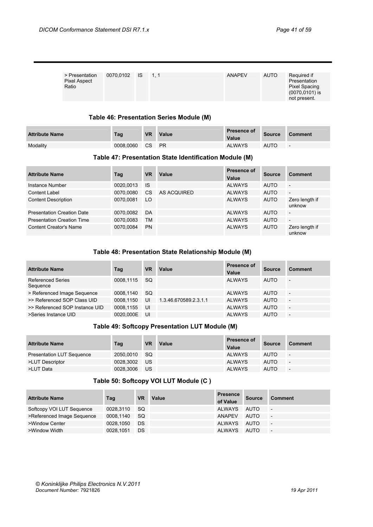| > Presentation<br><b>Pixel Aspect</b><br>Ratio | 0070.0102 IS 1.1 |  | <b>ANAPEV</b> | <b>AUTO</b> | Required if<br>Presentation<br>Pixel Spacing<br>$(0070, 0101)$ is<br>not present. |
|------------------------------------------------|------------------|--|---------------|-------------|-----------------------------------------------------------------------------------|

#### **Table 46: Presentation Series Module (M)**

| <b>Attribute Name</b> | Tag       | <b>VR</b> | Value     | <b>Presence of</b><br>Value | <b>Source</b> | Comment                  |
|-----------------------|-----------|-----------|-----------|-----------------------------|---------------|--------------------------|
| Modality              | 0008.0060 | <b>CS</b> | <b>PR</b> | <b>ALWAYS</b>               | <b>AUTO</b>   | $\overline{\phantom{0}}$ |

## **Table 47: Presentation State Identification Module (M)**

| <b>Attribute Name</b>             | Tag       | <b>VR</b> | Value       | <b>Presence of</b><br>Value | <b>Source</b> | <b>Comment</b>           |
|-----------------------------------|-----------|-----------|-------------|-----------------------------|---------------|--------------------------|
| Instance Number                   | 0020,0013 | -IS       |             | <b>ALWAYS</b>               | <b>AUTO</b>   | $\overline{\phantom{0}}$ |
| <b>Content Label</b>              | 0070.0080 | <b>CS</b> | AS ACQUIRED | <b>ALWAYS</b>               | <b>AUTO</b>   | $\overline{a}$           |
| <b>Content Description</b>        | 0070.0081 | LO        |             | <b>ALWAYS</b>               | <b>AUTO</b>   | Zero length if<br>unknow |
| <b>Presentation Creation Date</b> | 0070.0082 | DA        |             | <b>ALWAYS</b>               | <b>AUTO</b>   | $\overline{a}$           |
| <b>Presentation Creation Time</b> | 0070,0083 | <b>TM</b> |             | <b>ALWAYS</b>               | <b>AUTO</b>   | $\overline{\phantom{a}}$ |
| <b>Content Creator's Name</b>     | 0070.0084 | <b>PN</b> |             | <b>ALWAYS</b>               | <b>AUTO</b>   | Zero length if<br>unknow |

## **Table 48: Presentation State Relationship Module (M)**

| <b>Attribute Name</b>                | Tag       | VR        | Value                 | <b>Presence of</b><br>Value | <b>Source</b> | <b>Comment</b>           |
|--------------------------------------|-----------|-----------|-----------------------|-----------------------------|---------------|--------------------------|
| <b>Referenced Series</b><br>Sequence | 0008.1115 | <b>SQ</b> |                       | <b>ALWAYS</b>               | <b>AUTO</b>   | $\overline{\phantom{0}}$ |
| > Referenced Image Sequence          | 0008.1140 | <b>SQ</b> |                       | <b>ALWAYS</b>               | <b>AUTO</b>   | $\overline{\phantom{0}}$ |
| >> Referenced SOP Class UID          | 0008.1150 | UI        | 1.3.46.670589.2.3.1.1 | <b>ALWAYS</b>               | <b>AUTO</b>   | $\overline{\phantom{0}}$ |
| >> Referenced SOP Instance UID       | 0008.1155 | UI        |                       | <b>ALWAYS</b>               | <b>AUTO</b>   | $\overline{\phantom{a}}$ |
| >Series Instance UID                 | 0020.000E | UI        |                       | <b>ALWAYS</b>               | <b>AUTO</b>   | $\overline{a}$           |

## **Table 49: Softcopy Presentation LUT Module (M)**

| <b>Attribute Name</b>            | Tag       | <b>VR</b> | Value | <b>Presence of</b><br>Value | <b>Source</b> | Comment                  |
|----------------------------------|-----------|-----------|-------|-----------------------------|---------------|--------------------------|
| <b>Presentation LUT Sequence</b> | 2050.0010 | -SQ       |       | <b>ALWAYS</b>               | <b>AUTO</b>   | $\overline{\phantom{0}}$ |
| >LUT Descriptor                  | 0028.3002 | US        |       | <b>ALWAYS</b>               | <b>AUTO</b>   | $\overline{\phantom{0}}$ |
| >LUT Data                        | 0028.3006 | US        |       | <b>ALWAYS</b>               | <b>AUTO</b>   | $\overline{\phantom{0}}$ |

## **Table 50: Softcopy VOI LUT Module (C )**

| <b>Attribute Name</b>      | Tag       | <b>VR</b> | Value | <b>Presence</b><br>of Value | <b>Source</b> | <b>Comment</b>           |
|----------------------------|-----------|-----------|-------|-----------------------------|---------------|--------------------------|
| Softcopy VOI LUT Sequence  | 0028.3110 | - SQ      |       | ALWAYS                      | AUTO          | $\overline{\phantom{a}}$ |
| >Referenced Image Sequence | 0008.1140 | -SQ       |       | ANAPEV                      | AUTO          | $\overline{\phantom{a}}$ |
| >Window Center             | 0028.1050 | <b>DS</b> |       | ALWAYS                      | AUTO          | $\overline{\phantom{a}}$ |
| >Window Width              | 0028.1051 | DS        |       | ALWAYS                      | AUTO          | $\overline{\phantom{a}}$ |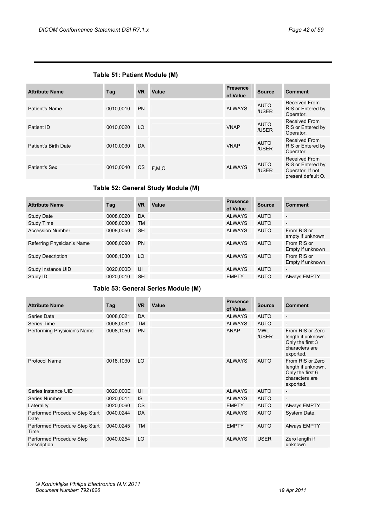| <b>Attribute Name</b> | Tag       | <b>VR</b> | Value | <b>Presence</b><br>of Value | <b>Source</b>        | <b>Comment</b>                                                                      |
|-----------------------|-----------|-----------|-------|-----------------------------|----------------------|-------------------------------------------------------------------------------------|
| <b>Patient's Name</b> | 0010.0010 | <b>PN</b> |       | <b>ALWAYS</b>               | <b>AUTO</b><br>/USER | Received From<br>RIS or Entered by<br>Operator.                                     |
| Patient ID            | 0010,0020 | LO.       |       | <b>VNAP</b>                 | <b>AUTO</b><br>/USER | Received From<br>RIS or Entered by<br>Operator.                                     |
| Patient's Birth Date  | 0010,0030 | DA        |       | <b>VNAP</b>                 | <b>AUTO</b><br>/USER | Received From<br>RIS or Entered by<br>Operator.                                     |
| Patient's Sex         | 0010.0040 | <b>CS</b> | F.M.O | <b>ALWAYS</b>               | AUTO<br>/USER        | <b>Received From</b><br>RIS or Entered by<br>Operator. If not<br>present default O. |

## **Table 52: General Study Module (M)**

| <b>Attribute Name</b>      | Tag       | <b>VR</b> | Value | <b>Presence</b><br>of Value | <b>Source</b> | <b>Comment</b>                  |
|----------------------------|-----------|-----------|-------|-----------------------------|---------------|---------------------------------|
| Study Date                 | 0008,0020 | DA        |       | <b>ALWAYS</b>               | <b>AUTO</b>   | $\overline{\phantom{a}}$        |
| Study Time                 | 0008,0030 | <b>TM</b> |       | <b>ALWAYS</b>               | <b>AUTO</b>   | $\overline{\phantom{a}}$        |
| <b>Accession Number</b>    | 0008,0050 | <b>SH</b> |       | <b>ALWAYS</b>               | <b>AUTO</b>   | From RIS or<br>empty if unknown |
| Referring Physician's Name | 0008.0090 | <b>PN</b> |       | <b>ALWAYS</b>               | <b>AUTO</b>   | From RIS or<br>Empty if unknown |
| <b>Study Description</b>   | 0008.1030 | LO        |       | <b>ALWAYS</b>               | <b>AUTO</b>   | From RIS or<br>Empty if unknown |
| Study Instance UID         | 0020.000D | UI        |       | <b>ALWAYS</b>               | <b>AUTO</b>   | $\overline{\phantom{a}}$        |
| Study ID                   | 0020.0010 | <b>SH</b> |       | <b>EMPTY</b>                | <b>AUTO</b>   | Always EMPTY                    |

## **Table 53: General Series Module (M)**

| <b>Attribute Name</b>                   | Tag       | <b>VR</b> | Value | <b>Presence</b><br>of Value | <b>Source</b>       | <b>Comment</b>                                                                            |
|-----------------------------------------|-----------|-----------|-------|-----------------------------|---------------------|-------------------------------------------------------------------------------------------|
| Series Date                             | 0008,0021 | DA        |       | <b>ALWAYS</b>               | <b>AUTO</b>         | $\overline{\phantom{a}}$                                                                  |
| Series Time                             | 0008,0031 | <b>TM</b> |       | <b>ALWAYS</b>               | <b>AUTO</b>         | $\overline{a}$                                                                            |
| Performing Physician's Name             | 0008,1050 | <b>PN</b> |       | <b>ANAP</b>                 | <b>MWL</b><br>/USER | From RIS or Zero<br>length if unknown.<br>Only the first 3<br>characters are<br>exported. |
| <b>Protocol Name</b>                    | 0018,1030 | LO        |       | <b>ALWAYS</b>               | <b>AUTO</b>         | From RIS or Zero<br>length if unknown.<br>Only the first 6<br>characters are<br>exported. |
| Series Instance UID                     | 0020,000E | UI        |       | <b>ALWAYS</b>               | <b>AUTO</b>         | $\overline{a}$                                                                            |
| Series Number                           | 0020,0011 | <b>IS</b> |       | <b>ALWAYS</b>               | <b>AUTO</b>         | $\overline{\phantom{a}}$                                                                  |
| Laterality                              | 0020,0060 | <b>CS</b> |       | <b>EMPTY</b>                | <b>AUTO</b>         | <b>Always EMPTY</b>                                                                       |
| Performed Procedure Step Start<br>Date  | 0040,0244 | DA        |       | <b>ALWAYS</b>               | <b>AUTO</b>         | System Date.                                                                              |
| Performed Procedure Step Start<br>Time  | 0040,0245 | <b>TM</b> |       | <b>EMPTY</b>                | <b>AUTO</b>         | <b>Always EMPTY</b>                                                                       |
| Performed Procedure Step<br>Description | 0040,0254 | LO        |       | <b>ALWAYS</b>               | <b>USER</b>         | Zero length if<br>unknown                                                                 |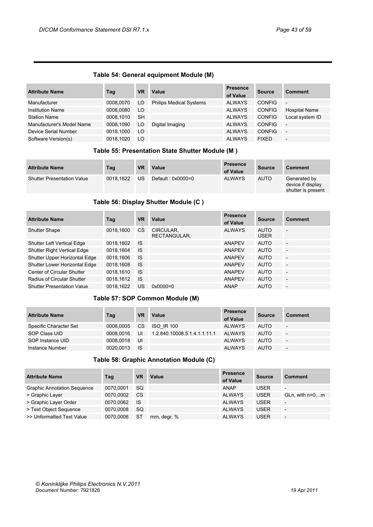## **Table 54: General equipment Module (M)**

| <b>Attribute Name</b>     | Tag       | <b>VR</b> | Value                          | <b>Presence</b><br>of Value | <b>Source</b> | <b>Comment</b>           |
|---------------------------|-----------|-----------|--------------------------------|-----------------------------|---------------|--------------------------|
| Manufacturer              | 0008,0070 | LO        | <b>Philips Medical Systems</b> | <b>ALWAYS</b>               | <b>CONFIG</b> | $\overline{\phantom{a}}$ |
| <b>Institution Name</b>   | 0008,0080 | LO        |                                | <b>ALWAYS</b>               | <b>CONFIG</b> | <b>Hospital Name</b>     |
| <b>Station Name</b>       | 0008.1010 | <b>SH</b> |                                | <b>ALWAYS</b>               | <b>CONFIG</b> | Local system ID          |
| Manufacturer's Model Name | 0008,1090 | LO        | Digital Imaging                | <b>ALWAYS</b>               | <b>CONFIG</b> | $\overline{\phantom{a}}$ |
| Device Serial Number      | 0018,1000 | LO        |                                | <b>ALWAYS</b>               | <b>CONFIG</b> | $\overline{\phantom{a}}$ |
| Software Version(s)       | 0018.1020 | LO        |                                | <b>ALWAYS</b>               | <b>FIXED</b>  | $\overline{\phantom{a}}$ |

## **Table 55: Presentation State Shutter Module (M )**

| <b>Attribute Name</b>             | Tag       | <b>VR</b> | Value             | <b>Presence</b><br>of Value | <b>Source</b> | <b>Comment</b>                                          |
|-----------------------------------|-----------|-----------|-------------------|-----------------------------|---------------|---------------------------------------------------------|
| <b>Shutter Presentation Value</b> | 0018.1622 | US        | Default: 0x0000=0 | <b>ALWAYS</b>               | <b>AUTO</b>   | Generated by<br>device if display<br>shutter is present |

## **Table 56: Display Shutter Module (C )**

| <b>Attribute Name</b>              | Tag       | <b>VR</b> | Value                     | <b>Presence</b><br>of Value | <b>Source</b>              | <b>Comment</b>           |
|------------------------------------|-----------|-----------|---------------------------|-----------------------------|----------------------------|--------------------------|
| <b>Shutter Shape</b>               | 0018,1600 | <b>CS</b> | CIRCULAR,<br>RECTANGULAR. | <b>ALWAYS</b>               | <b>AUTO</b><br><b>USER</b> | $\overline{\phantom{0}}$ |
| <b>Shutter Left Vertical Edge</b>  | 0018,1602 | <b>IS</b> |                           | <b>ANAPEV</b>               | <b>AUTO</b>                | $\overline{\phantom{a}}$ |
| <b>Shutter Right Vertical Edge</b> | 0018.1604 | <b>IS</b> |                           | <b>ANAPEV</b>               | <b>AUTO</b>                | $\overline{\phantom{a}}$ |
| Shutter Upper Horizontal Edge      | 0018,1606 | <b>IS</b> |                           | <b>ANAPEV</b>               | <b>AUTO</b>                | $\overline{\phantom{a}}$ |
| Shutter Lower Horizontal Edge      | 0018,1608 | <b>IS</b> |                           | <b>ANAPEV</b>               | <b>AUTO</b>                | $\overline{\phantom{a}}$ |
| Center of Circular Shutter         | 0018,1610 | <b>IS</b> |                           | ANAPEV                      | <b>AUTO</b>                | $\overline{\phantom{a}}$ |
| Radius of Circular Shutter         | 0018,1612 | <b>IS</b> |                           | <b>ANAPEV</b>               | <b>AUTO</b>                | $\overline{\phantom{a}}$ |
| <b>Shutter Presentation Value</b>  | 0018,1622 | US        | $0 \times 0000 = 0$       | ANAP                        | <b>AUTO</b>                | $\overline{\phantom{a}}$ |

## **Table 57: SOP Common Module (M)**

| <b>Attribute Name</b>  | Tag       | VR   | Value                        | <b>Presence</b><br>of Value | <b>Source</b> | <b>Comment</b>           |
|------------------------|-----------|------|------------------------------|-----------------------------|---------------|--------------------------|
| Specific Character Set | 0008.0005 | CS.  | ISO IR 100                   | <b>ALWAYS</b>               | <b>AUTO</b>   | $\sim$                   |
| SOP Class UID          | 0008.0016 | UI   | 1.2.840.10008.5.1.4.1.1.11.1 | ALWAYS                      | <b>AUTO</b>   | $\overline{\phantom{a}}$ |
| SOP Instance UID       | 0008.0018 | UI   |                              | <b>ALWAYS</b>               | <b>AUTO</b>   | $\overline{\phantom{a}}$ |
| Instance Number        | 0020.0013 | - IS |                              | ALWAYS                      | <b>AUTO</b>   | -                        |

## **Table 58: Graphic Annotation Module (C)**

| <b>Attribute Name</b>              | Tag       | <b>VR</b> | Value       | <b>Presence</b><br>of Value | <b>Source</b> | <b>Comment</b>           |
|------------------------------------|-----------|-----------|-------------|-----------------------------|---------------|--------------------------|
| <b>Graphic Annotation Sequence</b> | 0070.0001 | <b>SQ</b> |             | <b>ANAP</b>                 | <b>USER</b>   | $\overline{\phantom{a}}$ |
| > Graphic Layer                    | 0070,0002 | <b>CS</b> |             | <b>ALWAYS</b>               | <b>USER</b>   | $GLn$ , with $n=0m$      |
| > Graphic Layer Order              | 0070,0062 | <b>IS</b> |             | <b>ALWAYS</b>               | <b>USER</b>   | $\overline{\phantom{a}}$ |
| > Text Object Sequence             | 0070.0008 | <b>SQ</b> |             | <b>ALWAYS</b>               | <b>USER</b>   | $\overline{\phantom{a}}$ |
| >> Unformatted Text Value          | 0070.0006 | <b>ST</b> | mm, degr, % | <b>ALWAYS</b>               | <b>USER</b>   | $\overline{\phantom{a}}$ |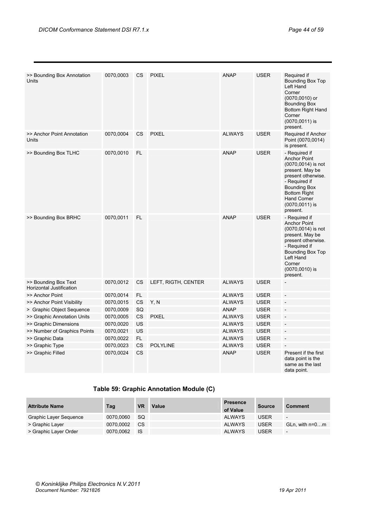| >> Bounding Box Annotation<br>Units              | 0070,0003 | CS.                    | <b>PIXEL</b>        | <b>ANAP</b>   | <b>USER</b> | Required if<br>Bounding Box Top<br>Left Hand<br>Corner<br>(0070,0010) or<br><b>Bounding Box</b><br>Bottom Right Hand<br>Corner<br>$(0070, 0011)$ is<br>present.                                                              |
|--------------------------------------------------|-----------|------------------------|---------------------|---------------|-------------|------------------------------------------------------------------------------------------------------------------------------------------------------------------------------------------------------------------------------|
| >> Anchor Point Annotation<br>Units              | 0070,0004 | CS.                    | <b>PIXEL</b>        | <b>ALWAYS</b> | <b>USER</b> | Required if Anchor<br>Point (0070,0014)<br>is present.                                                                                                                                                                       |
| >> Bounding Box TLHC                             | 0070,0010 | FL.                    |                     | <b>ANAP</b>   | <b>USER</b> | - Required if<br><b>Anchor Point</b><br>$(0070, 0014)$ is not<br>present. May be<br>present otherwise.<br>- Required if<br><b>Bounding Box</b><br><b>Bottom Right</b><br><b>Hand Corner</b><br>$(0070, 0011)$ is<br>present. |
| >> Bounding Box BRHC                             | 0070,0011 | FL.                    |                     | <b>ANAP</b>   | <b>USER</b> | - Required if<br><b>Anchor Point</b><br>(0070,0014) is not<br>present. May be<br>present otherwise.<br>- Required if<br>Bounding Box Top<br>Left Hand<br>Corner<br>(0070,0010) is<br>present.                                |
| >> Bounding Box Text<br>Horizontal Justification | 0070,0012 | <b>CS</b>              | LEFT, RIGTH, CENTER | <b>ALWAYS</b> | <b>USER</b> |                                                                                                                                                                                                                              |
| >> Anchor Point                                  | 0070,0014 | FL.                    |                     | <b>ALWAYS</b> | <b>USER</b> |                                                                                                                                                                                                                              |
| >> Anchor Point Visibility                       | 0070,0015 | CS                     | Y, N                | <b>ALWAYS</b> | <b>USER</b> |                                                                                                                                                                                                                              |
| > Graphic Object Sequence                        | 0070,0009 | SQ                     |                     | <b>ANAP</b>   | <b>USER</b> |                                                                                                                                                                                                                              |
| >> Graphic Annotation Units                      | 0070,0005 | <b>CS</b>              | <b>PIXEL</b>        | <b>ALWAYS</b> | <b>USER</b> |                                                                                                                                                                                                                              |
| >> Graphic Dimensions                            | 0070,0020 | US                     |                     | <b>ALWAYS</b> | <b>USER</b> | $\overline{\phantom{a}}$                                                                                                                                                                                                     |
| >> Number of Graphics Points                     | 0070,0021 | US                     |                     | <b>ALWAYS</b> | <b>USER</b> |                                                                                                                                                                                                                              |
| >> Graphic Data                                  | 0070,0022 | FL.                    |                     | <b>ALWAYS</b> | <b>USER</b> | $\overline{a}$                                                                                                                                                                                                               |
| >> Graphic Type                                  | 0070,0023 | $\mathbb{C}\mathbb{S}$ | <b>POLYLINE</b>     | <b>ALWAYS</b> | <b>USER</b> |                                                                                                                                                                                                                              |
| >> Graphic Filled                                | 0070,0024 | <b>CS</b>              |                     | <b>ANAP</b>   | <b>USER</b> | Present if the first<br>data point is the<br>same as the last<br>data point.                                                                                                                                                 |

## **Table 59: Graphic Annotation Module (C)**

| <b>Attribute Name</b>  | Tag       | <b>VR</b> | Value | <b>Presence</b><br>of Value | Source      | <b>Comment</b>           |
|------------------------|-----------|-----------|-------|-----------------------------|-------------|--------------------------|
| Graphic Layer Sequence | 0070.0060 | -SQ       |       | ALWAYS                      | <b>USER</b> | $\overline{\phantom{0}}$ |
| > Graphic Layer        | 0070.0002 | CS.       |       | <b>ALWAYS</b>               | <b>USER</b> | GLn. with $n=0m$         |
| > Graphic Layer Order  | 0070.0062 | - IS      |       | <b>ALWAYS</b>               | <b>USER</b> | $\overline{\phantom{a}}$ |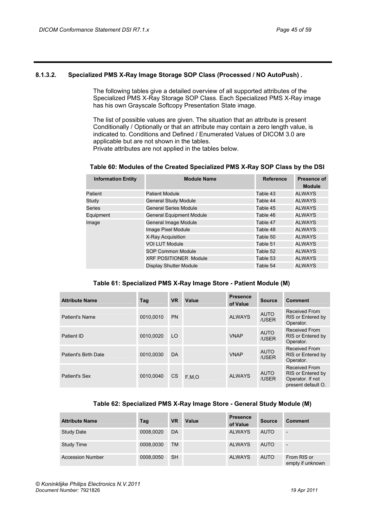## <span id="page-44-0"></span>**8.1.3.2. Specialized PMS X-Ray Image Storage SOP Class (Processed / NO AutoPush) .**

The following tables give a detailed overview of all supported attributes of the Specialized PMS X-Ray Storage SOP Class. Each Specialized PMS X-Ray image has his own Grayscale Softcopy Presentation State image.

The list of possible values are given. The situation that an attribute is present Conditionally / Optionally or that an attribute may contain a zero length value, is indicated to. Conditions and Defined / Enumerated Values of DICOM 3.0 are applicable but are not shown in the tables. Private attributes are not applied in the tables below.

#### **Table 60: Modules of the Created Specialized PMS X-Ray SOP Class by the DSI**

| <b>Information Entity</b> | <b>Module Name</b>              | <b>Reference</b> | <b>Presence of</b><br><b>Module</b> |
|---------------------------|---------------------------------|------------------|-------------------------------------|
| Patient                   | <b>Patient Module</b>           | Table 43         | <b>ALWAYS</b>                       |
| Study                     | <b>General Study Module</b>     | Table 44         | <b>ALWAYS</b>                       |
| Series                    | <b>General Series Module</b>    | Table 45         | <b>ALWAYS</b>                       |
| Equipment                 | <b>General Equipment Module</b> | Table 46         | <b>ALWAYS</b>                       |
| Image                     | General Image Module            | Table 47         | <b>ALWAYS</b>                       |
|                           | Image Pixel Module              | Table 48         | <b>ALWAYS</b>                       |
|                           | X-Ray Acquisition               | Table 50         | <b>ALWAYS</b>                       |
|                           | <b>VOI LUT Module</b>           | Table 51         | <b>ALWAYS</b>                       |
|                           | <b>SOP Common Module</b>        | Table 52         | <b>ALWAYS</b>                       |
|                           | <b>XRF POSITIONER Module</b>    | Table 53         | <b>ALWAYS</b>                       |
|                           | Display Shutter Module          | Table 54         | <b>ALWAYS</b>                       |

## **Table 61: Specialized PMS X-Ray Image Store - Patient Module (M)**

| <b>Attribute Name</b> | Tag       | <b>VR</b> | Value | <b>Presence</b><br>of Value | <b>Source</b>        | Comment                                                                      |
|-----------------------|-----------|-----------|-------|-----------------------------|----------------------|------------------------------------------------------------------------------|
| Patient's Name        | 0010.0010 | <b>PN</b> |       | <b>ALWAYS</b>               | <b>AUTO</b><br>/USER | Received From<br>RIS or Entered by<br>Operator.                              |
| Patient ID            | 0010.0020 | LO        |       | <b>VNAP</b>                 | <b>AUTO</b><br>/USER | Received From<br>RIS or Entered by<br>Operator.                              |
| Patient's Birth Date  | 0010,0030 | DA        |       | <b>VNAP</b>                 | <b>AUTO</b><br>/USER | <b>Received From</b><br>RIS or Entered by<br>Operator.                       |
| Patient's Sex         | 0010.0040 | <b>CS</b> | F.M.O | <b>ALWAYS</b>               | <b>AUTO</b><br>/USER | Received From<br>RIS or Entered by<br>Operator. If not<br>present default O. |

#### **Table 62: Specialized PMS X-Ray Image Store - General Study Module (M)**

| <b>Attribute Name</b>   | Tag       | <b>VR</b> | Value | <b>Presence</b><br>of Value | <b>Source</b> | <b>Comment</b>                  |
|-------------------------|-----------|-----------|-------|-----------------------------|---------------|---------------------------------|
| <b>Study Date</b>       | 0008,0020 | DA        |       | <b>ALWAYS</b>               | <b>AUTO</b>   | $\overline{\phantom{0}}$        |
| Study Time              | 0008,0030 | <b>TM</b> |       | <b>ALWAYS</b>               | <b>AUTO</b>   | $\overline{\phantom{0}}$        |
| <b>Accession Number</b> | 0008,0050 | <b>SH</b> |       | <b>ALWAYS</b>               | <b>AUTO</b>   | From RIS or<br>empty if unknown |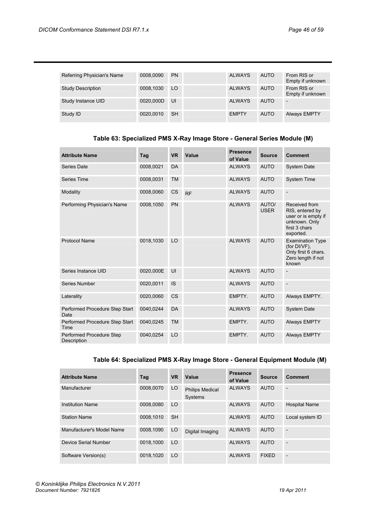| Referring Physician's Name | 0008.0090 | <b>PN</b> | <b>ALWAYS</b> | <b>AUTO</b> | From RIS or<br>Empty if unknown |
|----------------------------|-----------|-----------|---------------|-------------|---------------------------------|
| <b>Study Description</b>   | 0008,1030 | LO        | <b>ALWAYS</b> | <b>AUTO</b> | From RIS or<br>Empty if unknown |
| Study Instance UID         | 0020,000D | UI        | <b>ALWAYS</b> | <b>AUTO</b> |                                 |
| Study ID                   | 0020.0010 | <b>SH</b> | <b>EMPTY</b>  | <b>AUTO</b> | <b>Always EMPTY</b>             |

## **Table 63: Specialized PMS X-Ray Image Store - General Series Module (M)**

| <b>Attribute Name</b>                   | Tag       | <b>VR</b> | Value     | <b>Presence</b><br>of Value | <b>Source</b>        | <b>Comment</b>                                                                                         |
|-----------------------------------------|-----------|-----------|-----------|-----------------------------|----------------------|--------------------------------------------------------------------------------------------------------|
| Series Date                             | 0008,0021 | DA        |           | <b>ALWAYS</b>               | <b>AUTO</b>          | <b>System Date</b>                                                                                     |
| Series Time                             | 0008,0031 | <b>TM</b> |           | <b>ALWAYS</b>               | <b>AUTO</b>          | <b>System Time</b>                                                                                     |
| Modality                                | 0008,0060 | <b>CS</b> | <b>RF</b> | <b>ALWAYS</b>               | <b>AUTO</b>          |                                                                                                        |
| Performing Physician's Name             | 0008,1050 | PN        |           | <b>ALWAYS</b>               | AUTO/<br><b>USER</b> | Received from<br>RIS, entered by<br>user or is empty if<br>unknown. Only<br>first 3 chars<br>exported. |
| <b>Protocol Name</b>                    | 0018,1030 | LO        |           | <b>ALWAYS</b>               | <b>AUTO</b>          | <b>Examination Type</b><br>(for $DI/VF$ ).<br>Only first 6 chars.<br>Zero length if not<br>known       |
| Series Instance UID                     | 0020,000E | UI        |           | <b>ALWAYS</b>               | <b>AUTO</b>          |                                                                                                        |
| Series Number                           | 0020,0011 | <b>IS</b> |           | <b>ALWAYS</b>               | <b>AUTO</b>          |                                                                                                        |
| Laterality                              | 0020,0060 | <b>CS</b> |           | EMPTY.                      | <b>AUTO</b>          | Always EMPTY.                                                                                          |
| Performed Procedure Step Start<br>Date  | 0040,0244 | DA        |           | <b>ALWAYS</b>               | <b>AUTO</b>          | System Date                                                                                            |
| Performed Procedure Step Start<br>Time  | 0040,0245 | <b>TM</b> |           | EMPTY.                      | <b>AUTO</b>          | <b>Always EMPTY</b>                                                                                    |
| Performed Procedure Step<br>Description | 0040,0254 | LO        |           | EMPTY.                      | <b>AUTO</b>          | <b>Always EMPTY</b>                                                                                    |

## **Table 64: Specialized PMS X-Ray Image Store - General Equipment Module (M)**

| <b>Attribute Name</b>     | Tag       | <b>VR</b> | Value                             | <b>Presence</b><br>of Value | <b>Source</b> | <b>Comment</b>           |
|---------------------------|-----------|-----------|-----------------------------------|-----------------------------|---------------|--------------------------|
| Manufacturer              | 0008.0070 | LO        | <b>Philips Medical</b><br>Systems | <b>ALWAYS</b>               | <b>AUTO</b>   | $\overline{\phantom{a}}$ |
| <b>Institution Name</b>   | 0008.0080 | LO        |                                   | <b>ALWAYS</b>               | <b>AUTO</b>   | <b>Hospital Name</b>     |
| <b>Station Name</b>       | 0008.1010 | <b>SH</b> |                                   | <b>ALWAYS</b>               | <b>AUTO</b>   | Local system ID          |
| Manufacturer's Model Name | 0008.1090 | LO        | Digital Imaging                   | <b>ALWAYS</b>               | <b>AUTO</b>   | r.                       |
| Device Serial Number      | 0018.1000 | LO        |                                   | <b>ALWAYS</b>               | <b>AUTO</b>   | $\overline{\phantom{0}}$ |
| Software Version(s)       | 0018.1020 | LO        |                                   | <b>ALWAYS</b>               | <b>FIXED</b>  | $\overline{\phantom{a}}$ |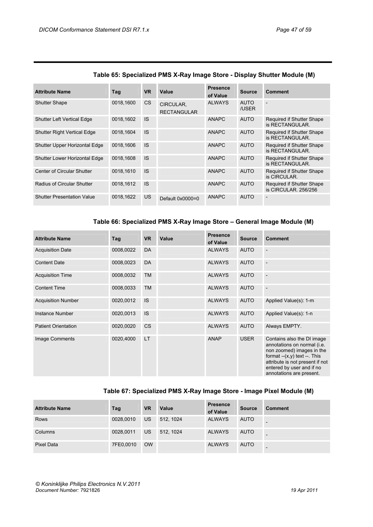| <b>Attribute Name</b>              | Tag       | <b>VR</b> | Value                           | <b>Presence</b><br>of Value | <b>Source</b>        | Comment                                           |
|------------------------------------|-----------|-----------|---------------------------------|-----------------------------|----------------------|---------------------------------------------------|
| <b>Shutter Shape</b>               | 0018,1600 | CS        | CIRCULAR.<br><b>RECTANGULAR</b> | <b>ALWAYS</b>               | <b>AUTO</b><br>/USER |                                                   |
| <b>Shutter Left Vertical Edge</b>  | 0018.1602 | <b>IS</b> |                                 | <b>ANAPC</b>                | <b>AUTO</b>          | Required if Shutter Shape<br>is RECTANGULAR.      |
| <b>Shutter Right Vertical Edge</b> | 0018.1604 | <b>IS</b> |                                 | <b>ANAPC</b>                | <b>AUTO</b>          | Required if Shutter Shape<br>is RECTANGULAR.      |
| Shutter Upper Horizontal Edge      | 0018.1606 | <b>IS</b> |                                 | <b>ANAPC</b>                | <b>AUTO</b>          | Required if Shutter Shape<br>is RECTANGULAR.      |
| Shutter Lower Horizontal Edge      | 0018.1608 | <b>IS</b> |                                 | <b>ANAPC</b>                | <b>AUTO</b>          | Required if Shutter Shape<br>is RECTANGULAR.      |
| Center of Circular Shutter         | 0018.1610 | <b>IS</b> |                                 | <b>ANAPC</b>                | <b>AUTO</b>          | Required if Shutter Shape<br>is CIRCULAR.         |
| Radius of Circular Shutter         | 0018.1612 | <b>IS</b> |                                 | <b>ANAPC</b>                | <b>AUTO</b>          | Required if Shutter Shape<br>is CIRCULAR, 256/256 |
| <b>Shutter Presentation Value</b>  | 0018,1622 | US.       | Default $0x0000=0$              | <b>ANAPC</b>                | <b>AUTO</b>          |                                                   |

## **Table 65: Specialized PMS X-Ray Image Store - Display Shutter Module (M)**

## **Table 66: Specialized PMS X-Ray Image Store – General Image Module (M)**

| <b>Attribute Name</b>      | Tag       | <b>VR</b> | Value | <b>Presence</b><br>of Value | <b>Source</b> | <b>Comment</b>                                                                                                                                                                                                        |
|----------------------------|-----------|-----------|-------|-----------------------------|---------------|-----------------------------------------------------------------------------------------------------------------------------------------------------------------------------------------------------------------------|
| <b>Acquisition Date</b>    | 0008,0022 | DA        |       | <b>ALWAYS</b>               | <b>AUTO</b>   |                                                                                                                                                                                                                       |
| <b>Content Date</b>        | 0008,0023 | <b>DA</b> |       | <b>ALWAYS</b>               | <b>AUTO</b>   |                                                                                                                                                                                                                       |
| <b>Acquisition Time</b>    | 0008,0032 | <b>TM</b> |       | <b>ALWAYS</b>               | <b>AUTO</b>   |                                                                                                                                                                                                                       |
| <b>Content Time</b>        | 0008,0033 | <b>TM</b> |       | <b>ALWAYS</b>               | <b>AUTO</b>   | $\overline{\phantom{a}}$                                                                                                                                                                                              |
| <b>Acquisition Number</b>  | 0020,0012 | <b>IS</b> |       | <b>ALWAYS</b>               | <b>AUTO</b>   | Applied Value(s): 1-m                                                                                                                                                                                                 |
| Instance Number            | 0020,0013 | <b>IS</b> |       | <b>ALWAYS</b>               | <b>AUTO</b>   | Applied Value(s): 1-n                                                                                                                                                                                                 |
| <b>Patient Orientation</b> | 0020,0020 | <b>CS</b> |       | <b>ALWAYS</b>               | <b>AUTO</b>   | Always EMPTY.                                                                                                                                                                                                         |
| Image Comments             | 0020,4000 | <b>LT</b> |       | <b>ANAP</b>                 | <b>USER</b>   | Contains also the DI image<br>annotations on normal (i.e.<br>non zoomed) images in the<br>format $-(x,y)$ text $-$ . This<br>attribute is not present if not<br>entered by user and if no<br>annotations are present. |

## **Table 67: Specialized PMS X-Ray Image Store - Image Pixel Module (M)**

| <b>Attribute Name</b> | Tag       | <b>VR</b> | Value    | <b>Presence</b><br>of Value | <b>Source</b> | Comment |
|-----------------------|-----------|-----------|----------|-----------------------------|---------------|---------|
| <b>Rows</b>           | 0028,0010 | <b>US</b> | 512.1024 | <b>ALWAYS</b>               | <b>AUTO</b>   |         |
| Columns               | 0028,0011 | <b>US</b> | 512.1024 | <b>ALWAYS</b>               | <b>AUTO</b>   | -       |
| Pixel Data            | 7FE0,0010 | <b>OW</b> |          | <b>ALWAYS</b>               | <b>AUTO</b>   | -       |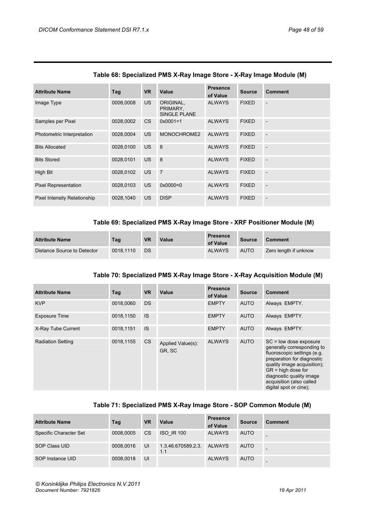| <b>Attribute Name</b>        | Tag       | <b>VR</b> | Value                                 | <b>Presence</b><br>of Value | <b>Source</b> | <b>Comment</b> |
|------------------------------|-----------|-----------|---------------------------------------|-----------------------------|---------------|----------------|
| Image Type                   | 0008,0008 | US.       | ORIGINAL,<br>PRIMARY.<br>SINGLE PLANE | <b>ALWAYS</b>               | <b>FIXED</b>  | $\overline{a}$ |
| Samples per Pixel            | 0028,0002 | CS        | $0x0001 = 1$                          | <b>ALWAYS</b>               | <b>FIXED</b>  | $\overline{a}$ |
| Photometric Interpretation   | 0028,0004 | US.       | MONOCHROME2                           | <b>ALWAYS</b>               | <b>FIXED</b>  | $\overline{a}$ |
| <b>Bits Allocated</b>        | 0028,0100 | US.       | 8                                     | <b>ALWAYS</b>               | <b>FIXED</b>  | $\overline{a}$ |
| <b>Bits Stored</b>           | 0028,0101 | US.       | 8                                     | <b>ALWAYS</b>               | <b>FIXED</b>  | $\overline{a}$ |
| <b>High Bit</b>              | 0028.0102 | US.       | $\overline{7}$                        | <b>ALWAYS</b>               | <b>FIXED</b>  | $\overline{a}$ |
| <b>Pixel Representation</b>  | 0028.0103 | US.       | $0 \times 0000 = 0$                   | <b>ALWAYS</b>               | <b>FIXED</b>  | $\overline{a}$ |
| Pixel Intensity Relationship | 0028.1040 | US.       | <b>DISP</b>                           | <b>ALWAYS</b>               | <b>FIXED</b>  | $\overline{a}$ |

## **Table 68: Specialized PMS X-Ray Image Store - X-Ray Image Module (M)**

## **Table 69: Specialized PMS X-Ray Image Store - XRF Positioner Module (M)**

| <b>Attribute Name</b>       | Tag       | <b>VR</b> | Value | <b>Presence</b><br>of Value | <b>Source</b> | <b>Comment</b>        |
|-----------------------------|-----------|-----------|-------|-----------------------------|---------------|-----------------------|
| Distance Source to Detector | 0018.1110 | <b>DS</b> |       | <b>ALWAYS</b>               | <b>AUTO</b>   | Zero length if unknow |

## **Table 70: Specialized PMS X-Ray Image Store - X-Ray Acquisition Module (M)**

| <b>Attribute Name</b>    | Tag       | <b>VR</b> | Value                       | <b>Presence</b><br>of Value | <b>Source</b> | Comment                                                                                                                                                                                                                                                      |
|--------------------------|-----------|-----------|-----------------------------|-----------------------------|---------------|--------------------------------------------------------------------------------------------------------------------------------------------------------------------------------------------------------------------------------------------------------------|
| <b>KVP</b>               | 0018.0060 | <b>DS</b> |                             | <b>EMPTY</b>                | <b>AUTO</b>   | Always EMPTY.                                                                                                                                                                                                                                                |
| <b>Exposure Time</b>     | 0018,1150 | <b>IS</b> |                             | <b>EMPTY</b>                | <b>AUTO</b>   | Always EMPTY.                                                                                                                                                                                                                                                |
| X-Ray Tube Current       | 0018,1151 | <b>IS</b> |                             | <b>EMPTY</b>                | <b>AUTO</b>   | Always EMPTY.                                                                                                                                                                                                                                                |
| <b>Radiation Setting</b> | 0018,1155 | CS        | Applied Value(s):<br>GR, SC | <b>ALWAYS</b>               | <b>AUTO</b>   | $SC = low$ dose exposure<br>generally corresponding to<br>fluoroscopic settings (e.g.<br>preparation for diagnostic<br>quality image acquisition);<br>$GR = high dose for$<br>diagnostic quality image<br>acquisition (also called<br>digital spot or cine); |

## **Table 71: Specialized PMS X-Ray Image Store - SOP Common Module (M)**

| <b>Attribute Name</b>  | Tag       | <b>VR</b>     | Value                     | <b>Presence</b><br>of Value | <b>Source</b> | <b>Comment</b> |
|------------------------|-----------|---------------|---------------------------|-----------------------------|---------------|----------------|
| Specific Character Set | 0008.0005 | <sub>CS</sub> | <b>ISO IR 100</b>         | <b>ALWAYS</b>               | <b>AUTO</b>   |                |
| SOP Class UID          | 0008,0016 | UI            | 1.3.46.670589.2.3.<br>1.1 | <b>ALWAYS</b>               | <b>AUTO</b>   |                |
| SOP Instance UID       | 0008,0018 | UI            |                           | <b>ALWAYS</b>               | <b>AUTO</b>   |                |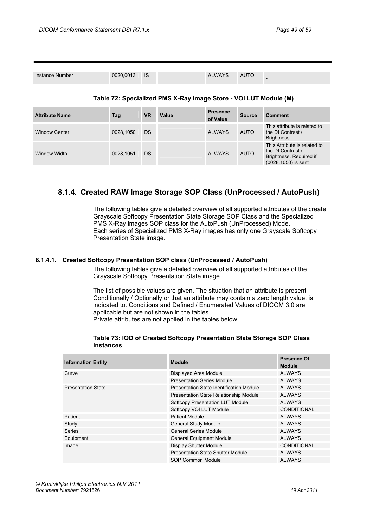| Instance Number | 0020,0013 IS |  | <b>ALWAYS</b> | <b>AUTO</b> | $\overline{\phantom{0}}$ |
|-----------------|--------------|--|---------------|-------------|--------------------------|
|                 |              |  |               |             |                          |

## **Table 72: Specialized PMS X-Ray Image Store - VOI LUT Module (M)**

| <b>Attribute Name</b> | Tag       | <b>VR</b> | Value | <b>Presence</b><br>of Value | <b>Source</b> | <b>Comment</b>                                                                                      |
|-----------------------|-----------|-----------|-------|-----------------------------|---------------|-----------------------------------------------------------------------------------------------------|
| <b>Window Center</b>  | 0028,1050 | <b>DS</b> |       | <b>ALWAYS</b>               | <b>AUTO</b>   | This attribute is related to<br>the DI Contrast /<br>Brightness.                                    |
| <b>Window Width</b>   | 0028,1051 | <b>DS</b> |       | <b>ALWAYS</b>               | <b>AUTO</b>   | This Attribute is related to<br>the DI Contrast /<br>Brightness. Required if<br>(0028,1050) is sent |

## <span id="page-48-0"></span>**8.1.4. Created RAW Image Storage SOP Class (UnProcessed / AutoPush)**

The following tables give a detailed overview of all supported attributes of the create Grayscale Softcopy Presentation State Storage SOP Class and the Specialized PMS X-Ray images SOP class for the AutoPush (UnProcessed) Mode. Each series of Specialized PMS X-Ray images has only one Grayscale Softcopy Presentation State image.

## <span id="page-48-1"></span>**8.1.4.1. Created Softcopy Presentation SOP class (UnProcessed / AutoPush)**

The following tables give a detailed overview of all supported attributes of the Grayscale Softcopy Presentation State image.

The list of possible values are given. The situation that an attribute is present Conditionally / Optionally or that an attribute may contain a zero length value, is indicated to. Conditions and Defined / Enumerated Values of DICOM 3.0 are applicable but are not shown in the tables.

Private attributes are not applied in the tables below.

| <b>Information Entity</b> | <b>Module</b>                            | <b>Presence Of</b><br><b>Module</b> |
|---------------------------|------------------------------------------|-------------------------------------|
| Curve                     | Displayed Area Module                    | <b>ALWAYS</b>                       |
|                           | <b>Presentation Series Module</b>        | <b>ALWAYS</b>                       |
| <b>Presentation State</b> | Presentation State Identification Module | <b>ALWAYS</b>                       |
|                           | Presentation State Relationship Module   | <b>ALWAYS</b>                       |
|                           | <b>Softcopy Presentation LUT Module</b>  | <b>ALWAYS</b>                       |
|                           | Softcopy VOI LUT Module                  | CONDITIONAL                         |
| Patient                   | <b>Patient Module</b>                    | <b>ALWAYS</b>                       |
| Study                     | <b>General Study Module</b>              | <b>ALWAYS</b>                       |
| Series                    | <b>General Series Module</b>             | <b>ALWAYS</b>                       |
| Equipment                 | <b>General Equipment Module</b>          | <b>ALWAYS</b>                       |
| Image                     | <b>Display Shutter Module</b>            | <b>CONDITIONAL</b>                  |
|                           | Presentation State Shutter Module        | <b>ALWAYS</b>                       |
|                           | SOP Common Module                        | <b>ALWAYS</b>                       |

#### **Table 73: IOD of Created Softcopy Presentation State Storage SOP Class Instances**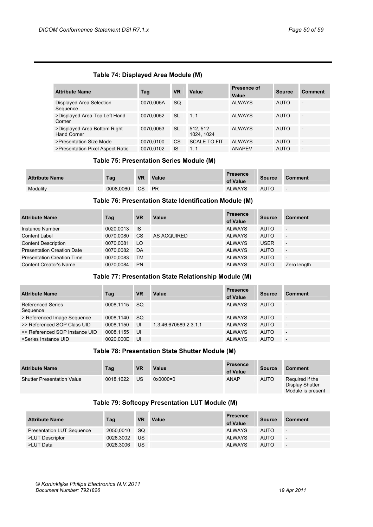## **Table 74: Displayed Area Module (M)**

| <b>Attribute Name</b>                       | Tag       | <b>VR</b> | Value                 | Presence of<br>Value | <b>Source</b> | Comment                  |
|---------------------------------------------|-----------|-----------|-----------------------|----------------------|---------------|--------------------------|
| Displayed Area Selection<br>Sequence        | 0070.005A | <b>SQ</b> |                       | <b>ALWAYS</b>        | <b>AUTO</b>   | $\overline{\phantom{a}}$ |
| >Displayed Area Top Left Hand<br>Corner     | 0070.0052 | -SL       | 1.1                   | <b>ALWAYS</b>        | <b>AUTO</b>   | $\overline{\phantom{a}}$ |
| >Displayed Area Bottom Right<br>Hand Corner | 0070.0053 | <b>SL</b> | 512.512<br>1024, 1024 | <b>ALWAYS</b>        | <b>AUTO</b>   | $\overline{\phantom{0}}$ |
| >Presentation Size Mode                     | 0070.0100 | <b>CS</b> | <b>SCALE TO FIT</b>   | <b>ALWAYS</b>        | <b>AUTO</b>   | $\overline{\phantom{0}}$ |
| >Presentation Pixel Aspect Ratio            | 0070.0102 | IS        | 1.1                   | <b>ANAPEV</b>        | <b>AUTO</b>   | $\overline{\phantom{0}}$ |

## **Table 75: Presentation Series Module (M)**

| <b>Attribute Name</b> | Tag       | <b>VR</b> | <b>Value</b> | <b>Presence</b><br>of Value | <b>Source</b> | <b>Comment</b>           |
|-----------------------|-----------|-----------|--------------|-----------------------------|---------------|--------------------------|
| Modality              | 0008.0060 | <b>CS</b> | <b>PR</b>    | <b>ALWAYS</b>               | AUTO          | $\overline{\phantom{a}}$ |

#### **Table 76: Presentation State Identification Module (M)**

| <b>Attribute Name</b>             | Tag       | <b>VR</b> | Value       | <b>Presence</b><br>of Value | <b>Source</b> | Comment                  |
|-----------------------------------|-----------|-----------|-------------|-----------------------------|---------------|--------------------------|
| Instance Number                   | 0020,0013 | <b>IS</b> |             | <b>ALWAYS</b>               | <b>AUTO</b>   | $\overline{\phantom{a}}$ |
| <b>Content Label</b>              | 0070.0080 | <b>CS</b> | AS ACQUIRED | <b>ALWAYS</b>               | <b>AUTO</b>   | $\overline{\phantom{a}}$ |
| <b>Content Description</b>        | 0070.0081 | LO        |             | <b>ALWAYS</b>               | <b>USER</b>   | $\overline{\phantom{a}}$ |
| <b>Presentation Creation Date</b> | 0070.0082 | DA        |             | <b>ALWAYS</b>               | <b>AUTO</b>   | $\overline{\phantom{a}}$ |
| <b>Presentation Creation Time</b> | 0070.0083 | TM        |             | <b>ALWAYS</b>               | <b>AUTO</b>   | $\overline{\phantom{a}}$ |
| <b>Content Creator's Name</b>     | 0070.0084 | <b>PN</b> |             | <b>ALWAYS</b>               | <b>AUTO</b>   | Zero length              |

#### **Table 77: Presentation State Relationship Module (M)**

| <b>Attribute Name</b>                | Tag       | <b>VR</b> | Value                 | <b>Presence</b><br>of Value | <b>Source</b> | <b>Comment</b>           |
|--------------------------------------|-----------|-----------|-----------------------|-----------------------------|---------------|--------------------------|
| <b>Referenced Series</b><br>Sequence | 0008.1115 | SQ        |                       | <b>ALWAYS</b>               | <b>AUTO</b>   | $\sim$                   |
| > Referenced Image Sequence          | 0008.1140 | - SQ      |                       | <b>ALWAYS</b>               | AUTO          | $\overline{\phantom{a}}$ |
| >> Referenced SOP Class UID          | 0008.1150 | UI        | 1.3.46.670589.2.3.1.1 | <b>ALWAYS</b>               | <b>AUTO</b>   | $\overline{\phantom{a}}$ |
| >> Referenced SOP Instance UID       | 0008.1155 | UI        |                       | <b>ALWAYS</b>               | <b>AUTO</b>   | $\overline{\phantom{a}}$ |
| >Series Instance UID                 | 0020.000E | UI        |                       | <b>ALWAYS</b>               | <b>AUTO</b>   | $\overline{\phantom{a}}$ |

#### **Table 78: Presentation State Shutter Module (M)**

| <b>Attribute Name</b>             | Tag       | <b>VR</b> | Value      | <b>Presence</b><br>of Value | <b>Source</b> | <b>Comment</b>                                          |
|-----------------------------------|-----------|-----------|------------|-----------------------------|---------------|---------------------------------------------------------|
| <b>Shutter Presentation Value</b> | 0018.1622 | US        | $0x0000=0$ | <b>ANAP</b>                 | <b>AUTO</b>   | Required if the<br>Display Shutter<br>Module is present |

## **Table 79: Softcopy Presentation LUT Module (M)**

| <b>Attribute Name</b>            | Tag       | <b>VR</b> | Value | <b>Presence</b><br>of Value | <b>Source</b> | <b>Comment</b>           |
|----------------------------------|-----------|-----------|-------|-----------------------------|---------------|--------------------------|
| <b>Presentation LUT Sequence</b> | 2050.0010 | -SQ       |       | <b>ALWAYS</b>               | <b>AUTO</b>   | $\overline{\phantom{a}}$ |
| >LUT Descriptor                  | 0028.3002 | US.       |       | <b>ALWAYS</b>               | <b>AUTO</b>   | $\overline{\phantom{a}}$ |
| >LUT Data                        | 0028.3006 | US        |       | <b>ALWAYS</b>               | <b>AUTO</b>   | $\overline{\phantom{a}}$ |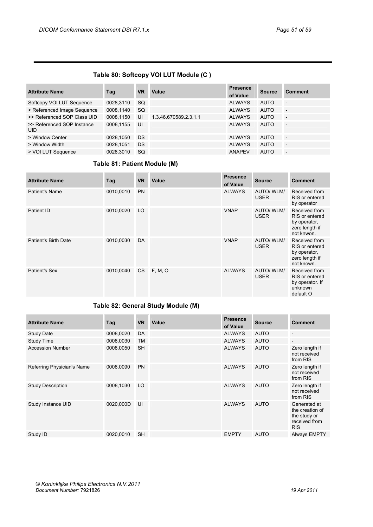## **Table 80: Softcopy VOI LUT Module (C )**

| <b>Attribute Name</b>                    | Tag       | <b>VR</b> | Value                 | <b>Presence</b><br>of Value | <b>Source</b> | <b>Comment</b>           |
|------------------------------------------|-----------|-----------|-----------------------|-----------------------------|---------------|--------------------------|
| Softcopy VOI LUT Sequence                | 0028,3110 | <b>SQ</b> |                       | <b>ALWAYS</b>               | <b>AUTO</b>   | $\overline{\phantom{a}}$ |
| > Referenced Image Sequence              | 0008,1140 | <b>SQ</b> |                       | <b>ALWAYS</b>               | <b>AUTO</b>   | $\overline{\phantom{a}}$ |
| >> Referenced SOP Class UID              | 0008.1150 | UI        | 1.3.46.670589.2.3.1.1 | <b>ALWAYS</b>               | <b>AUTO</b>   | $\overline{\phantom{a}}$ |
| >> Referenced SOP Instance<br><b>UID</b> | 0008.1155 | UI        |                       | <b>ALWAYS</b>               | <b>AUTO</b>   | $\overline{\phantom{a}}$ |
| > Window Center                          | 0028,1050 | DS        |                       | <b>ALWAYS</b>               | <b>AUTO</b>   | $\overline{\phantom{a}}$ |
| > Window Width                           | 0028.1051 | DS        |                       | <b>ALWAYS</b>               | <b>AUTO</b>   | $\overline{\phantom{a}}$ |
| > VOI LUT Sequence                       | 0028,3010 | <b>SQ</b> |                       | <b>ANAPEV</b>               | <b>AUTO</b>   | $\overline{\phantom{a}}$ |

## **Table 81: Patient Module (M)**

| <b>Attribute Name</b> | Tag       | <b>VR</b> | Value   | <b>Presence</b><br>of Value | <b>Source</b>                    | <b>Comment</b>                                                                  |
|-----------------------|-----------|-----------|---------|-----------------------------|----------------------------------|---------------------------------------------------------------------------------|
| Patient's Name        | 0010,0010 | <b>PN</b> |         | <b>ALWAYS</b>               | <b>AUTO/ WLM/</b><br><b>USER</b> | Received from<br>RIS or entered<br>by operator                                  |
| Patient ID            | 0010,0020 | LO.       |         | <b>VNAP</b>                 | <b>AUTO/ WLM/</b><br><b>USER</b> | Received from<br>RIS or entered<br>by operator,<br>zero length if<br>not knwon. |
| Patient's Birth Date  | 0010,0030 | DA        |         | <b>VNAP</b>                 | AUTO/WLM/<br><b>USER</b>         | Received from<br>RIS or entered<br>by operator,<br>zero length if<br>not known. |
| Patient's Sex         | 0010,0040 | CS        | F, M, O | <b>ALWAYS</b>               | <b>AUTO/ WLM/</b><br><b>USER</b> | Received from<br>RIS or entered<br>by operator. If<br>unknown<br>default O      |

## **Table 82: General Study Module (M)**

| <b>Attribute Name</b>      | Tag       | <b>VR</b> | Value | <b>Presence</b><br>of Value | <b>Source</b> | <b>Comment</b>                                                                 |
|----------------------------|-----------|-----------|-------|-----------------------------|---------------|--------------------------------------------------------------------------------|
| <b>Study Date</b>          | 0008,0020 | DA        |       | <b>ALWAYS</b>               | <b>AUTO</b>   | $\overline{\phantom{a}}$                                                       |
| <b>Study Time</b>          | 0008,0030 | <b>TM</b> |       | <b>ALWAYS</b>               | <b>AUTO</b>   | $\overline{\phantom{a}}$                                                       |
| <b>Accession Number</b>    | 0008,0050 | <b>SH</b> |       | <b>ALWAYS</b>               | <b>AUTO</b>   | Zero length if<br>not received<br>from RIS                                     |
| Referring Physician's Name | 0008,0090 | <b>PN</b> |       | <b>ALWAYS</b>               | <b>AUTO</b>   | Zero length if<br>not received<br>from RIS                                     |
| <b>Study Description</b>   | 0008,1030 | LO        |       | <b>ALWAYS</b>               | <b>AUTO</b>   | Zero length if<br>not received<br>from RIS                                     |
| Study Instance UID         | 0020,000D | UI        |       | <b>ALWAYS</b>               | <b>AUTO</b>   | Generated at<br>the creation of<br>the study or<br>received from<br><b>RIS</b> |
| Study ID                   | 0020,0010 | <b>SH</b> |       | <b>EMPTY</b>                | <b>AUTO</b>   | <b>Always EMPTY</b>                                                            |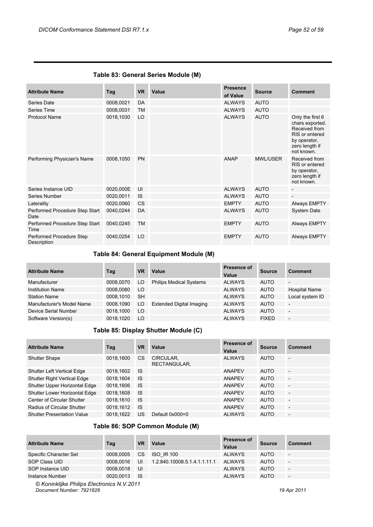## **Table 83: General Series Module (M)**

| <b>Attribute Name</b>                   | Tag       | <b>VR</b> | Value | <b>Presence</b><br>of Value | <b>Source</b>   | <b>Comment</b>                                                                                                         |
|-----------------------------------------|-----------|-----------|-------|-----------------------------|-----------------|------------------------------------------------------------------------------------------------------------------------|
| Series Date                             | 0008,0021 | DA        |       | <b>ALWAYS</b>               | <b>AUTO</b>     |                                                                                                                        |
| Series Time                             | 0008,0031 | <b>TM</b> |       | <b>ALWAYS</b>               | <b>AUTO</b>     |                                                                                                                        |
| <b>Protocol Name</b>                    | 0018,1030 | LO        |       | <b>ALWAYS</b>               | <b>AUTO</b>     | Only the first 6<br>chars exported.<br>Received from<br>RIS or entered<br>by operator,<br>zero length if<br>not known. |
| Performing Physician's Name             | 0008,1050 | PN        |       | <b>ANAP</b>                 | <b>MWL/USER</b> | Received from<br>RIS or entered<br>by operator,<br>zero length if<br>not known.                                        |
| Series Instance UID                     | 0020,000E | UI        |       | <b>ALWAYS</b>               | <b>AUTO</b>     |                                                                                                                        |
| Series Number                           | 0020,0011 | <b>IS</b> |       | <b>ALWAYS</b>               | <b>AUTO</b>     | $\overline{\phantom{a}}$                                                                                               |
| Laterality                              | 0020,0060 | <b>CS</b> |       | <b>EMPTY</b>                | <b>AUTO</b>     | <b>Always EMPTY</b>                                                                                                    |
| Performed Procedure Step Start<br>Date  | 0040,0244 | DA        |       | <b>ALWAYS</b>               | <b>AUTO</b>     | <b>System Date</b>                                                                                                     |
| Performed Procedure Step Start<br>Time  | 0040,0245 | <b>TM</b> |       | <b>EMPTY</b>                | <b>AUTO</b>     | <b>Always EMPTY</b>                                                                                                    |
| Performed Procedure Step<br>Description | 0040,0254 | LO        |       | <b>EMPTY</b>                | <b>AUTO</b>     | <b>Always EMPTY</b>                                                                                                    |

## **Table 84: General Equipment Module (M)**

| <b>Attribute Name</b>     | Tag       | <b>VR</b> | Value                           | Presence of<br>Value | Source       | <b>Comment</b>           |
|---------------------------|-----------|-----------|---------------------------------|----------------------|--------------|--------------------------|
| Manufacturer              | 0008.0070 | LO.       | <b>Philips Medical Systems</b>  | <b>ALWAYS</b>        | <b>AUTO</b>  | $\overline{\phantom{a}}$ |
| <b>Institution Name</b>   | 0008.0080 | LO.       |                                 | <b>ALWAYS</b>        | <b>AUTO</b>  | <b>Hospital Name</b>     |
| <b>Station Name</b>       | 0008.1010 | <b>SH</b> |                                 | <b>ALWAYS</b>        | <b>AUTO</b>  | Local system ID          |
| Manufacturer's Model Name | 0008,1090 | LO        | <b>Extended Digital Imaging</b> | <b>ALWAYS</b>        | <b>AUTO</b>  | $\overline{\phantom{0}}$ |
| Device Serial Number      | 0018.1000 | LO        |                                 | <b>ALWAYS</b>        | <b>AUTO</b>  | $\overline{\phantom{a}}$ |
| Software Version(s)       | 0018.1020 | LO.       |                                 | <b>ALWAYS</b>        | <b>FIXED</b> | $\overline{\phantom{a}}$ |

## **Table 85: Display Shutter Module (C)**

| <b>Attribute Name</b>              | Tag       | <b>VR</b> | Value                     | Presence of<br>Value | <b>Source</b> | <b>Comment</b>           |
|------------------------------------|-----------|-----------|---------------------------|----------------------|---------------|--------------------------|
| <b>Shutter Shape</b>               | 0018,1600 | <b>CS</b> | CIRCULAR,<br>RECTANGULAR, | <b>ALWAYS</b>        | <b>AUTO</b>   | $\overline{a}$           |
| <b>Shutter Left Vertical Edge</b>  | 0018,1602 | <b>IS</b> |                           | <b>ANAPEV</b>        | <b>AUTO</b>   | $\overline{\phantom{0}}$ |
| <b>Shutter Right Vertical Edge</b> | 0018,1604 | <b>IS</b> |                           | <b>ANAPEV</b>        | <b>AUTO</b>   | $\overline{\phantom{a}}$ |
| Shutter Upper Horizontal Edge      | 0018.1606 | <b>IS</b> |                           | <b>ANAPEV</b>        | <b>AUTO</b>   | $\overline{\phantom{a}}$ |
| Shutter Lower Horizontal Edge      | 0018,1608 | <b>IS</b> |                           | <b>ANAPEV</b>        | <b>AUTO</b>   | $\overline{\phantom{a}}$ |
| Center of Circular Shutter         | 0018.1610 | <b>IS</b> |                           | <b>ANAPEV</b>        | <b>AUTO</b>   | $\qquad \qquad -$        |
| Radius of Circular Shutter         | 0018,1612 | <b>IS</b> |                           | <b>ANAPEV</b>        | <b>AUTO</b>   | $\overline{\phantom{a}}$ |
| <b>Shutter Presentation Value</b>  | 0018.1622 | <b>US</b> | Default 0x000=0           | <b>ALWAYS</b>        | <b>AUTO</b>   | $\overline{a}$           |

## **Table 86: SOP Common Module (M)**

| <b>Attribute Name</b>                       | Tag       | VR   | Value                        | <b>Presence of</b><br>Value | <b>Source</b> | <b>Comment</b>           |
|---------------------------------------------|-----------|------|------------------------------|-----------------------------|---------------|--------------------------|
| Specific Character Set                      | 0008.0005 | CS.  | <b>ISO IR 100</b>            | <b>ALWAYS</b>               | <b>AUTO</b>   | $\overline{\phantom{0}}$ |
| SOP Class UID                               | 0008.0016 | UI   | 1.2.840.10008.5.1.4.1.1.11.1 | <b>ALWAYS</b>               | <b>AUTO</b>   | $\overline{\phantom{0}}$ |
| SOP Instance UID                            | 0008.0018 | UI   |                              | <b>ALWAYS</b>               | <b>AUTO</b>   | $\overline{\phantom{0}}$ |
| Instance Number                             | 0020.0013 | - IS |                              | <b>ALWAYS</b>               | <b>AUTO</b>   | $\overline{\phantom{0}}$ |
| @ Koninklijke Philips Electronics N 1/ 2011 |           |      |                              |                             |               |                          |

*© Koninklijke Philips Electronics N.V.2011 Document Number: 7921826 19 Apr 2011*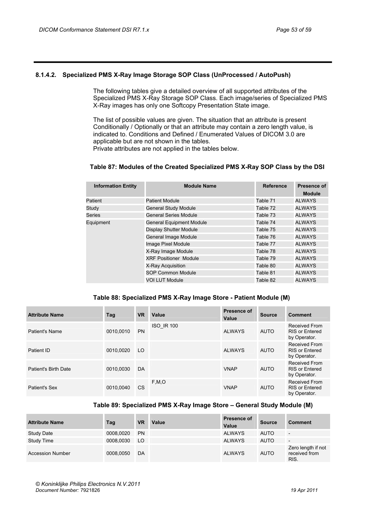## <span id="page-52-0"></span>**8.1.4.2. Specialized PMS X-Ray Image Storage SOP Class (UnProcessed / AutoPush)**

The following tables give a detailed overview of all supported attributes of the Specialized PMS X-Ray Storage SOP Class. Each image/series of Specialized PMS X-Ray images has only one Softcopy Presentation State image.

The list of possible values are given. The situation that an attribute is present Conditionally / Optionally or that an attribute may contain a zero length value, is indicated to. Conditions and Defined / Enumerated Values of DICOM 3.0 are applicable but are not shown in the tables. Private attributes are not applied in the tables below.

## **Table 87: Modules of the Created Specialized PMS X-Ray SOP Class by the DSI**

| <b>Module Name</b>              | <b>Reference</b> | Presence of<br><b>Module</b> |
|---------------------------------|------------------|------------------------------|
| <b>Patient Module</b>           | Table 71         | <b>ALWAYS</b>                |
| <b>General Study Module</b>     | Table 72         | <b>ALWAYS</b>                |
| <b>General Series Module</b>    | Table 73         | <b>ALWAYS</b>                |
| <b>General Equipment Module</b> | Table 74         | <b>ALWAYS</b>                |
| Display Shutter Module          | Table 75         | <b>ALWAYS</b>                |
| General Image Module            | Table 76         | <b>ALWAYS</b>                |
| Image Pixel Module              | Table 77         | <b>ALWAYS</b>                |
| X-Ray Image Module              | Table 78         | <b>ALWAYS</b>                |
| <b>XRF Positioner Module</b>    | Table 79         | <b>ALWAYS</b>                |
| X-Ray Acquisition               | Table 80         | <b>ALWAYS</b>                |
| SOP Common Module               | Table 81         | <b>ALWAYS</b>                |
| <b>VOI LUT Module</b>           | Table 82         | <b>ALWAYS</b>                |
|                                 |                  |                              |

## **Table 88: Specialized PMS X-Ray Image Store - Patient Module (M)**

| <b>Attribute Name</b> | Tag       | <b>VR</b> | Value             | <b>Presence of</b><br>Value | <b>Source</b> | <b>Comment</b>                                         |
|-----------------------|-----------|-----------|-------------------|-----------------------------|---------------|--------------------------------------------------------|
| Patient's Name        | 0010,0010 | <b>PN</b> | <b>ISO IR 100</b> | <b>ALWAYS</b>               | <b>AUTO</b>   | Received From<br><b>RIS or Entered</b><br>by Operator. |
| Patient ID            | 0010.0020 | LO.       |                   | <b>ALWAYS</b>               | <b>AUTO</b>   | Received From<br><b>RIS or Entered</b><br>by Operator. |
| Patient's Birth Date  | 0010,0030 | DA        |                   | <b>VNAP</b>                 | <b>AUTO</b>   | Received From<br><b>RIS or Entered</b><br>by Operator. |
| <b>Patient's Sex</b>  | 0010.0040 | <b>CS</b> | F.M.O             | <b>VNAP</b>                 | <b>AUTO</b>   | Received From<br><b>RIS or Entered</b><br>by Operator. |

#### **Table 89: Specialized PMS X-Ray Image Store – General Study Module (M)**

| <b>Attribute Name</b>   | Tag       | <b>VR</b> | Value | <b>Presence of</b><br>Value | <b>Source</b> | <b>Comment</b>                              |
|-------------------------|-----------|-----------|-------|-----------------------------|---------------|---------------------------------------------|
| <b>Study Date</b>       | 0008.0020 | <b>PN</b> |       | <b>ALWAYS</b>               | <b>AUTO</b>   | $\overline{\phantom{a}}$                    |
| Study Time              | 0008.0030 | LO        |       | <b>ALWAYS</b>               | <b>AUTO</b>   | $\overline{\phantom{a}}$                    |
| <b>Accession Number</b> | 0008.0050 | DA        |       | <b>ALWAYS</b>               | <b>AUTO</b>   | Zero length if not<br>received from<br>RIS. |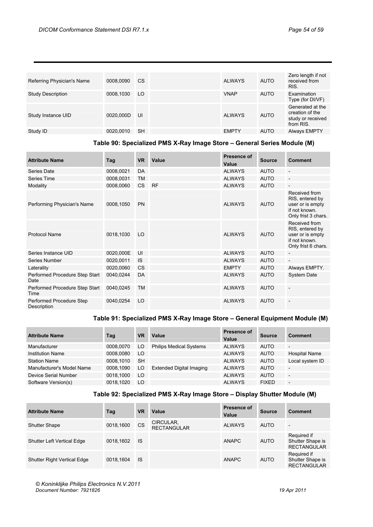| Referring Physician's Name | 0008.0090 | <b>CS</b> | <b>ALWAYS</b> | <b>AUTO</b> | Zero length if not<br>received from<br>RIS.                           |
|----------------------------|-----------|-----------|---------------|-------------|-----------------------------------------------------------------------|
| Study Description          | 0008,1030 | LO.       | <b>VNAP</b>   | <b>AUTO</b> | Examination<br>Type (for DI/VF)                                       |
| Study Instance UID         | 0020,000D | UI        | <b>ALWAYS</b> | <b>AUTO</b> | Generated at the<br>creation of the<br>study or received<br>from RIS. |
| Study ID                   | 0020,0010 | <b>SH</b> | <b>EMPTY</b>  | <b>AUTO</b> | <b>Always EMPTY</b>                                                   |
|                            |           |           |               |             |                                                                       |

## **Table 90: Specialized PMS X-Ray Image Store – General Series Module (M)**

| <b>Attribute Name</b>                   | Tag       | <b>VR</b> | Value     | Presence of<br>Value | <b>Source</b> | <b>Comment</b>                                                                               |
|-----------------------------------------|-----------|-----------|-----------|----------------------|---------------|----------------------------------------------------------------------------------------------|
| Series Date                             | 0008,0021 | DA        |           | <b>ALWAYS</b>        | <b>AUTO</b>   | $\overline{\phantom{a}}$                                                                     |
| Series Time                             | 0008,0031 | <b>TM</b> |           | <b>ALWAYS</b>        | <b>AUTO</b>   | $\overline{a}$                                                                               |
| Modality                                | 0008,0060 | <b>CS</b> | <b>RF</b> | <b>ALWAYS</b>        | <b>AUTO</b>   | $\overline{\phantom{a}}$                                                                     |
| Performing Physician's Name             | 0008,1050 | <b>PN</b> |           | <b>ALWAYS</b>        | <b>AUTO</b>   | Received from<br>RIS, entered by<br>user or is empty<br>if not known.<br>Only frist 3 chars. |
| <b>Protocol Name</b>                    | 0018,1030 | LO        |           | <b>ALWAYS</b>        | <b>AUTO</b>   | Received from<br>RIS, entered by<br>user or is empty<br>if not known.<br>Only frist 6 chars. |
| Series Instance UID                     | 0020,000E | UI        |           | <b>ALWAYS</b>        | <b>AUTO</b>   | $\overline{\phantom{a}}$                                                                     |
| Series Number                           | 0020,0011 | <b>IS</b> |           | <b>ALWAYS</b>        | <b>AUTO</b>   | $\overline{\phantom{a}}$                                                                     |
| Laterality                              | 0020,0060 | <b>CS</b> |           | <b>EMPTY</b>         | <b>AUTO</b>   | Always EMPTY.                                                                                |
| Performed Procedure Step Start<br>Date  | 0040,0244 | DA        |           | <b>ALWAYS</b>        | <b>AUTO</b>   | <b>System Date</b>                                                                           |
| Performed Procedure Step Start<br>Time  | 0040,0245 | <b>TM</b> |           | <b>ALWAYS</b>        | <b>AUTO</b>   | $\overline{a}$                                                                               |
| Performed Procedure Step<br>Description | 0040,0254 | LO        |           | <b>ALWAYS</b>        | <b>AUTO</b>   |                                                                                              |

## **Table 91: Specialized PMS X-Ray Image Store – General Equipment Module (M)**

| <b>Attribute Name</b>     | Tag       | VR        | Value                           | Presence of<br>Value | <b>Source</b> | <b>Comment</b>           |
|---------------------------|-----------|-----------|---------------------------------|----------------------|---------------|--------------------------|
| Manufacturer              | 0008.0070 | LO.       | <b>Philips Medical Systems</b>  | <b>ALWAYS</b>        | <b>AUTO</b>   | $\overline{\phantom{0}}$ |
| <b>Institution Name</b>   | 0008.0080 | LO.       |                                 | <b>ALWAYS</b>        | <b>AUTO</b>   | <b>Hospital Name</b>     |
| <b>Station Name</b>       | 0008,1010 | <b>SH</b> |                                 | <b>ALWAYS</b>        | <b>AUTO</b>   | Local system ID          |
| Manufacturer's Model Name | 0008,1090 | LO        | <b>Extended Digital Imaging</b> | <b>ALWAYS</b>        | <b>AUTO</b>   | $\overline{\phantom{0}}$ |
| Device Serial Number      | 0018,1000 | LO        |                                 | <b>ALWAYS</b>        | <b>AUTO</b>   | $\overline{\phantom{0}}$ |
| Software Version(s)       | 0018.1020 | LO        |                                 | <b>ALWAYS</b>        | <b>FIXED</b>  | $\qquad \qquad -$        |

## **Table 92: Specialized PMS X-Ray Image Store – Display Shutter Module (M)**

| <b>Attribute Name</b>              | Tag       | <b>VR</b> | Value                           | Presence of<br>Value | <b>Source</b> | <b>Comment</b>                                        |
|------------------------------------|-----------|-----------|---------------------------------|----------------------|---------------|-------------------------------------------------------|
| <b>Shutter Shape</b>               | 0018,1600 | <b>CS</b> | CIRCULAR,<br><b>RECTANGULAR</b> | <b>ALWAYS</b>        | <b>AUTO</b>   | $\overline{\phantom{a}}$                              |
| <b>Shutter Left Vertical Edge</b>  | 0018.1602 | <b>IS</b> |                                 | <b>ANAPC</b>         | <b>AUTO</b>   | Required if<br>Shutter Shape is<br><b>RECTANGULAR</b> |
| <b>Shutter Right Vertical Edge</b> | 0018.1604 | <b>IS</b> |                                 | <b>ANAPC</b>         | <b>AUTO</b>   | Required if<br>Shutter Shape is<br><b>RECTANGULAR</b> |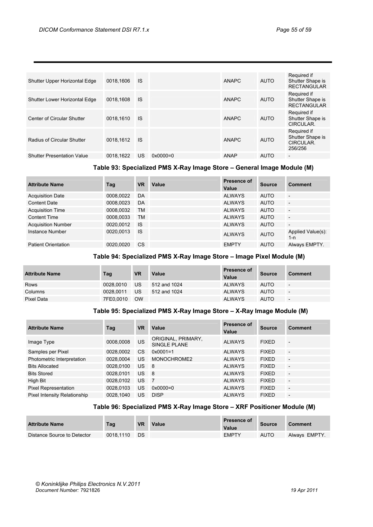| Shutter Upper Horizontal Edge     | 0018.1606 | <b>IS</b> |                     | <b>ANAPC</b> | AUTO        | Required if<br>Shutter Shape is<br><b>RECTANGULAR</b>   |
|-----------------------------------|-----------|-----------|---------------------|--------------|-------------|---------------------------------------------------------|
| Shutter Lower Horizontal Edge     | 0018.1608 | <b>IS</b> |                     | <b>ANAPC</b> | <b>AUTO</b> | Required if<br>Shutter Shape is<br><b>RECTANGULAR</b>   |
| Center of Circular Shutter        | 0018.1610 | <b>IS</b> |                     | <b>ANAPC</b> | <b>AUTO</b> | Required if<br>Shutter Shape is<br>CIRCULAR.            |
| Radius of Circular Shutter        | 0018.1612 | <b>IS</b> |                     | <b>ANAPC</b> | <b>AUTO</b> | Required if<br>Shutter Shape is<br>CIRCULAR.<br>256/256 |
| <b>Shutter Presentation Value</b> | 0018.1622 | <b>US</b> | $0 \times 0000 = 0$ | <b>ANAP</b>  | <b>AUTO</b> | $\overline{\phantom{a}}$                                |

## **Table 93: Specialized PMS X-Ray Image Store – General Image Module (M)**

| <b>Attribute Name</b>      | Tag       | VR        | Value | Presence of<br>Value | <b>Source</b> | <b>Comment</b>               |
|----------------------------|-----------|-----------|-------|----------------------|---------------|------------------------------|
| <b>Acquisition Date</b>    | 0008.0022 | DA        |       | <b>ALWAYS</b>        | <b>AUTO</b>   | $\overline{\phantom{a}}$     |
| <b>Content Date</b>        | 0008,0023 | DA        |       | <b>ALWAYS</b>        | <b>AUTO</b>   | $\overline{\phantom{a}}$     |
| <b>Acquisition Time</b>    | 0008,0032 | <b>TM</b> |       | <b>ALWAYS</b>        | <b>AUTO</b>   | $\overline{\phantom{a}}$     |
| <b>Content Time</b>        | 0008,0033 | <b>TM</b> |       | <b>ALWAYS</b>        | <b>AUTO</b>   | $\overline{\phantom{a}}$     |
| <b>Acquisition Number</b>  | 0020,0012 | <b>IS</b> |       | <b>ALWAYS</b>        | <b>AUTO</b>   | $\overline{\phantom{0}}$     |
| Instance Number            | 0020.0013 | <b>IS</b> |       | <b>ALWAYS</b>        | <b>AUTO</b>   | Applied Value(s):<br>$1 - n$ |
| <b>Patient Orientation</b> | 0020.0020 | <b>CS</b> |       | <b>EMPTY</b>         | <b>AUTO</b>   | Always EMPTY.                |

## **Table 94: Specialized PMS X-Ray Image Store – Image Pixel Module (M)**

| <b>Attribute Name</b> | Tag       | <b>VR</b> | Value        | <b>Presence of</b><br><b>Value</b> | <b>Source</b> | <b>Comment</b>           |
|-----------------------|-----------|-----------|--------------|------------------------------------|---------------|--------------------------|
| <b>Rows</b>           | 0028.0010 | US.       | 512 and 1024 | <b>ALWAYS</b>                      | <b>AUTO</b>   | $\overline{\phantom{0}}$ |
| Columns               | 0028.0011 | US.       | 512 and 1024 | <b>ALWAYS</b>                      | <b>AUTO</b>   | $\overline{\phantom{a}}$ |
| Pixel Data            | 7FE0.0010 | <b>OW</b> |              | <b>ALWAYS</b>                      | <b>AUTO</b>   | $\overline{\phantom{a}}$ |

#### **Table 95: Specialized PMS X-Ray Image Store – X-Ray Image Module (M)**

| <b>Attribute Name</b>        | Tag       | VR            | Value                                     | <b>Presence of</b><br>Value | <b>Source</b> | <b>Comment</b>           |
|------------------------------|-----------|---------------|-------------------------------------------|-----------------------------|---------------|--------------------------|
| Image Type                   | 0008,0008 | US            | ORIGINAL, PRIMARY,<br><b>SINGLE PLANE</b> | <b>ALWAYS</b>               | <b>FIXED</b>  | $\overline{\phantom{a}}$ |
| Samples per Pixel            | 0028,0002 | <sub>CS</sub> | $0x0001 = 1$                              | <b>ALWAYS</b>               | <b>FIXED</b>  | $\overline{\phantom{a}}$ |
| Photometric Interpretation   | 0028.0004 | <b>US</b>     | MONOCHROME2                               | <b>ALWAYS</b>               | <b>FIXED</b>  | $\overline{a}$           |
| <b>Bits Allocated</b>        | 0028,0100 | <b>US</b>     | 8                                         | <b>ALWAYS</b>               | <b>FIXED</b>  | $\overline{\phantom{a}}$ |
| <b>Bits Stored</b>           | 0028.0101 | US.           | $\overline{\phantom{0}}$ 8                | <b>ALWAYS</b>               | <b>FIXED</b>  | $\qquad \qquad -$        |
| High Bit                     | 0028,0102 | US            | $\overline{7}$                            | <b>ALWAYS</b>               | <b>FIXED</b>  | $\overline{a}$           |
| <b>Pixel Representation</b>  | 0028,0103 | US            | $0 \times 0000 = 0$                       | <b>ALWAYS</b>               | <b>FIXED</b>  | $\overline{\phantom{a}}$ |
| Pixel Intensity Relationship | 0028.1040 | US            | <b>DISP</b>                               | <b>ALWAYS</b>               | <b>FIXED</b>  | $\overline{\phantom{0}}$ |

## **Table 96: Specialized PMS X-Ray Image Store – XRF Positioner Module (M)**

| <b>Attribute Name</b>       | Tag       | <b>VR</b> | <b>Value</b> | <b>Presence of</b><br>Value | Source      | Comment       |
|-----------------------------|-----------|-----------|--------------|-----------------------------|-------------|---------------|
| Distance Source to Detector | 0018.1110 | DS        |              | <b>EMPTY</b>                | <b>AUTO</b> | Always EMPTY. |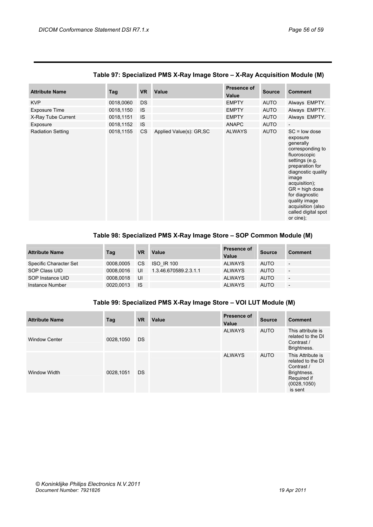| <b>Attribute Name</b>    | Tag       | <b>VR</b> | Value                    | Presence of<br>Value | <b>Source</b> | <b>Comment</b>                                                                                                                                                                                                                                                                    |
|--------------------------|-----------|-----------|--------------------------|----------------------|---------------|-----------------------------------------------------------------------------------------------------------------------------------------------------------------------------------------------------------------------------------------------------------------------------------|
| <b>KVP</b>               | 0018,0060 | <b>DS</b> |                          | <b>EMPTY</b>         | <b>AUTO</b>   | Always EMPTY.                                                                                                                                                                                                                                                                     |
| <b>Exposure Time</b>     | 0018,1150 | <b>IS</b> |                          | <b>EMPTY</b>         | <b>AUTO</b>   | Always EMPTY.                                                                                                                                                                                                                                                                     |
| X-Ray Tube Current       | 0018,1151 | <b>IS</b> |                          | <b>EMPTY</b>         | <b>AUTO</b>   | Always EMPTY.                                                                                                                                                                                                                                                                     |
| Exposure                 | 0018,1152 | IS        |                          | <b>ANAPC</b>         | <b>AUTO</b>   |                                                                                                                                                                                                                                                                                   |
| <b>Radiation Setting</b> | 0018,1155 | CS        | Applied Value(s): GR, SC | <b>ALWAYS</b>        | <b>AUTO</b>   | $SC = low$ dose<br>exposure<br>generally<br>corresponding to<br>fluoroscopic<br>settings (e.g.<br>preparation for<br>diagnostic quality<br>image<br>acquisition);<br>$GR = high dose$<br>for diagnostic<br>quality image<br>acquisition (also<br>called digital spot<br>or cine); |

## **Table 97: Specialized PMS X-Ray Image Store – X-Ray Acquisition Module (M)**

## **Table 98: Specialized PMS X-Ray Image Store – SOP Common Module (M)**

| <b>Attribute Name</b>  | Tag       | <b>VR</b> | Value                 | Presence of<br>Value | <b>Source</b> | <b>Comment</b>           |
|------------------------|-----------|-----------|-----------------------|----------------------|---------------|--------------------------|
| Specific Character Set | 0008.0005 | CS.       | <b>ISO IR 100</b>     | <b>ALWAYS</b>        | <b>AUTO</b>   | $\overline{\phantom{a}}$ |
| SOP Class UID          | 0008.0016 | UI        | 1.3.46.670589.2.3.1.1 | <b>ALWAYS</b>        | <b>AUTO</b>   | $\overline{a}$           |
| SOP Instance UID       | 0008.0018 | UI        |                       | <b>ALWAYS</b>        | <b>AUTO</b>   | $\overline{\phantom{0}}$ |
| Instance Number        | 0020.0013 | <b>IS</b> |                       | <b>ALWAYS</b>        | <b>AUTO</b>   | $\overline{\phantom{a}}$ |

## **Table 99: Specialized PMS X-Ray Image Store – VOI LUT Module (M)**

| <b>Attribute Name</b> | Tag       | <b>VR</b> | Value | Presence of<br>Value | <b>Source</b> | <b>Comment</b>                                                                                                |
|-----------------------|-----------|-----------|-------|----------------------|---------------|---------------------------------------------------------------------------------------------------------------|
| <b>Window Center</b>  | 0028,1050 | <b>DS</b> |       | <b>ALWAYS</b>        | <b>AUTO</b>   | This attribute is<br>related to the DI<br>Contrast /<br>Brightness.                                           |
| Window Width          | 0028,1051 | <b>DS</b> |       | <b>ALWAYS</b>        | <b>AUTO</b>   | This Attribute is<br>related to the DI<br>Contrast /<br>Brightness.<br>Required if<br>(0028, 1050)<br>is sent |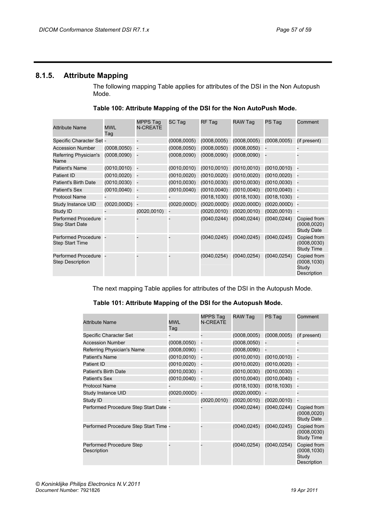## <span id="page-56-0"></span>**8.1.5. Attribute Mapping**

The following mapping Table applies for attributes of the DSI in the Non Autopush Mode.

| Table 100: Attribute Mapping of the DSI for the Non AutoPush Mode. |
|--------------------------------------------------------------------|
|                                                                    |

| <b>Attribute Name</b>                                | <b>MWL</b><br>Tag | <b>MPPS Tag</b><br><b>N-CREATE</b> | SC Tag       | RF Tag       | RAW Tag         | PS Tag          | Comment                                             |
|------------------------------------------------------|-------------------|------------------------------------|--------------|--------------|-----------------|-----------------|-----------------------------------------------------|
| Specific Character Set -                             |                   |                                    | (0008, 0005) | (0008, 0005) | (0008, 0005)    | (0008, 0005)    | (if present)                                        |
| <b>Accession Number</b>                              | (0008, 0050)      |                                    | (0008, 0050) | (0008, 0050) | (0008, 0050)    |                 |                                                     |
| Referring Physician's<br>Name                        | (0008, 0090)      |                                    | (0008, 0090) | (0008, 0090) | $(0008,0090)$ - |                 |                                                     |
| <b>Patient's Name</b>                                | (0010, 0010)      |                                    | (0010, 0010) | (0010, 0010) | (0010, 0010)    | (0010, 0010)    |                                                     |
| <b>Patient ID</b>                                    | (0010, 0020)      |                                    | (0010, 0020) | (0010, 0020) | (0010, 0020)    | (0010, 0020)    |                                                     |
| <b>Patient's Birth Date</b>                          | (0010, 0030)      |                                    | (0010, 0030) | (0010, 0030) | (0010, 0030)    | (0010, 0030)    |                                                     |
| <b>Patient's Sex</b>                                 | (0010, 0040)      |                                    | (0010, 0040) | (0010, 0040) | (0010, 0040)    | (0010, 0040)    |                                                     |
| <b>Protocol Name</b>                                 |                   |                                    |              | (0018, 1030) | (0018, 1030)    | (0018, 1030)    |                                                     |
| Study Instance UID                                   | (0020, 000D)      |                                    | (0020, 000D) | (0020, 000D) | (0020, 000D)    | $(0020,000D) -$ |                                                     |
| Study ID                                             |                   | (0020, 0010)                       |              | (0020, 0010) | (0020, 0010)    | (0020, 0010)    | - 14                                                |
| <b>Performed Procedure</b><br><b>Step Start Date</b> |                   |                                    |              | (0040, 0244) | (0040, 0244)    | (0040, 0244)    | Copied from<br>(0008, 0020)<br><b>Study Date</b>    |
| Performed Procedure -<br><b>Step Start Time</b>      |                   |                                    |              | (0040, 0245) | (0040, 0245)    | (0040, 0245)    | Copied from<br>(0008, 0030)<br><b>Study Time</b>    |
| Performed Procedure -<br><b>Step Description</b>     |                   |                                    |              | (0040, 0254) | (0040, 0254)    | (0040, 0254)    | Copied from<br>(0008, 1030)<br>Study<br>Description |

The next mapping Table applies for attributes of the DSI in the Autopush Mode.

## **Table 101: Attribute Mapping of the DSI for the Autopush Mode.**

| <b>Attribute Name</b>                   | <b>MWL</b><br>Tag | <b>MPPS Tag</b><br><b>N-CREATE</b> | RAW Tag         | PS Tag       | Comment                                             |
|-----------------------------------------|-------------------|------------------------------------|-----------------|--------------|-----------------------------------------------------|
| Specific Character Set                  |                   |                                    | (0008, 0005)    | (0008, 0005) | (if present)                                        |
| <b>Accession Number</b>                 | (0008,0050)       |                                    | (0008, 0050)    |              |                                                     |
| Referring Physician's Name              | (0008,0090)       |                                    | (0008, 0090)    |              |                                                     |
| Patient's Name                          | (0010,0010)       |                                    | (0010, 0010)    | (0010, 0010) |                                                     |
| Patient ID                              | (0010,0020)       |                                    | (0010, 0020)    | (0010, 0020) |                                                     |
| Patient's Birth Date                    | (0010, 0030)      | $\overline{\phantom{a}}$           | (0010, 0030)    | (0010, 0030) |                                                     |
| Patient's Sex                           | (0010, 0040)      |                                    | (0010, 0040)    | (0010, 0040) |                                                     |
| <b>Protocol Name</b>                    |                   |                                    | (0018, 1030)    | (0018, 1030) |                                                     |
| Study Instance UID                      | (0020,000D)       |                                    | $(0020,000D) -$ |              |                                                     |
| Study ID                                |                   | (0020, 0010)                       | (0020, 0010)    | (0020, 0010) |                                                     |
| Performed Procedure Step Start Date -   |                   |                                    | (0040, 0244)    | (0040, 0244) | Copied from<br>(0008, 0020)<br><b>Study Date</b>    |
| Performed Procedure Step Start Time -   |                   |                                    | (0040, 0245)    | (0040, 0245) | Copied from<br>(0008, 0030)<br><b>Study Time</b>    |
| Performed Procedure Step<br>Description |                   |                                    | (0040, 0254)    | (0040, 0254) | Copied from<br>(0008, 1030)<br>Study<br>Description |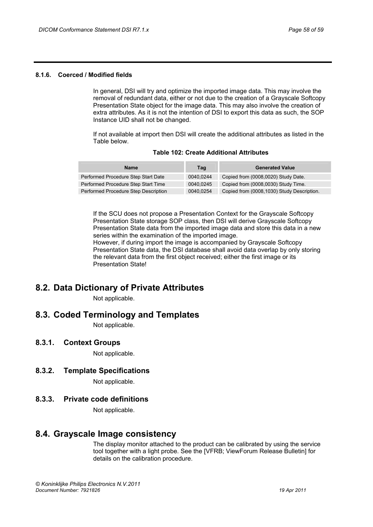## <span id="page-57-0"></span>**8.1.6. Coerced / Modified fields**

In general, DSI will try and optimize the imported image data. This may involve the removal of redundant data, either or not due to the creation of a Grayscale Softcopy Presentation State object for the image data. This may also involve the creation of extra attributes. As it is not the intention of DSI to export this data as such, the SOP Instance UID shall not be changed.

If not available at import then DSI will create the additional attributes as listed in the Table below.

| <b>Name</b>                          | Tag       | <b>Generated Value</b>                     |
|--------------------------------------|-----------|--------------------------------------------|
| Performed Procedure Step Start Date  | 0040.0244 | Copied from (0008,0020) Study Date.        |
| Performed Procedure Step Start Time  | 0040.0245 | Copied from (0008,0030) Study Time.        |
| Performed Procedure Step Description | 0040.0254 | Copied from (0008,1030) Study Description. |

#### **Table 102: Create Additional Attributes**

If the SCU does not propose a Presentation Context for the Grayscale Softcopy Presentation State storage SOP class, then DSI will derive Grayscale Softcopy Presentation State data from the imported image data and store this data in a new series within the examination of the imported image.

However, if during import the image is accompanied by Grayscale Softcopy Presentation State data, the DSI database shall avoid data overlap by only storing the relevant data from the first object received; either the first image or its Presentation State!

## <span id="page-57-1"></span>**8.2. Data Dictionary of Private Attributes**

Not applicable.

## <span id="page-57-2"></span>**8.3. Coded Terminology and Templates**

Not applicable.

## <span id="page-57-3"></span>**8.3.1. Context Groups**

Not applicable.

## <span id="page-57-4"></span>**8.3.2. Template Specifications**

Not applicable.

## <span id="page-57-5"></span>**8.3.3. Private code definitions**

Not applicable.

## <span id="page-57-6"></span>**8.4. Grayscale Image consistency**

The display monitor attached to the product can be calibrated by using the service tool together with a light probe. See the [VFRB; ViewForum Release Bulletin] for details on the calibration procedure.